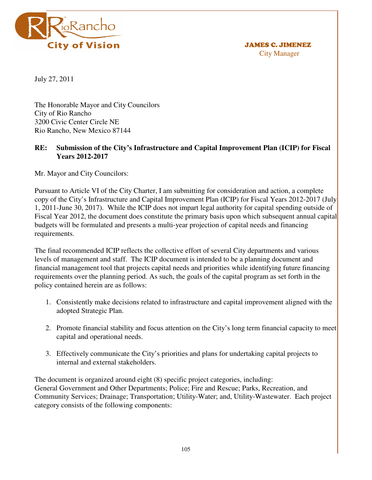

 JAMES C. JIMENEZ City Manager

July 27, 2011

The Honorable Mayor and City Councilors City of Rio Rancho 3200 Civic Center Circle NE Rio Rancho, New Mexico 87144

# **RE: Submission of the City's Infrastructure and Capital Improvement Plan (ICIP) for Fiscal Years 2012-2017**

Mr. Mayor and City Councilors:

Pursuant to Article VI of the City Charter, I am submitting for consideration and action, a complete copy of the City's Infrastructure and Capital Improvement Plan (ICIP) for Fiscal Years 2012-2017 (July 1, 2011-June 30, 2017). While the ICIP does not impart legal authority for capital spending outside of Fiscal Year 2012, the document does constitute the primary basis upon which subsequent annual capital budgets will be formulated and presents a multi-year projection of capital needs and financing requirements.

The final recommended ICIP reflects the collective effort of several City departments and various levels of management and staff. The ICIP document is intended to be a planning document and financial management tool that projects capital needs and priorities while identifying future financing requirements over the planning period. As such, the goals of the capital program as set forth in the policy contained herein are as follows:

- 1. Consistently make decisions related to infrastructure and capital improvement aligned with the adopted Strategic Plan.
- 2. Promote financial stability and focus attention on the City's long term financial capacity to meet capital and operational needs.
- 3. Effectively communicate the City's priorities and plans for undertaking capital projects to internal and external stakeholders.

The document is organized around eight (8) specific project categories, including: General Government and Other Departments; Police; Fire and Rescue; Parks, Recreation, and Community Services; Drainage; Transportation; Utility-Water; and, Utility-Wastewater. Each project category consists of the following components: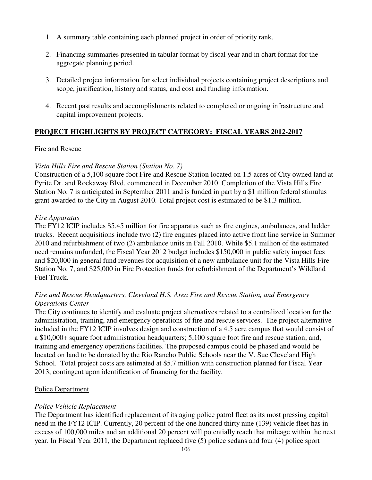- 1. A summary table containing each planned project in order of priority rank.
- 2. Financing summaries presented in tabular format by fiscal year and in chart format for the aggregate planning period.
- 3. Detailed project information for select individual projects containing project descriptions and scope, justification, history and status, and cost and funding information.
- 4. Recent past results and accomplishments related to completed or ongoing infrastructure and capital improvement projects.

# **PROJECT HIGHLIGHTS BY PROJECT CATEGORY: FISCAL YEARS 2012-2017**

### Fire and Rescue

### *Vista Hills Fire and Rescue Station (Station No. 7)*

Construction of a 5,100 square foot Fire and Rescue Station located on 1.5 acres of City owned land at Pyrite Dr. and Rockaway Blvd. commenced in December 2010. Completion of the Vista Hills Fire Station No. 7 is anticipated in September 2011 and is funded in part by a \$1 million federal stimulus grant awarded to the City in August 2010. Total project cost is estimated to be \$1.3 million.

### *Fire Apparatus*

The FY12 ICIP includes \$5.45 million for fire apparatus such as fire engines, ambulances, and ladder trucks. Recent acquisitions include two (2) fire engines placed into active front line service in Summer 2010 and refurbishment of two (2) ambulance units in Fall 2010. While \$5.1 million of the estimated need remains unfunded, the Fiscal Year 2012 budget includes \$150,000 in public safety impact fees and \$20,000 in general fund revenues for acquisition of a new ambulance unit for the Vista Hills Fire Station No. 7, and \$25,000 in Fire Protection funds for refurbishment of the Department's Wildland Fuel Truck.

# *Fire and Rescue Headquarters, Cleveland H.S. Area Fire and Rescue Station, and Emergency Operations Center*

The City continues to identify and evaluate project alternatives related to a centralized location for the administration, training, and emergency operations of fire and rescue services. The project alternative included in the FY12 ICIP involves design and construction of a 4.5 acre campus that would consist of a \$10,000+ square foot administration headquarters; 5,100 square foot fire and rescue station; and, training and emergency operations facilities. The proposed campus could be phased and would be located on land to be donated by the Rio Rancho Public Schools near the V. Sue Cleveland High School. Total project costs are estimated at \$5.7 million with construction planned for Fiscal Year 2013, contingent upon identification of financing for the facility.

# Police Department

# *Police Vehicle Replacement*

The Department has identified replacement of its aging police patrol fleet as its most pressing capital need in the FY12 ICIP. Currently, 20 percent of the one hundred thirty nine (139) vehicle fleet has in excess of 100,000 miles and an additional 20 percent will potentially reach that mileage within the next year. In Fiscal Year 2011, the Department replaced five (5) police sedans and four (4) police sport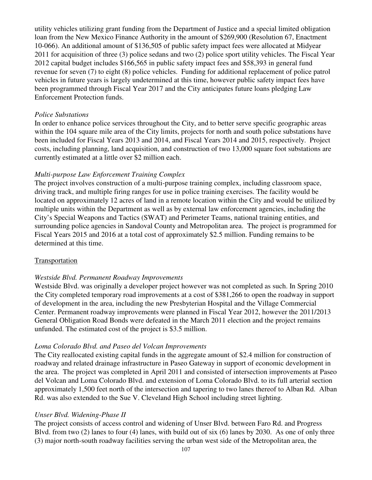utility vehicles utilizing grant funding from the Department of Justice and a special limited obligation loan from the New Mexico Finance Authority in the amount of \$269,900 (Resolution 67, Enactment 10-066). An additional amount of \$136,505 of public safety impact fees were allocated at Midyear 2011 for acquisition of three (3) police sedans and two (2) police sport utility vehicles. The Fiscal Year 2012 capital budget includes \$166,565 in public safety impact fees and \$58,393 in general fund revenue for seven (7) to eight (8) police vehicles. Funding for additional replacement of police patrol vehicles in future years is largely undetermined at this time, however public safety impact fees have been programmed through Fiscal Year 2017 and the City anticipates future loans pledging Law Enforcement Protection funds.

#### *Police Substations*

In order to enhance police services throughout the City, and to better serve specific geographic areas within the 104 square mile area of the City limits, projects for north and south police substations have been included for Fiscal Years 2013 and 2014, and Fiscal Years 2014 and 2015, respectively. Project costs, including planning, land acquisition, and construction of two 13,000 square foot substations are currently estimated at a little over \$2 million each.

#### *Multi-purpose Law Enforcement Training Complex*

The project involves construction of a multi-purpose training complex, including classroom space, driving track, and multiple firing ranges for use in police training exercises. The facility would be located on approximately 12 acres of land in a remote location within the City and would be utilized by multiple units within the Department as well as by external law enforcement agencies, including the City's Special Weapons and Tactics (SWAT) and Perimeter Teams, national training entities, and surrounding police agencies in Sandoval County and Metropolitan area. The project is programmed for Fiscal Years 2015 and 2016 at a total cost of approximately \$2.5 million. Funding remains to be determined at this time.

#### Transportation

### *Westside Blvd. Permanent Roadway Improvements*

Westside Blvd. was originally a developer project however was not completed as such. In Spring 2010 the City completed temporary road improvements at a cost of \$381,266 to open the roadway in support of development in the area, including the new Presbyterian Hospital and the Village Commercial Center. Permanent roadway improvements were planned in Fiscal Year 2012, however the 2011/2013 General Obligation Road Bonds were defeated in the March 2011 election and the project remains unfunded. The estimated cost of the project is \$3.5 million.

#### *Loma Colorado Blvd. and Paseo del Volcan Improvements*

The City reallocated existing capital funds in the aggregate amount of \$2.4 million for construction of roadway and related drainage infrastructure in Paseo Gateway in support of economic development in the area. The project was completed in April 2011 and consisted of intersection improvements at Paseo del Volcan and Loma Colorado Blvd. and extension of Loma Colorado Blvd. to its full arterial section approximately 1,500 feet north of the intersection and tapering to two lanes thereof to Alban Rd. Alban Rd. was also extended to the Sue V. Cleveland High School including street lighting.

#### *Unser Blvd. Widening-Phase II*

The project consists of access control and widening of Unser Blvd. between Faro Rd. and Progress Blvd. from two (2) lanes to four (4) lanes, with build out of six (6) lanes by 2030. As one of only three (3) major north-south roadway facilities serving the urban west side of the Metropolitan area, the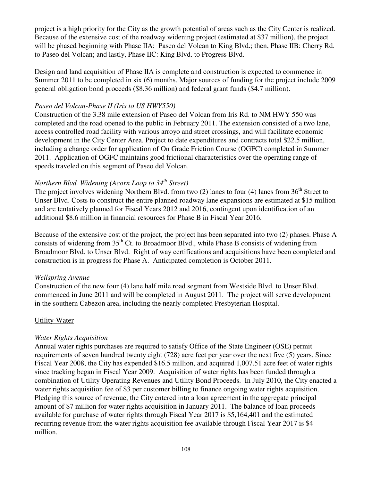project is a high priority for the City as the growth potential of areas such as the City Center is realized. Because of the extensive cost of the roadway widening project (estimated at \$37 million), the project will be phased beginning with Phase IIA: Paseo del Volcan to King Blvd.; then, Phase IIB: Cherry Rd. to Paseo del Volcan; and lastly, Phase IIC: King Blvd. to Progress Blvd.

Design and land acquisition of Phase IIA is complete and construction is expected to commence in Summer 2011 to be completed in six (6) months. Major sources of funding for the project include 2009 general obligation bond proceeds (\$8.36 million) and federal grant funds (\$4.7 million).

## *Paseo del Volcan-Phase II (Iris to US HWY550)*

Construction of the 3.38 mile extension of Paseo del Volcan from Iris Rd. to NM HWY 550 was completed and the road opened to the public in February 2011. The extension consisted of a two lane, access controlled road facility with various arroyo and street crossings, and will facilitate economic development in the City Center Area. Project to date expenditures and contracts total \$22.5 million, including a change order for application of On Grade Friction Course (OGFC) completed in Summer 2011. Application of OGFC maintains good frictional characteristics over the operating range of speeds traveled on this segment of Paseo del Volcan.

# *Northern Blvd. Widening (Acorn Loop to 34th Street)*

The project involves widening Northern Blvd. from two (2) lanes to four (4) lanes from  $36<sup>th</sup>$  Street to Unser Blvd. Costs to construct the entire planned roadway lane expansions are estimated at \$15 million and are tentatively planned for Fiscal Years 2012 and 2016, contingent upon identification of an additional \$8.6 million in financial resources for Phase B in Fiscal Year 2016.

Because of the extensive cost of the project, the project has been separated into two (2) phases. Phase A consists of widening from  $35<sup>th</sup>$  Ct. to Broadmoor Blvd., while Phase B consists of widening from Broadmoor Blvd. to Unser Blvd. Right of way certifications and acquisitions have been completed and construction is in progress for Phase A. Anticipated completion is October 2011.

# *Wellspring Avenue*

Construction of the new four (4) lane half mile road segment from Westside Blvd. to Unser Blvd. commenced in June 2011 and will be completed in August 2011. The project will serve development in the southern Cabezon area, including the nearly completed Presbyterian Hospital.

# Utility-Water

# *Water Rights Acquisition*

Annual water rights purchases are required to satisfy Office of the State Engineer (OSE) permit requirements of seven hundred twenty eight (728) acre feet per year over the next five (5) years. Since Fiscal Year 2008, the City has expended \$16.5 million, and acquired 1,007.51 acre feet of water rights since tracking began in Fiscal Year 2009. Acquisition of water rights has been funded through a combination of Utility Operating Revenues and Utility Bond Proceeds. In July 2010, the City enacted a water rights acquisition fee of \$3 per customer billing to finance ongoing water rights acquisition. Pledging this source of revenue, the City entered into a loan agreement in the aggregate principal amount of \$7 million for water rights acquisition in January 2011. The balance of loan proceeds available for purchase of water rights through Fiscal Year 2017 is \$5,164,401 and the estimated recurring revenue from the water rights acquisition fee available through Fiscal Year 2017 is \$4 million.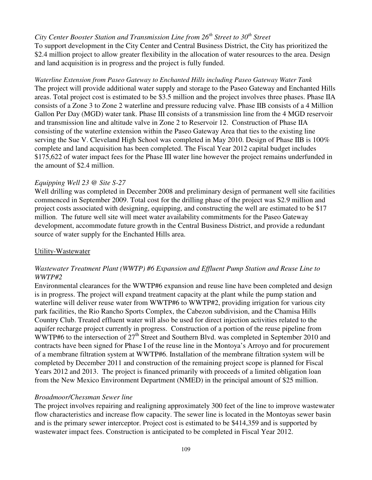# *City Center Booster Station and Transmission Line from 26th Street to 30th Street*

To support development in the City Center and Central Business District, the City has prioritized the \$2.4 million project to allow greater flexibility in the allocation of water resources to the area. Design and land acquisition is in progress and the project is fully funded.

# *Waterline Extension from Paseo Gateway to Enchanted Hills including Paseo Gateway Water Tank*  The project will provide additional water supply and storage to the Paseo Gateway and Enchanted Hills areas. Total project cost is estimated to be \$3.5 million and the project involves three phases. Phase IIA consists of a Zone 3 to Zone 2 waterline and pressure reducing valve. Phase IIB consists of a 4 Million Gallon Per Day (MGD) water tank. Phase III consists of a transmission line from the 4 MGD reservoir and transmission line and altitude valve in Zone 2 to Reservoir 12. Construction of Phase IIA consisting of the waterline extension within the Paseo Gateway Area that ties to the existing line serving the Sue V. Cleveland High School was completed in May 2010. Design of Phase IIB is 100% complete and land acquisition has been completed. The Fiscal Year 2012 capital budget includes \$175,622 of water impact fees for the Phase III water line however the project remains underfunded in the amount of \$2.4 million.

# *Equipping Well 23 @ Site S-27*

Well drilling was completed in December 2008 and preliminary design of permanent well site facilities commenced in September 2009. Total cost for the drilling phase of the project was \$2.9 million and project costs associated with designing, equipping, and constructing the well are estimated to be \$17 million. The future well site will meet water availability commitments for the Paseo Gateway development, accommodate future growth in the Central Business District, and provide a redundant source of water supply for the Enchanted Hills area.

### Utility-Wastewater

# *Wastewater Treatment Plant (WWTP) #6 Expansion and Effluent Pump Station and Reuse Line to WWTP#2*

Environmental clearances for the WWTP#6 expansion and reuse line have been completed and design is in progress. The project will expand treatment capacity at the plant while the pump station and waterline will deliver reuse water from WWTP#6 to WWTP#2, providing irrigation for various city park facilities, the Rio Rancho Sports Complex, the Cabezon subdivision, and the Chamisa Hills Country Club. Treated effluent water will also be used for direct injection activities related to the aquifer recharge project currently in progress. Construction of a portion of the reuse pipeline from WWTP#6 to the intersection of 27<sup>th</sup> Street and Southern Blvd. was completed in September 2010 and contracts have been signed for Phase I of the reuse line in the Montoya's Arroyo and for procurement of a membrane filtration system at WWTP#6. Installation of the membrane filtration system will be completed by December 2011 and construction of the remaining project scope is planned for Fiscal Years 2012 and 2013. The project is financed primarily with proceeds of a limited obligation loan from the New Mexico Environment Department (NMED) in the principal amount of \$25 million.

# *Broadmoor/Chessman Sewer line*

The project involves repairing and realigning approximately 300 feet of the line to improve wastewater flow characteristics and increase flow capacity. The sewer line is located in the Montoyas sewer basin and is the primary sewer interceptor. Project cost is estimated to be \$414,359 and is supported by wastewater impact fees. Construction is anticipated to be completed in Fiscal Year 2012.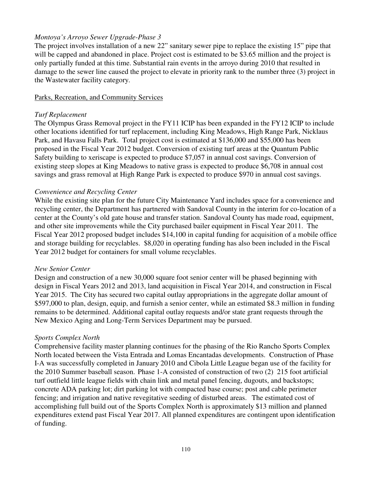## *Montoya's Arroyo Sewer Upgrade-Phase 3*

The project involves installation of a new 22" sanitary sewer pipe to replace the existing 15" pipe that will be capped and abandoned in place. Project cost is estimated to be \$3.65 million and the project is only partially funded at this time. Substantial rain events in the arroyo during 2010 that resulted in damage to the sewer line caused the project to elevate in priority rank to the number three (3) project in the Wastewater facility category.

### Parks, Recreation, and Community Services

### *Turf Replacement*

The Olympus Grass Removal project in the FY11 ICIP has been expanded in the FY12 ICIP to include other locations identified for turf replacement, including King Meadows, High Range Park, Nicklaus Park, and Havasu Falls Park. Total project cost is estimated at \$136,000 and \$55,000 has been proposed in the Fiscal Year 2012 budget. Conversion of existing turf areas at the Quantum Public Safety building to xeriscape is expected to produce \$7,057 in annual cost savings. Conversion of existing steep slopes at King Meadows to native grass is expected to produce \$6,708 in annual cost savings and grass removal at High Range Park is expected to produce \$970 in annual cost savings.

### *Convenience and Recycling Center*

While the existing site plan for the future City Maintenance Yard includes space for a convenience and recycling center, the Department has partnered with Sandoval County in the interim for co-location of a center at the County's old gate house and transfer station. Sandoval County has made road, equipment, and other site improvements while the City purchased bailer equipment in Fiscal Year 2011. The Fiscal Year 2012 proposed budget includes \$14,100 in capital funding for acquisition of a mobile office and storage building for recyclables. \$8,020 in operating funding has also been included in the Fiscal Year 2012 budget for containers for small volume recyclables.

### *New Senior Center*

Design and construction of a new 30,000 square foot senior center will be phased beginning with design in Fiscal Years 2012 and 2013, land acquisition in Fiscal Year 2014, and construction in Fiscal Year 2015. The City has secured two capital outlay appropriations in the aggregate dollar amount of \$597,000 to plan, design, equip, and furnish a senior center, while an estimated \$8.3 million in funding remains to be determined. Additional capital outlay requests and/or state grant requests through the New Mexico Aging and Long-Term Services Department may be pursued.

### *Sports Complex North*

Comprehensive facility master planning continues for the phasing of the Rio Rancho Sports Complex North located between the Vista Entrada and Lomas Encantadas developments. Construction of Phase I-A was successfully completed in January 2010 and Cibola Little League began use of the facility for the 2010 Summer baseball season. Phase 1-A consisted of construction of two (2) 215 foot artificial turf outfield little league fields with chain link and metal panel fencing, dugouts, and backstops; concrete ADA parking lot; dirt parking lot with compacted base course; post and cable perimeter fencing; and irrigation and native revegitative seeding of disturbed areas. The estimated cost of accomplishing full build out of the Sports Complex North is approximately \$13 million and planned expenditures extend past Fiscal Year 2017. All planned expenditures are contingent upon identification of funding.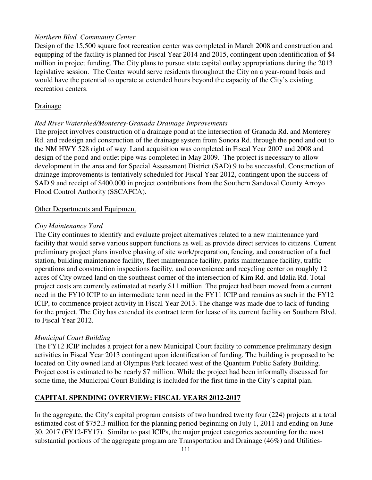# *Northern Blvd. Community Center*

Design of the 15,500 square foot recreation center was completed in March 2008 and construction and equipping of the facility is planned for Fiscal Year 2014 and 2015, contingent upon identification of \$4 million in project funding. The City plans to pursue state capital outlay appropriations during the 2013 legislative session. The Center would serve residents throughout the City on a year-round basis and would have the potential to operate at extended hours beyond the capacity of the City's existing recreation centers.

# Drainage

# *Red River Watershed/Monterey-Granada Drainage Improvements*

The project involves construction of a drainage pond at the intersection of Granada Rd. and Monterey Rd. and redesign and construction of the drainage system from Sonora Rd. through the pond and out to the NM HWY 528 right of way. Land acquisition was completed in Fiscal Year 2007 and 2008 and design of the pond and outlet pipe was completed in May 2009. The project is necessary to allow development in the area and for Special Assessment District (SAD) 9 to be successful. Construction of drainage improvements is tentatively scheduled for Fiscal Year 2012, contingent upon the success of SAD 9 and receipt of \$400,000 in project contributions from the Southern Sandoval County Arroyo Flood Control Authority (SSCAFCA).

# Other Departments and Equipment

# *City Maintenance Yard*

The City continues to identify and evaluate project alternatives related to a new maintenance yard facility that would serve various support functions as well as provide direct services to citizens. Current preliminary project plans involve phasing of site work/preparation, fencing, and construction of a fuel station, building maintenance facility, fleet maintenance facility, parks maintenance facility, traffic operations and construction inspections facility, and convenience and recycling center on roughly 12 acres of City owned land on the southeast corner of the intersection of Kim Rd. and Idalia Rd. Total project costs are currently estimated at nearly \$11 million. The project had been moved from a current need in the FY10 ICIP to an intermediate term need in the FY11 ICIP and remains as such in the FY12 ICIP, to commence project activity in Fiscal Year 2013. The change was made due to lack of funding for the project. The City has extended its contract term for lease of its current facility on Southern Blvd. to Fiscal Year 2012.

# *Municipal Court Building*

The FY12 ICIP includes a project for a new Municipal Court facility to commence preliminary design activities in Fiscal Year 2013 contingent upon identification of funding. The building is proposed to be located on City owned land at Olympus Park located west of the Quantum Public Safety Building. Project cost is estimated to be nearly \$7 million. While the project had been informally discussed for some time, the Municipal Court Building is included for the first time in the City's capital plan.

# **CAPITAL SPENDING OVERVIEW: FISCAL YEARS 2012-2017**

In the aggregate, the City's capital program consists of two hundred twenty four (224) projects at a total estimated cost of \$752.3 million for the planning period beginning on July 1, 2011 and ending on June 30, 2017 (FY12-FY17). Similar to past ICIPs, the major project categories accounting for the most substantial portions of the aggregate program are Transportation and Drainage (46%) and Utilities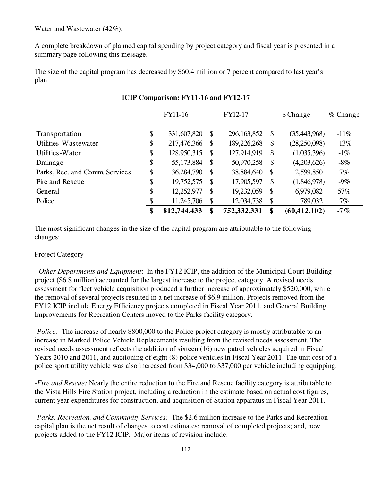Water and Wastewater (42%).

A complete breakdown of planned capital spending by project category and fiscal year is presented in a summary page following this message.

The size of the capital program has decreased by \$60.4 million or 7 percent compared to last year's plan.

|                                | FY11-16           |              | FY12-17       |                           | \$ Change      | $%$ Change |
|--------------------------------|-------------------|--------------|---------------|---------------------------|----------------|------------|
|                                |                   |              |               |                           |                |            |
| Transportation                 | \$<br>331,607,820 | \$           | 296, 163, 852 | $\mathcal{S}$             | (35, 443, 968) | $-11\%$    |
| Utilities-Wastewater           | \$<br>217,476,366 | \$           | 189,226,268   | \$                        | (28,250,098)   | $-13%$     |
| Utilities-Water                | \$<br>128,950,315 | $\mathbb{S}$ | 127,914,919   | $\mathbb{S}$              | (1,035,396)    | $-1\%$     |
| Drainage                       | \$<br>55,173,884  | $\mathbb{S}$ | 50,970,258    | $\mathcal{S}$             | (4,203,626)    | $-8\%$     |
| Parks, Rec. and Comm. Services | \$<br>36,284,790  | $\mathbb{S}$ | 38,884,640    | $\mathcal{S}$             | 2,599,850      | 7%         |
| Fire and Rescue                | \$<br>19,752,575  | \$           | 17,905,597    | \$                        | (1,846,978)    | $-9\%$     |
| General                        | \$<br>12,252,977  | \$           | 19,232,059    | $\boldsymbol{\mathsf{S}}$ | 6,979,082      | 57%        |
| Police                         | \$<br>11,245,706  | \$           | 12,034,738    | $\boldsymbol{\mathsf{S}}$ | 789,032        | 7%         |
|                                | \$<br>812,744,433 | \$           | 752,332,331   | \$                        | (60, 412, 102) | -7 $\%$    |

# **ICIP Comparison: FY11-16 and FY12-17**

The most significant changes in the size of the capital program are attributable to the following changes:

# Project Category

*- Other Departments and Equipment*: In the FY12 ICIP, the addition of the Municipal Court Building project (\$6.8 million) accounted for the largest increase to the project category. A revised needs assessment for fleet vehicle acquisition produced a further increase of approximately \$520,000, while the removal of several projects resulted in a net increase of \$6.9 million. Projects removed from the FY12 ICIP include Energy Efficiency projects completed in Fiscal Year 2011, and General Building Improvements for Recreation Centers moved to the Parks facility category.

*-Police:* The increase of nearly \$800,000 to the Police project category is mostly attributable to an increase in Marked Police Vehicle Replacements resulting from the revised needs assessment. The revised needs assessment reflects the addition of sixteen (16) new patrol vehicles acquired in Fiscal Years 2010 and 2011, and auctioning of eight (8) police vehicles in Fiscal Year 2011. The unit cost of a police sport utility vehicle was also increased from \$34,000 to \$37,000 per vehicle including equipping.

*-Fire and Rescue:* Nearly the entire reduction to the Fire and Rescue facility category is attributable to the Vista Hills Fire Station project, including a reduction in the estimate based on actual cost figures, current year expenditures for construction, and acquisition of Station apparatus in Fiscal Year 2011.

*-Parks, Recreation, and Community Services:* The \$2.6 million increase to the Parks and Recreation capital plan is the net result of changes to cost estimates; removal of completed projects; and, new projects added to the FY12 ICIP. Major items of revision include: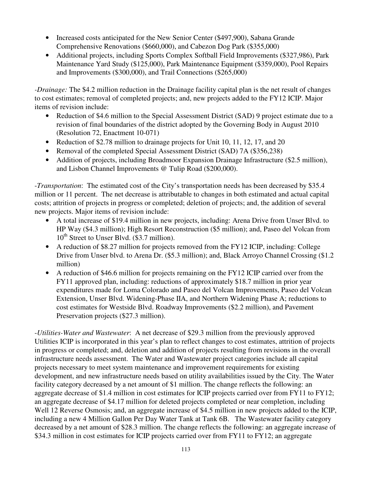- Increased costs anticipated for the New Senior Center (\$497,900), Sabana Grande Comprehensive Renovations (\$660,000), and Cabezon Dog Park (\$355,000)
- Additional projects, including Sports Complex Softball Field Improvements (\$327,986), Park Maintenance Yard Study (\$125,000), Park Maintenance Equipment (\$359,000), Pool Repairs and Improvements (\$300,000), and Trail Connections (\$265,000)

*-Drainage:* The \$4.2 million reduction in the Drainage facility capital plan is the net result of changes to cost estimates; removal of completed projects; and, new projects added to the FY12 ICIP. Major items of revision include:

- Reduction of \$4.6 million to the Special Assessment District (SAD) 9 project estimate due to a revision of final boundaries of the district adopted by the Governing Body in August 2010 (Resolution 72, Enactment 10-071)
- Reduction of \$2.78 million to drainage projects for Unit 10, 11, 12, 17, and 20
- Removal of the completed Special Assessment District (SAD) 7A (\$356,238)
- Addition of projects, including Broadmoor Expansion Drainage Infrastructure (\$2.5 million), and Lisbon Channel Improvements @ Tulip Road (\$200,000).

-*Transportation*: The estimated cost of the City's transportation needs has been decreased by \$35.4 million or 11 percent. The net decrease is attributable to changes in both estimated and actual capital costs; attrition of projects in progress or completed; deletion of projects; and, the addition of several new projects. Major items of revision include:

- A total increase of \$19.4 million in new projects, including: Arena Drive from Unser Blvd. to HP Way (\$4.3 million); High Resort Reconstruction (\$5 million); and, Paseo del Volcan from  $10^{th}$  Street to Unser Blvd. (\$3.7 million).
- A reduction of \$8.27 million for projects removed from the FY12 ICIP, including: College Drive from Unser blvd. to Arena Dr. (\$5.3 million); and, Black Arroyo Channel Crossing (\$1.2 million)
- A reduction of \$46.6 million for projects remaining on the FY12 ICIP carried over from the FY11 approved plan, including: reductions of approximately \$18.7 million in prior year expenditures made for Loma Colorado and Paseo del Volcan Improvements, Paseo del Volcan Extension, Unser Blvd. Widening-Phase IIA, and Northern Widening Phase A; reductions to cost estimates for Westside Blvd. Roadway Improvements (\$2.2 million), and Pavement Preservation projects (\$27.3 million).

-*Utilities-Water and Wastewater*: A net decrease of \$29.3 million from the previously approved Utilities ICIP is incorporated in this year's plan to reflect changes to cost estimates, attrition of projects in progress or completed; and, deletion and addition of projects resulting from revisions in the overall infrastructure needs assessment. The Water and Wastewater project categories include all capital projects necessary to meet system maintenance and improvement requirements for existing development, and new infrastructure needs based on utility availabilities issued by the City. The Water facility category decreased by a net amount of \$1 million. The change reflects the following: an aggregate decrease of \$1.4 million in cost estimates for ICIP projects carried over from FY11 to FY12; an aggregate decrease of \$4.17 million for deleted projects completed or near completion, including Well 12 Reverse Osmosis; and, an aggregate increase of \$4.5 million in new projects added to the ICIP, including a new 4 Million Gallon Per Day Water Tank at Tank 6B. The Wastewater facility category decreased by a net amount of \$28.3 million. The change reflects the following: an aggregate increase of \$34.3 million in cost estimates for ICIP projects carried over from FY11 to FY12; an aggregate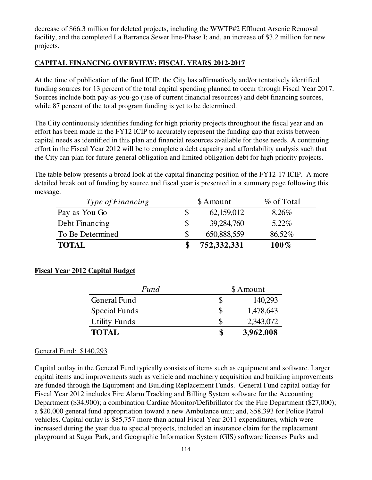decrease of \$66.3 million for deleted projects, including the WWTP#2 Effluent Arsenic Removal facility, and the completed La Barranca Sewer line-Phase I; and, an increase of \$3.2 million for new projects.

# **CAPITAL FINANCING OVERVIEW: FISCAL YEARS 2012-2017**

At the time of publication of the final ICIP, the City has affirmatively and/or tentatively identified funding sources for 13 percent of the total capital spending planned to occur through Fiscal Year 2017. Sources include both pay-as-you-go (use of current financial resources) and debt financing sources, while 87 percent of the total program funding is yet to be determined.

The City continuously identifies funding for high priority projects throughout the fiscal year and an effort has been made in the FY12 ICIP to accurately represent the funding gap that exists between capital needs as identified in this plan and financial resources available for those needs. A continuing effort in the Fiscal Year 2012 will be to complete a debt capacity and affordability analysis such that the City can plan for future general obligation and limited obligation debt for high priority projects.

The table below presents a broad look at the capital financing position of the FY12-17 ICIP. A more detailed break out of funding by source and fiscal year is presented in a summary page following this message.

| Type of Financing | \$ Amount   | % of Total |
|-------------------|-------------|------------|
| Pay as You Go     | 62,159,012  | $8.26\%$   |
| Debt Financing    | 39,284,760  | $5.22\%$   |
| To Be Determined  | 650,888,559 | 86.52%     |
| <b>TOTAL</b>      | 752,332,331 | $100\%$    |

# **Fiscal Year 2012 Capital Budget**

| Fund                 |   | \$ Amount |
|----------------------|---|-----------|
| <b>General Fund</b>  |   | 140,293   |
| Special Funds        | S | 1,478,643 |
| <b>Utility Funds</b> |   | 2,343,072 |
| <b>TOTAL</b>         |   | 3,962,008 |

# General Fund: \$140,293

Capital outlay in the General Fund typically consists of items such as equipment and software. Larger capital items and improvements such as vehicle and machinery acquisition and building improvements are funded through the Equipment and Building Replacement Funds. General Fund capital outlay for Fiscal Year 2012 includes Fire Alarm Tracking and Billing System software for the Accounting Department (\$34,900); a combination Cardiac Monitor/Defibrillator for the Fire Department (\$27,000); a \$20,000 general fund appropriation toward a new Ambulance unit; and, \$58,393 for Police Patrol vehicles. Capital outlay is \$85,757 more than actual Fiscal Year 2011 expenditures, which were increased during the year due to special projects, included an insurance claim for the replacement playground at Sugar Park, and Geographic Information System (GIS) software licenses Parks and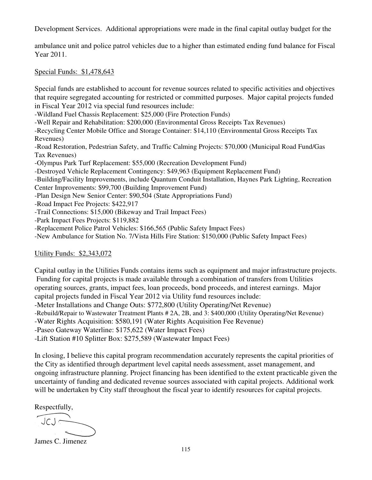Development Services. Additional appropriations were made in the final capital outlay budget for the

ambulance unit and police patrol vehicles due to a higher than estimated ending fund balance for Fiscal Year 2011.

Special Funds: \$1,478,643

Special funds are established to account for revenue sources related to specific activities and objectives that require segregated accounting for restricted or committed purposes. Major capital projects funded in Fiscal Year 2012 via special fund resources include:

-Wildland Fuel Chassis Replacement: \$25,000 (Fire Protection Funds)

-Well Repair and Rehabilitation: \$200,000 (Environmental Gross Receipts Tax Revenues)

-Recycling Center Mobile Office and Storage Container: \$14,110 (Environmental Gross Receipts Tax Revenues)

-Road Restoration, Pedestrian Safety, and Traffic Calming Projects: \$70,000 (Municipal Road Fund/Gas Tax Revenues)

-Olympus Park Turf Replacement: \$55,000 (Recreation Development Fund)

-Destroyed Vehicle Replacement Contingency: \$49,963 (Equipment Replacement Fund)

-Building/Facility Improvements, include Quantum Conduit Installation, Haynes Park Lighting, Recreation Center Improvements: \$99,700 (Building Improvement Fund)

-Plan Design New Senior Center: \$90,504 (State Appropriations Fund)

-Road Impact Fee Projects: \$422,917

- -Trail Connections: \$15,000 (Bikeway and Trail Impact Fees)
- -Park Impact Fees Projects: \$119,882

-Replacement Police Patrol Vehicles: \$166,565 (Public Safety Impact Fees)

-New Ambulance for Station No. 7/Vista Hills Fire Station: \$150,000 (Public Safety Impact Fees)

Utility Funds: \$2,343,072

Capital outlay in the Utilities Funds contains items such as equipment and major infrastructure projects. Funding for capital projects is made available through a combination of transfers from Utilities operating sources, grants, impact fees, loan proceeds, bond proceeds, and interest earnings. Major capital projects funded in Fiscal Year 2012 via Utility fund resources include: -Meter Installations and Change Outs: \$772,800 (Utility Operating/Net Revenue) -Rebuild/Repair to Wastewater Treatment Plants # 2A, 2B, and 3: \$400,000 (Utility Operating/Net Revenue) -Water Rights Acquisition: \$580,191 (Water Rights Acquisition Fee Revenue)

-Paseo Gateway Waterline: \$175,622 (Water Impact Fees)

-Lift Station #10 Splitter Box: \$275,589 (Wastewater Impact Fees)

In closing, I believe this capital program recommendation accurately represents the capital priorities of the City as identified through department level capital needs assessment, asset management, and ongoing infrastructure planning. Project financing has been identified to the extent practicable given the uncertainty of funding and dedicated revenue sources associated with capital projects. Additional work will be undertaken by City staff throughout the fiscal year to identify resources for capital projects.

Respectfully,

James C. Jimenez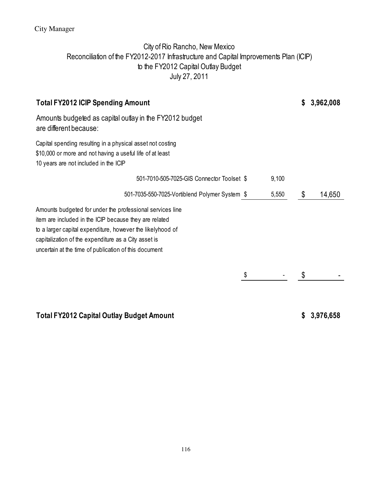# City Manager

# City of Rio Rancho, New Mexico Reconciliation of the FY2012-2017 Infrastructure and Capital Improvements Plan (ICIP) to the FY2012 Capital Outlay Budget July 27, 2011

| <b>Total FY2012 ICIP Spending Amount</b>                                                                                                                                                                                                                                                           |       | S  | 3,962,008 |
|----------------------------------------------------------------------------------------------------------------------------------------------------------------------------------------------------------------------------------------------------------------------------------------------------|-------|----|-----------|
| Amounts budgeted as capital outlay in the FY2012 budget<br>are different because:                                                                                                                                                                                                                  |       |    |           |
| Capital spending resulting in a physical asset not costing<br>\$10,000 or more and not having a useful life of at least<br>10 years are not included in the ICIP                                                                                                                                   |       |    |           |
| 501-7010-505-7025-GIS Connector Toolset \$                                                                                                                                                                                                                                                         | 9,100 |    |           |
| 501-7035-550-7025-Vortiblend Polymer System \$                                                                                                                                                                                                                                                     | 5,550 | \$ | 14,650    |
| Amounts budgeted for under the professional services line<br>item are included in the ICIP because they are related<br>to a larger capital expenditure, however the likelyhood of<br>capitalization of the expenditure as a City asset is<br>uncertain at the time of publication of this document |       |    |           |
|                                                                                                                                                                                                                                                                                                    | \$    | \$ |           |
| <b>Total FY2012 Capital Outlay Budget Amount</b>                                                                                                                                                                                                                                                   |       | S  | 3,976,658 |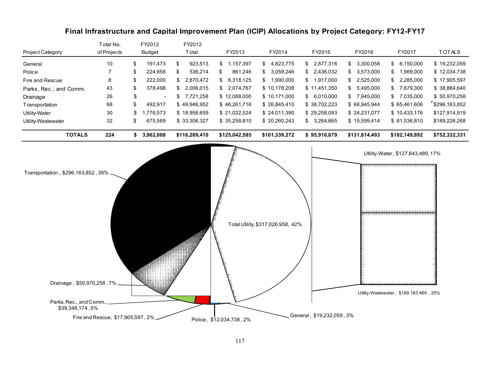# Final Infrastructure and Capital Improvement Plan (ICIP) Allocations by Project Category: FY12-FY17

| <b>Project Category</b>                                                  | Total No.<br>of Projects          | FY2012<br><b>Budget</b> | FY2012<br>Total | FY2013                   | FY2014                            | FY2015                    | FY2016          | FY2017                                                             | <b>TOTALS</b> |
|--------------------------------------------------------------------------|-----------------------------------|-------------------------|-----------------|--------------------------|-----------------------------------|---------------------------|-----------------|--------------------------------------------------------------------|---------------|
| General                                                                  | 10                                | \$<br>191,473           | \$<br>923,513   | \$ 1,157,397             | \$4,823,775                       | \$2,877,316               | \$<br>3,300,058 | 6,150,000<br>\$                                                    | \$19,232,059  |
| Police                                                                   | $\overline{7}$                    | \$<br>224,958           | \$<br>536,214   | 861,246<br>\$            | \$3,059,246                       | 2,436,032<br>\$           | 3,573,000<br>\$ | 1,569,000<br>\$                                                    | \$12,034,738  |
| Fire and Rescue                                                          | 8                                 | \$<br>222,000           | \$<br>2,870,472 | 6,318,125<br>\$          | \$1,990,000                       | \$<br>1,917,000           | 2,525,000<br>\$ | 2,285,000<br>\$                                                    | \$17,905,597  |
| Parks, Rec., and Comm.                                                   | 43                                | \$<br>378,498           | \$<br>2,006,015 | 2,074,767<br>\$          | \$10,178,208                      | \$11,451,350              | 5,495,000<br>\$ | 7,679,300<br>\$                                                    | \$38,884,640  |
| Drainage                                                                 | 26                                | \$                      | \$7,721,258     | \$12,088,000             | \$10,171,000                      | 6,010,000<br>\$           | \$7,945,000     | \$7,035,000                                                        | \$50,970,258  |
| Transportation                                                           | 68                                | \$<br>492,917           | \$49,946,952    | \$46,261,716             | \$26,845,410                      | \$38,702,223              | \$68,945,944    | \$65,461,606                                                       | \$296,163,852 |
| Utility-Water                                                            | $30\,$                            | \$<br>1,776,573         | \$18,958,659    | \$21,022,524             | \$24,011,390                      | \$29,258,093              | \$24,231,077    | \$10,433,176                                                       | \$127,914,919 |
| Utility-Wastewater                                                       | 32                                | \$<br>675,589           | \$33,306,327    | \$35,258,810             | \$20,260,243                      | 3,264,665<br>\$           | \$15,599,414    | \$81,536,810                                                       | \$189,226,268 |
| <b>TOTALS</b>                                                            | 224                               | \$3,962,008             | \$116,269,410   | \$125,042,585            | \$101,339,272                     | \$95,916,679              | \$131,614,493   | \$182,149,892                                                      | \$752,332,331 |
| Transportation, \$296,163,852, 39%                                       |                                   |                         |                 |                          | Total Utility, \$317,026,958, 42% |                           |                 | Utility-Water, \$127.843,489, 17%<br>***************************** |               |
| Drainage, \$50,970,258, 7%<br>Parks, Rec., and Comm.,<br>\$39,348,174,5% | Fire and Rescue, \$17,905,597, 2% |                         |                 | Police, \$12,034,738, 2% |                                   | General, \$19,232,059, 3% |                 | Utility-Wastewater, \$189.183.469, 25%                             |               |
|                                                                          |                                   |                         |                 |                          |                                   |                           |                 |                                                                    |               |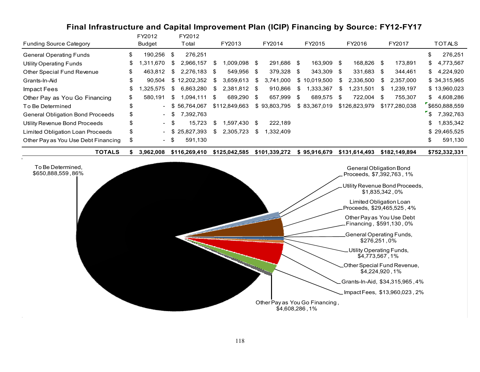# Final Infrastructure and Capital Improvement Plan (ICIP) Financing by Source: FY12-FY17

| <b>Funding Source Category</b>          | FY2012<br>Budget   |     | FY2012<br>Total |      | FY2013        |      | FY2014       |      | FY2015       |      | FY2016        |      | FY2017        |               | <b>TOTALS</b> |
|-----------------------------------------|--------------------|-----|-----------------|------|---------------|------|--------------|------|--------------|------|---------------|------|---------------|---------------|---------------|
|                                         |                    |     |                 |      |               |      |              |      |              |      |               |      |               |               |               |
| <b>General Operating Funds</b>          | \$<br>190,256      | \$  | 276,251         |      |               |      |              |      |              |      |               |      |               | \$            | 276,251       |
| <b>Utility Operating Funds</b>          | \$<br>1.670<br>.31 | \$. | 2,966,157       | - 56 | 800.090. ا    | - \$ | 291,686 \$   |      | 163,909 \$   |      | 168,826 \$    |      | 173.891       | SS.           | 4,773,567     |
| Other Special Fund Revenue              | \$<br>463,812      | \$. | 2,276,183       | S    | 549,956       | - \$ | 379,328      | - \$ | 343,309 \$   |      | 331,683 \$    |      | 344,461       | S.            | 4,224,920     |
| Grants-In-Aid                           | \$<br>90.504       |     | \$12,202,352    | S.   | 3,659,613     | S    | 3,741,000    |      | \$10,019,500 | S.   | 2,336,500     | S.   | 2.357.000     |               | \$34,315,965  |
| Impact Fees                             | \$<br>.325.575     | \$. | 6,863,280       | \$   | 2,381,812     | - \$ | 910,866      | \$.  | .333,367     | \$.  | .231,501      | \$.  | 1.239.197     |               | \$13,960,023  |
| Other Pay as You Go Financing           | \$<br>580.191      | \$  | 1.094.111       | \$   | 689.290       | - \$ | 657.999 \$   |      | 689.575      | - \$ | 722.004       | - \$ | 755.307       | \$.           | 4.608.286     |
| To Be Determined                        | \$                 |     | \$56.764.067    |      | \$112,849,663 |      | \$93.803.795 |      | \$83,367,019 |      | \$126,823,979 |      | \$177,280,038 |               | \$650,888,559 |
| <b>General Obligation Bond Proceeds</b> | \$<br>$\sim$       | \$. | 7,392,763       |      |               |      |              |      |              |      |               |      |               | $\mathcal{S}$ | 7.392.763     |
| Utility Revenue Bond Proceeds           | \$<br>$\sim$       | \$  | 15,723          | \$   | .597,430      |      | 222.189      |      |              |      |               |      |               | \$            | 1,835,342     |
| Limited Obligation Loan Proceeds        | \$                 |     | 25,827,393      | \$   | 2,305,723     | S    | 1,332,409    |      |              |      |               |      |               |               | \$29,465,525  |
| Other Pay as You Use Debt Financing     | \$<br>$\sim$       | \$  | 591,130         |      |               |      |              |      |              |      |               |      |               | \$            | 591,130       |

TOTALS 3,962,008 \$ 116,269,410 \$ 125,042,585 \$ 101,339,272 \$ 95,916,679 \$ 131,614,493 \$ 182,149,894 \$ 752,332,331 \$

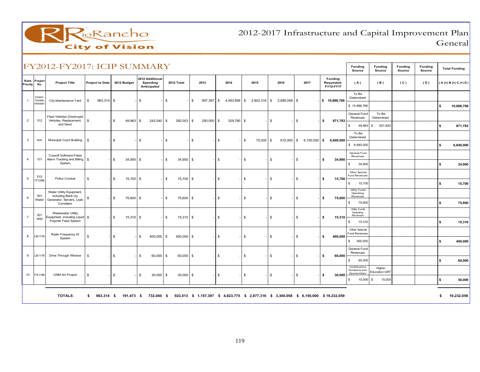

2012-2017 Infrastructure and Capital Improvement PlanGeneral

|                  |                  | FY2012-FY2017: ICIP SUMMARY                                               |                        |                   |                                            |                   |                    |                |              |                    |                |                                                                                        | Funding<br>Source                     | <b>Funding</b><br>Source | <b>Funding</b><br>Source | Funding<br>Source | <b>Total Funding</b> |            |
|------------------|------------------|---------------------------------------------------------------------------|------------------------|-------------------|--------------------------------------------|-------------------|--------------------|----------------|--------------|--------------------|----------------|----------------------------------------------------------------------------------------|---------------------------------------|--------------------------|--------------------------|-------------------|----------------------|------------|
| Rank<br>Priority | Project<br>No.   | <b>Project Title</b>                                                      | <b>Project to Date</b> | 2012 Budget       | 2012 Additional<br>Spending<br>Anticipated | 2012 Total        | 2013               | 2014           | 2015         | 2016               | 2017           | Funding<br>Requested:<br>FY12-FY17                                                     | (A)                                   | (B)                      | (C)                      | (D)               | $(A)+(B)+(C)+(D)$    |            |
|                  | PI0687<br>TD0990 | City Maintenance Yard                                                     | $\mathbb{S}$           |                   |                                            |                   |                    |                |              |                    |                |                                                                                        | To Be<br>Determined                   |                          |                          |                   |                      |            |
|                  | WW0991           |                                                                           | 963,314                | <b>S</b>          | \$                                         | \$                | \$<br>$907,397$ \$ | $4,493,995$ \$ | 2,802,316    | \$<br>2,685,058 \$ |                | \$ 10,888,766                                                                          | \$10,888,766                          |                          |                          |                   | \$                   | 10,888,766 |
| $\overline{2}$   | 312              | Fleet Vehicles (Destroyed<br>Vehicles, Replacement,                       | $\mathsf{\$}$          | \$<br>$49,963$ \$ | $242,040$ \$                               | 292,003 \$        | $250,000$ \$       | $329,780$ \$   |              | \$                 | \$             | 871,783<br>\$                                                                          | General Fund<br>Revenues              | To Be<br>Determined      |                          |                   |                      |            |
|                  |                  | and New)                                                                  |                        |                   |                                            |                   |                    |                |              |                    |                |                                                                                        | \$<br>49,963                          | 821,820<br>$\mathbb{S}$  |                          |                   | \$                   | 871,783    |
| 3                | N/A              | Municipal Court Building                                                  | - \$                   | \$                | S.                                         | \$                | $\mathfrak s$      | $\mathbb{S}$   | 75,000<br>\$ | 615,000 \$<br>- \$ | $6,150,000$ \$ | 6,840,000                                                                              | To Be<br>Determined                   |                          |                          |                   |                      |            |
|                  |                  |                                                                           |                        |                   |                                            |                   |                    |                |              |                    |                |                                                                                        | \$6,840,000                           |                          |                          |                   | s.                   | 6,840,000  |
| 4                | 101              | Crywolf Software-False<br>Alarm Tracking and Billing   \$                 |                        | $34,900$ \$<br>\$ |                                            | \$<br>$34,900$ \$ |                    | \$             | \$           | $\mathbb{S}$       | \$             | 34,900<br>S.                                                                           | General Fund<br>Revenues              |                          |                          |                   |                      |            |
|                  |                  | System                                                                    |                        |                   |                                            |                   |                    |                |              |                    |                |                                                                                        | \$<br>34,900                          |                          |                          |                   | \$                   | 34,900     |
| 5                | 313:<br>IT1256   | Police Conduit                                                            | $\mathbb{S}$           | $15,700$ \$<br>\$ |                                            | \$<br>15,700 \$   |                    | \$             | $\mathbb{S}$ | \$                 | \$             | s.<br>15,700                                                                           | Other Special<br><b>Fund Revenues</b> |                          |                          |                   |                      |            |
|                  |                  |                                                                           |                        |                   |                                            |                   |                    |                |              |                    |                |                                                                                        | \$<br>15,700<br><b>Utility Funds</b>  |                          |                          |                   | \$                   | 15,700     |
| 6                | 501<br>Water     | Water Utility Equipment,<br>including Back Up<br>Generator, Servers, Leak | -\$                    | \$<br>75,600 \$   |                                            | \$<br>75,600 \$   |                    | $\mathfrak s$  | $\mathbb{S}$ | \$                 | \$             | 75,600<br>s.                                                                           | Operating<br>Revenues                 |                          |                          |                   |                      |            |
|                  |                  | Correlator                                                                |                        |                   |                                            |                   |                    |                |              |                    |                |                                                                                        | \$<br>75,600<br><b>Utility Funds</b>  |                          |                          |                   | \$                   | 75,600     |
|                  | 501<br><b>WW</b> | <b>Wastewater Utility</b><br>Equipment, including Liquid   \$             |                        | \$<br>$15,310$ \$ |                                            | \$<br>$15,310$ \$ |                    | \$             | \$           | \$                 | \$             | s.<br>15,310                                                                           | Operating<br>Revenues                 |                          |                          |                   |                      |            |
|                  |                  | Polymer Feed System                                                       |                        |                   |                                            |                   |                    |                |              |                    |                |                                                                                        | \$<br>15,310<br>Other Special         |                          |                          |                   | \$                   | 15,310     |
| 8                | LB1176           | Radio Frequency ID<br>System                                              | \$                     | \$                | \$<br>$400,000$ \$                         | $400,000$ \$      |                    | \$             | \$           | \$                 | \$             | s.<br>400,000                                                                          | <b>Fund Revenues</b>                  |                          |                          |                   |                      |            |
|                  |                  |                                                                           |                        |                   |                                            |                   |                    |                |              |                    |                |                                                                                        | \$ 400,000<br>General Fund            |                          |                          |                   | \$                   | 400,000    |
| 9                | LB1179           | Drive Through Window                                                      | - \$                   | \$                | $60,000$ \$<br>\$                          | $60,000$ \$       |                    | \$             | \$           | $\mathbb{S}$       | \$             | 60.000<br>-S                                                                           | Revenues                              |                          |                          |                   |                      |            |
|                  |                  |                                                                           |                        |                   |                                            |                   |                    |                |              |                    |                |                                                                                        | \$<br>60,000<br>Contributions,        | Higher                   |                          |                   | \$                   | 60,000     |
| 10               | FS1189           | <b>UNM Art Project</b>                                                    | \$                     | \$                | $30,000$ \$<br>\$                          | $30,000$ \$       |                    | $\mathfrak s$  | \$           | \$                 | \$             | 30,000<br>s.                                                                           | Donations and<br>Sponsorships         | <b>Education GRT</b>     |                          |                   |                      |            |
|                  |                  |                                                                           |                        |                   |                                            |                   |                    |                |              |                    |                |                                                                                        | \$<br>15,000 \$                       | 15,000                   |                          |                   | \$                   | 30,000     |
|                  |                  | <b>TOTALS</b>                                                             | 963,314 \$<br>\$       | 191,473 \$        | 732,040 \$                                 |                   |                    |                |              |                    |                | 923,513 \$ 1,157,397 \$ 4,823,775 \$ 2,877,316 \$ 3,300,058 \$ 6,150,000 \$ 19,232,059 |                                       |                          |                          |                   | s.                   | 19,232,059 |
|                  |                  |                                                                           |                        |                   |                                            |                   |                    |                |              |                    |                |                                                                                        |                                       |                          |                          |                   |                      |            |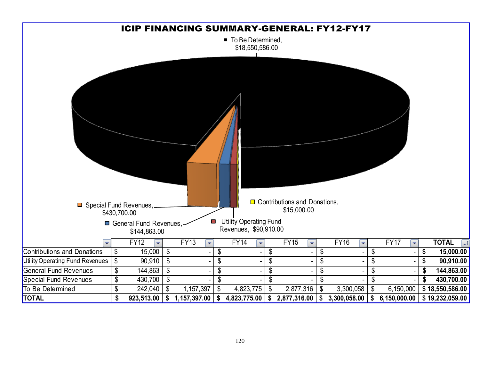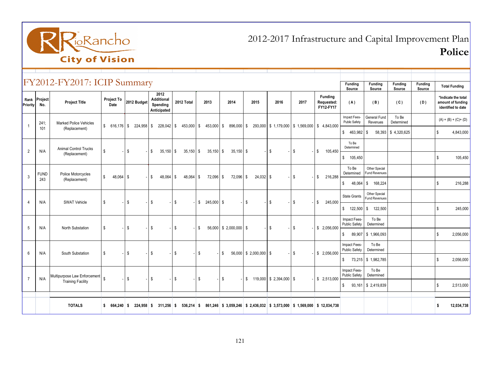

2012-2017 Infrastructure and Capital Improvement PlanPolice

|                 |                     | $ $ FY2012-FY2017: ICIP Summary   |    |                    |              |                                              |                    |                                               |                 |               |                          |             |                          |                                         |         |      |                                                                                        | Funding<br>Source                    | <b>Funding</b><br>Source              | <b>Funding</b><br>Source | <b>Funding</b><br>Source |                | <b>Total Funding</b>                                           |
|-----------------|---------------------|-----------------------------------|----|--------------------|--------------|----------------------------------------------|--------------------|-----------------------------------------------|-----------------|---------------|--------------------------|-------------|--------------------------|-----------------------------------------|---------|------|----------------------------------------------------------------------------------------|--------------------------------------|---------------------------------------|--------------------------|--------------------------|----------------|----------------------------------------------------------------|
| <b>Priority</b> | Rank Project<br>No. | <b>Project Title</b>              |    | Project To<br>Date |              | 2012 Budget                                  |                    | 2012<br>Additional<br>Spending<br>Anticipated | 2012 Total      | 2013          | 2014                     |             | 2015                     | 2016                                    |         | 2017 | <b>Funding</b><br>Requested:<br>FY12-FY17                                              | (A)                                  | (B)                                   | (C)                      | (D)                      |                | *Indicate the total<br>amount of funding<br>identified to date |
| $\overline{1}$  | 241:                | <b>Marked Police Vehicles</b>     |    |                    |              | $$616,176$ $$224,958$ $$228,042$ $$$         |                    |                                               |                 |               |                          |             |                          |                                         |         |      | 453,000 \$ 453,000 \$ 896,000 \$ 293,000 \$ 1,179,000 \$ 1,569,000 \$ 4,843,000        | Impact Fees-<br>Public Safety        | General Fund<br>Revenues              | To Be<br>Determined      |                          |                | $(A) + (B) + (C) + (D)$                                        |
|                 | 101                 | (Replacement)                     |    |                    |              |                                              |                    |                                               |                 |               |                          |             |                          |                                         |         |      |                                                                                        | \$463,982                            | \$                                    | 58,393 \$4,320,625       |                          | \$             | 4,843,000                                                      |
| $\overline{2}$  | N/A                 | <b>Animal Control Trucks</b>      | S  |                    | \$           |                                              | $\mathfrak{S}$     | $35,150$ \$                                   | $35,150$ \$     | $35,150$ \$   |                          | $35,150$ \$ |                          | \$                                      |         | \$   | 105,450<br>\$                                                                          | To Be<br>Determined                  |                                       |                          |                          |                |                                                                |
|                 |                     | (Replacement)                     |    |                    |              |                                              |                    |                                               |                 |               |                          |             |                          |                                         |         |      |                                                                                        | \$105,450                            |                                       |                          |                          | $\mathbb{S}$   | 105,450                                                        |
| $\mathbf{3}$    | <b>FUND</b>         | Police Motorcycles                | \$ | $48.064$ \$        |              |                                              | $\mathbb{S}$       | $48.064$ \$                                   | $48.064$ \ \ \$ | 72,096 \$     |                          | 72,096 \$   | $24,032$ \$              |                                         | \$      |      | 216,288<br>\$                                                                          | To Be<br>Determined                  | Other Special<br>Fund Revenues        |                          |                          |                |                                                                |
|                 | 243                 | (Replacement)                     |    |                    |              |                                              |                    |                                               |                 |               |                          |             |                          |                                         |         |      |                                                                                        | \$                                   | 48,064 \$ 168,224                     |                          |                          | $\mathbb{S}$   | 216,288                                                        |
| $\overline{4}$  | N/A                 | <b>SWAT Vehicle</b>               | \$ |                    | $\mathbf{s}$ |                                              | $\mathbf{s}$       |                                               | \$              | $$245,000$ \$ |                          |             | \$                       | \$                                      |         | \$   | \$<br>245,000                                                                          | <b>State Grants</b>                  | Other Special<br><b>Fund Revenues</b> |                          |                          |                |                                                                |
|                 |                     |                                   |    |                    |              |                                              |                    |                                               |                 |               |                          |             |                          |                                         |         |      |                                                                                        | $$122,500$ \$                        | 122,500                               |                          |                          | $\mathbb{S}$   | 245,000                                                        |
| 5               | N/A                 | North Substation                  | \$ |                    | $\sqrt{3}$   |                                              | l \$               |                                               | \$              | \$            | $56,000$ \$ 2,000,000 \$ |             |                          | \$                                      | \$      |      | \$2,056,000                                                                            | Impact Fees-<br><b>Public Safety</b> | To Be<br>Determined                   |                          |                          |                |                                                                |
|                 |                     |                                   |    |                    |              |                                              |                    |                                               |                 |               |                          |             |                          |                                         |         |      |                                                                                        | \$                                   | 89,907 \$1,966,093                    |                          |                          | $\mathbb{S}$   | 2,056,000                                                      |
| 6               | N/A                 | South Substation                  | \$ |                    | l \$         |                                              | $-1$ \$            |                                               | \$              | \$            | \$                       |             | $56,000$ \$ 2,000,000 \$ |                                         | $-1$ \$ |      | \$2,056,000                                                                            | Impact Fees-<br><b>Public Safety</b> | To Be<br>Determined                   |                          |                          |                |                                                                |
|                 |                     |                                   |    |                    |              |                                              |                    |                                               |                 |               |                          |             |                          |                                         |         |      |                                                                                        | \$                                   | 73,215 \$1,982,785                    |                          |                          | $\mathbf{s}$   | 2,056,000                                                      |
| $\overline{7}$  | N/A                 | Multipurpose Law Enforcement   \$ |    |                    | $\mathbf{s}$ |                                              | $\mathbf{\hat{s}}$ |                                               | \$              | \$            | \$                       |             |                          | $$119,000 \;   \; $2,394,000 \;   \; $$ |         |      | \$2,513,000                                                                            | Impact Fees-<br><b>Public Safety</b> | To Be<br>Determined                   |                          |                          |                |                                                                |
|                 |                     | <b>Training Facility</b>          |    |                    |              |                                              |                    |                                               |                 |               |                          |             |                          |                                         |         |      |                                                                                        | \$                                   | 93,161 \$2,419,839                    |                          |                          | $\mathfrak{s}$ | 2,513,000                                                      |
|                 |                     |                                   |    |                    |              |                                              |                    |                                               |                 |               |                          |             |                          |                                         |         |      |                                                                                        |                                      |                                       |                          |                          |                |                                                                |
|                 |                     | <b>TOTALS</b>                     |    |                    |              | $$664,240 \t{s} 224,958 \t{s} 311,256 \t{s}$ |                    |                                               |                 |               |                          |             |                          |                                         |         |      | $536,214$ \$ 861,246 \$ 3,059,246 \$ 2,436,032 \$ 3,573,000 \$ 1,569,000 \$ 12,034,738 |                                      |                                       |                          |                          | Ŝ              | 12,034,738                                                     |

121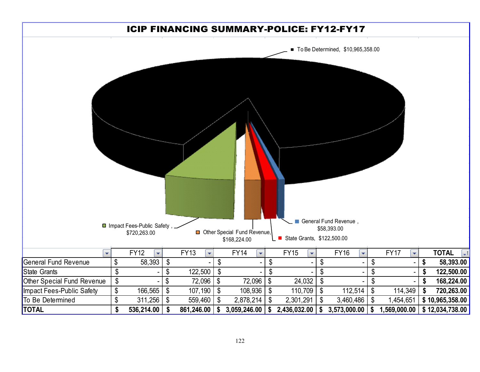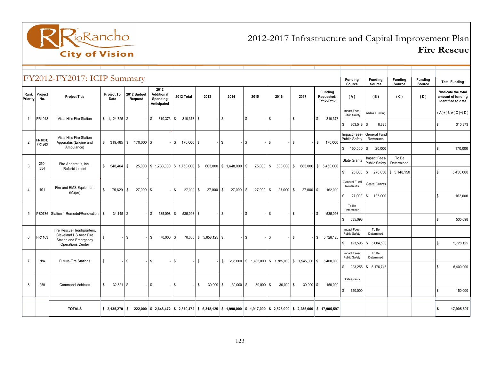

# 2012-2017 Infrastructure and Capital Improvement PlanFire Rescue

|                  | FY2012-FY2017: ICIP Summary |                                                     |                    |                        |                                                      |                            |                        |                         |                             |             |             |                                                                                                                  |                                      |                                      |                                |                   |                                                                |
|------------------|-----------------------------|-----------------------------------------------------|--------------------|------------------------|------------------------------------------------------|----------------------------|------------------------|-------------------------|-----------------------------|-------------|-------------|------------------------------------------------------------------------------------------------------------------|--------------------------------------|--------------------------------------|--------------------------------|-------------------|----------------------------------------------------------------|
|                  |                             |                                                     |                    |                        |                                                      |                            |                        |                         |                             |             |             |                                                                                                                  | Funding<br>Source                    | Funding<br>Source                    | Funding<br>Source              | Funding<br>Source | <b>Total Funding</b>                                           |
| Rank<br>Priority | Project<br>No.              | <b>Project Title</b>                                | Project To<br>Date | 2012 Budget<br>Request | 2012<br><b>Additional</b><br>Spending<br>Anticipated | 2012 Total                 | 2013                   | 2014                    | 2015                        | 2016        | 2017        | <b>Funding</b><br>Requested:<br>FY12-FY17                                                                        | (A)                                  | (B)                                  | (C)                            | (D)               | *Indicate the total<br>amount of funding<br>identified to date |
| $\overline{1}$   | FR1048                      | Vista Hills Fire Station                            |                    |                        | $\mathbb{S}$<br>$310,373$ \$                         | $310,373$ \$               |                        | \$                      | \$                          | \$          | \$          | \$<br>310,373                                                                                                    | Impact Fees-<br>Public Safety        | <b>ARRA Funding</b>                  |                                |                   | $(A)+(B)+(C)+(D)$                                              |
|                  |                             |                                                     |                    |                        |                                                      |                            |                        |                         |                             |             |             |                                                                                                                  | \$<br>$303,548$ \$                   | 6,825                                |                                |                   | \$<br>310,373                                                  |
| 2                | FR1001                      | Vista Hills Fire Station<br>Apparatus (Engine and   | $$319,485$ \ \$    | 170,000 \$             |                                                      | $\mathbf{s}$<br>170,000 \$ |                        | \$                      | \$                          | \$          | \$          | \$<br>170,000                                                                                                    | Impact Fees-<br><b>Public Safety</b> | General Fund<br>Revenues             |                                |                   |                                                                |
|                  | FR1263                      | Ambulance)                                          |                    |                        |                                                      |                            |                        |                         |                             |             |             |                                                                                                                  | \$<br>150,000 \$                     | 20,000                               |                                |                   | \$<br>170,000                                                  |
| 3                | 250:                        | Fire Apparatus, incl.                               | \$<br>548.464      | l \$                   | $25,000$ \$ 1,733,000 \$ 1,758,000 \$                |                            |                        | 603,000 \$ 1,648,000 \$ | 75,000 \$                   | 683,000 \$  |             | 683,000 \$ 5,450,000                                                                                             | <b>State Grants</b>                  | Impact Fees-<br><b>Public Safety</b> | To Be<br>Determined            |                   |                                                                |
|                  | 354                         | Refurbishment                                       |                    |                        |                                                      |                            |                        |                         |                             |             |             |                                                                                                                  | $\mathbb{S}$                         |                                      | 25,000 \$ 276,850 \$ 5,148,150 |                   | \$<br>5,450,000                                                |
| $\overline{4}$   | 101                         | Fire and EMS Equipment                              | \$<br>75,629 \$    | $27,000$ \$            |                                                      | \$<br>$27,000$ \$          | $27,000$ \$            | 27,000 \$               | $27,000$ \$                 | $27,000$ \$ | $27,000$ \$ | 162,000                                                                                                          | General Fund<br>Revenues             | <b>State Grants</b>                  |                                |                   |                                                                |
|                  |                             | (Major)                                             |                    |                        |                                                      |                            |                        |                         |                             |             |             |                                                                                                                  | \$<br>$27,000$ \$                    | 135,000                              |                                |                   | \$<br>162,000                                                  |
| 5                |                             | PS0786 Station 1 Remodel/Renovation                 | $34,145$ \$<br>\$  |                        | \$<br>$535,098$ \$                                   | 535,098 \$                 |                        | \$                      | \$                          | \$          | \$          | \$<br>535,098                                                                                                    | To Be<br>Determined                  |                                      |                                |                   |                                                                |
|                  |                             |                                                     |                    |                        |                                                      |                            |                        |                         |                             |             |             |                                                                                                                  | \$<br>535.098                        |                                      |                                |                   | 535.098<br>S.                                                  |
| 6                | FR1103                      | Fire Rescue Headquarters,<br>Cleveland HS Area Fire | \$                 | l \$                   | \$<br>70,000 \$                                      |                            | 70,000 \$ 5,658,125 \$ |                         | \$                          | \$          | \$          | \$5,728,125                                                                                                      | Impact Fees-<br>Public Safety        | To Be<br>Determined                  |                                |                   |                                                                |
|                  |                             | Station, and Emergency<br><b>Operations Center</b>  |                    |                        |                                                      |                            |                        |                         |                             |             |             |                                                                                                                  | \$                                   | 123,595 \$ 5,604,530                 |                                |                   | 5,728,125<br>\$                                                |
| $\overline{7}$   | N/A                         |                                                     | <sup>\$</sup>      | - IS                   | \$                                                   | \$                         | \$                     | s.                      |                             |             |             | 285,000 \$ 1,785,000 \$ 1,785,000 \$ 1,545,000 \$ 5,400,000                                                      | Impact Fees-<br>Public Safety        | To Be<br>Determined                  |                                |                   |                                                                |
|                  |                             | <b>Future-Fire Stations</b>                         |                    |                        |                                                      |                            |                        |                         |                             |             |             |                                                                                                                  | \$                                   | 223,255 \$ 5,176,746                 |                                |                   | 5,400,000<br>\$                                                |
| $\mathsf{R}$     | 250                         | <b>Command Vehicles</b>                             | \$<br>$32,821$ \$  |                        | $\mathbb{S}$                                         | \$                         | \$<br>30,000           | \$<br>30,000            | $\mathbb{S}$<br>$30,000$ \$ | $30,000$ \$ | $30,000$ \$ | 150,000                                                                                                          | <b>State Grants</b>                  |                                      |                                |                   |                                                                |
|                  |                             |                                                     |                    |                        |                                                      |                            |                        |                         |                             |             |             |                                                                                                                  | \$<br>150,000                        |                                      |                                |                   | \$<br>150,000                                                  |
|                  |                             | <b>TOTALS</b>                                       | $$2,135,270$ \$    |                        |                                                      |                            |                        |                         |                             |             |             | 222,000 \$ 2,648,472 \$ 2,870,472 \$ 6,318,125 \$ 1,990,000 \$ 1,917,000 \$ 2,525,000 \$ 2,285,000 \$ 17,905,597 |                                      |                                      |                                |                   | 17,905,597<br>\$                                               |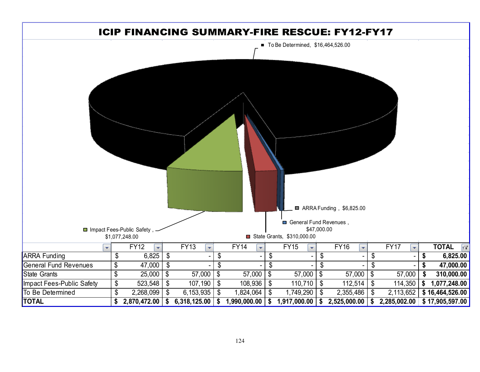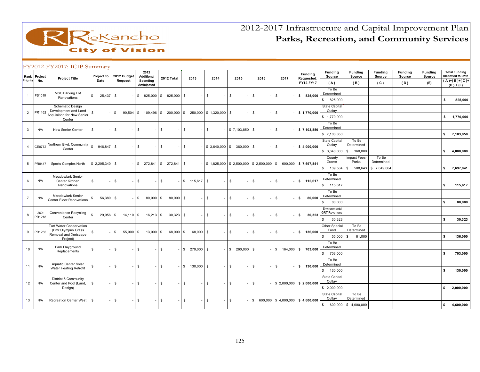

|                |                     | FY2012-FY2017: ICIP Summary                               |                             |              |             |                                       |                           |                                    |              |                             |               |                                                                                                                                      |                                      |                                       |                          |                           |                          |                          |                                                   |
|----------------|---------------------|-----------------------------------------------------------|-----------------------------|--------------|-------------|---------------------------------------|---------------------------|------------------------------------|--------------|-----------------------------|---------------|--------------------------------------------------------------------------------------------------------------------------------------|--------------------------------------|---------------------------------------|--------------------------|---------------------------|--------------------------|--------------------------|---------------------------------------------------|
| Priority       | Rank Project<br>No. | <b>Project Title</b>                                      | Project to<br>Date          | Request      | 2012 Budget | 2012<br><b>Additional</b><br>Spending | 2012 Total                | 2013                               | 2014         | 2015                        | 2016          | 2017                                                                                                                                 | Funding<br>Requested:                | <b>Funding</b><br>Source              | <b>Funding</b><br>Source | Funding<br>Source         | <b>Funding</b><br>Source | <b>Funding</b><br>Source | <b>Total Funding</b><br><b>Identified to Date</b> |
|                |                     |                                                           |                             |              |             | Anticipated                           |                           |                                    |              |                             |               |                                                                                                                                      | FY12-FY17                            | (A)                                   | (B)                      | (C)                       | (D)                      | (E)                      | $(A)+(B)+(C)+$<br>$(D) + (E)$                     |
|                |                     | <b>MSC Parking Lot</b>                                    |                             |              |             |                                       |                           |                                    |              |                             |               |                                                                                                                                      |                                      | To Be<br>Determined                   |                          |                           |                          |                          |                                                   |
| $\mathbf{1}$   | FS1010              | Renovations                                               | \$<br>$25,437$ \$           |              |             | $$825,000$ \$                         | 825,000 \$                |                                    | $\mathbb{S}$ | \$                          | \$            | \$                                                                                                                                   | \$825,000                            | 825,000<br>\$                         |                          |                           |                          |                          | \$<br>825,000                                     |
|                |                     | Schematic Design                                          |                             |              |             |                                       |                           |                                    |              |                             |               |                                                                                                                                      |                                      | State Capital                         |                          |                           |                          |                          |                                                   |
| $\overline{2}$ | PR1162              | Development and Land<br><b>Acquisition for New Senior</b> | \$                          | <b>S</b>     | 90,504      | 109,496 \$<br>- \$                    |                           | 200,000 \$ 250,000 \$ 1,320,000 \$ |              |                             | \$            | \$                                                                                                                                   | \$1,770,000                          | Outlay<br>\$1,770,000                 |                          |                           |                          |                          | s.<br>1,770,000                                   |
|                |                     | Center                                                    |                             |              |             |                                       |                           |                                    |              |                             |               |                                                                                                                                      |                                      | To Be                                 |                          |                           |                          |                          |                                                   |
| 3              | N/A                 | New Senior Center                                         | <b>S</b>                    | $\mathbb{S}$ |             | \$                                    | \$                        | \$                                 | $\mathbb{S}$ | \$7,103,850                 | <b>S</b>      | \$                                                                                                                                   | \$7,103,850                          | Determined                            |                          |                           |                          |                          |                                                   |
|                |                     |                                                           |                             |              |             |                                       |                           |                                    |              |                             |               |                                                                                                                                      |                                      | \$7,103,850                           |                          |                           |                          |                          | \$7,103,850                                       |
|                |                     | Northern Blvd. Community                                  |                             |              |             |                                       |                           |                                    |              |                             |               |                                                                                                                                      |                                      | State Capital<br>Outlay               | To Be<br>Determined      |                           |                          |                          |                                                   |
| $\overline{4}$ | CE0772              | Center                                                    |                             |              |             | \$                                    | $\sqrt{3}$                | \$                                 |              | $$3,640,000$ $$360,000$ $$$ |               | \$                                                                                                                                   | \$4,000,000                          | \$3,640,000                           | 360,000<br>\$            |                           |                          |                          | \$<br>4,000,000                                   |
|                |                     |                                                           |                             |              |             |                                       |                           |                                    |              |                             |               |                                                                                                                                      |                                      | County                                | Impact Fees-             | To Be                     |                          |                          |                                                   |
| 5              | PR0447              | Sports Complex North                                      |                             |              |             |                                       | $$272,841$ $$272,841$ $$$ |                                    |              |                             |               | $\frac{1}{2}$ \$ 1,825,000 $\frac{1}{2}$ \$ 2,500,000 $\frac{1}{2}$ \$ 2,500,000 $\frac{1}{2}$ \$ 600,000 $\frac{1}{2}$ \$ 7,697,841 |                                      | Grants<br>$\mathbb{S}$<br>139,534     | Parks<br>508,643<br>\$   | Determined<br>\$7,049,664 |                          |                          | \$<br>7,697,841                                   |
|                |                     |                                                           |                             |              |             |                                       |                           |                                    |              |                             |               |                                                                                                                                      |                                      | To Be                                 |                          |                           |                          |                          |                                                   |
| 6              | N/A                 | <b>Meadowlark Senior</b><br>Center Kitchen                | \$                          | $\mathbb{S}$ |             | \$                                    | \$                        | $$115,617$ \$                      |              | $\mathbb{S}$                | $\mathfrak s$ | \$                                                                                                                                   | \$ 115,617                           | Determined                            |                          |                           |                          |                          |                                                   |
|                |                     | Renovations                                               |                             |              |             |                                       |                           |                                    |              |                             |               |                                                                                                                                      |                                      | \$ 115,617                            |                          |                           |                          |                          | \$<br>115,617                                     |
|                |                     | <b>Meadowlark Senior</b>                                  |                             |              |             |                                       |                           |                                    |              |                             |               |                                                                                                                                      |                                      | To Be<br>Determined                   |                          |                           |                          |                          |                                                   |
| $\overline{7}$ | N/A                 | <b>Center Floor Renovations</b>                           | $56,380$ \$<br>\$           |              |             | 80,000 \$<br>\$                       | 80,000 \$                 |                                    | \$           | \$                          | \$            | \$                                                                                                                                   | 80,000<br>s.                         | $\mathbb{S}$<br>80,000                |                          |                           |                          |                          | \$<br>80,000                                      |
|                |                     |                                                           |                             |              |             |                                       |                           |                                    |              |                             |               |                                                                                                                                      |                                      | Environmental                         |                          |                           |                          |                          |                                                   |
| 8              | 260;<br>PR1218      | <b>Convenience Recycling</b><br>Center                    | $\mathbf{s}$<br>$29,956$ \$ |              | $14,110$ \$ | $16,213$ \$                           | $30,323$ \$               |                                    | $\mathbb{S}$ | \$                          | $\mathfrak s$ | \$                                                                                                                                   | \$<br>30,323                         | <b>GRT</b> Revenues<br>30,323<br>\$   |                          |                           |                          |                          | \$<br>30,323                                      |
|                |                     | <b>Turf Water Conservation</b>                            |                             |              |             |                                       |                           |                                    |              |                             |               |                                                                                                                                      |                                      | <b>Other Special</b>                  | To Be                    |                           |                          |                          |                                                   |
| 9              | PR1255              | (Fmr Olympus Grass<br>Removal and Xeriscape               | \$                          | <b>S</b>     | $55,000$ \$ | $13,000$ \$                           | 68,000 \$                 | 68,000 \$                          |              | $\mathbb{S}$                | $\mathbb{S}$  | \$                                                                                                                                   | \$ 136.000                           | Fund                                  | Determined               |                           |                          |                          |                                                   |
|                |                     | Project)                                                  |                             |              |             |                                       |                           |                                    |              |                             |               |                                                                                                                                      |                                      | $\mathfrak s$<br>55,000               | 81,000<br>- \$           |                           |                          |                          | \$<br>136,000                                     |
| 10             | N/A                 | Park Playground                                           | $\boldsymbol{\mathsf{s}}$   | $\mathbb{S}$ |             | \$                                    | S.                        | $$279,000$ \$                      |              | \$260,000                   | \$            |                                                                                                                                      | $$164,000$ \$ 703,000                | To Be<br>Determined                   |                          |                           |                          |                          |                                                   |
|                |                     | Replacements                                              |                             |              |             |                                       |                           |                                    |              |                             |               |                                                                                                                                      |                                      | \$703,000                             |                          |                           |                          |                          | \$<br>703,000                                     |
|                |                     | Aquatic Center Solar                                      |                             |              |             |                                       |                           |                                    |              |                             |               |                                                                                                                                      |                                      | To Be                                 |                          |                           |                          |                          |                                                   |
| 11             | N/A                 | Water Heating Retrofit                                    | \$                          | \$           |             | \$                                    | \$                        | $$130,000$ \$                      |              | $\mathbb{S}$                | \$            | \$                                                                                                                                   | \$ 130,000                           | Determined<br>$\mathbb{S}$<br>130,000 |                          |                           |                          |                          | \$<br>130,000                                     |
|                |                     | District 6 Community                                      |                             |              |             |                                       |                           |                                    |              |                             |               |                                                                                                                                      |                                      | <b>State Capital</b>                  |                          |                           |                          |                          |                                                   |
| 12             | N/A                 | Center and Pool (Land,                                    | \$                          | $\mathbb{S}$ |             | \$                                    | $\mathfrak{s}$            | \$                                 | \$           | \$                          | \$            |                                                                                                                                      | $$2,000,000$ \$ 2,000,000            | Outlay                                |                          |                           |                          |                          |                                                   |
|                |                     | Design)                                                   |                             |              |             |                                       |                           |                                    |              |                             |               |                                                                                                                                      |                                      | \$2,000,000                           |                          |                           |                          |                          | \$<br>2,000,000                                   |
| 13             | N/A                 | <b>Recreation Center West</b>                             | \$                          | $\mathbb{S}$ |             | \$                                    | \$                        | \$                                 | \$           | \$                          |               |                                                                                                                                      | $$600,000$ $$4,000,000$ $$4,600,000$ | State Capital<br>Outlay               | To Be<br>Determined      |                           |                          |                          |                                                   |
|                |                     |                                                           |                             |              |             |                                       |                           |                                    |              |                             |               |                                                                                                                                      |                                      | 600,000<br>$\mathfrak{S}$             | \$4,000,000              |                           |                          |                          | \$<br>4,600,000                                   |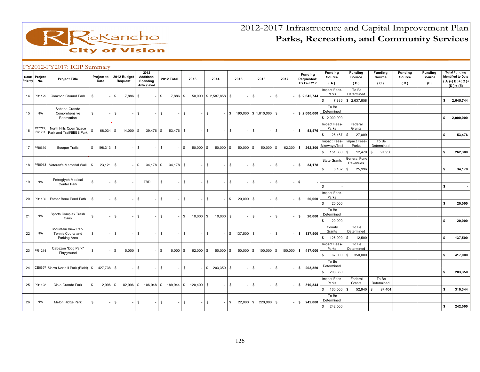

| Priority | Rank Project<br>No. | <b>Project Title</b>                   | Project to<br>Date           |    | 2012 Budget<br>Request |      | 2012<br><b>Additional</b><br>Spending |               | 2012 Total  | 2013                                    |              | 2014               |              | 2015           | 2016                                      | 2017         | Funding<br>Requested:<br>FY12-FY17 |        | <b>Funding</b><br>Source<br>(A)       | <b>Funding</b><br>Source<br>(B) | <b>Funding</b><br>Source<br>(C) | <b>Funding</b><br>Source<br>(D) | <b>Funding</b><br>Source<br>(E) | <b>Total Funding</b><br><b>Identified to Date</b><br>$(A)+(B)+(C)+$ |
|----------|---------------------|----------------------------------------|------------------------------|----|------------------------|------|---------------------------------------|---------------|-------------|-----------------------------------------|--------------|--------------------|--------------|----------------|-------------------------------------------|--------------|------------------------------------|--------|---------------------------------------|---------------------------------|---------------------------------|---------------------------------|---------------------------------|---------------------------------------------------------------------|
| 14       | PR1129              | Common Ground Park                     | - \$                         | \$ | 7,886 \$               |      | Anticipated                           | $\mathfrak s$ | 7,886 \$    |                                         |              | 50,000 \$2,587,858 | l S          |                | \$                                        | \$           | \$2,645,744                        |        | Impact Fees-<br>Parks                 | To Be<br>Determined             |                                 |                                 |                                 | $(D) + (E)$                                                         |
|          |                     |                                        |                              |    |                        |      |                                       |               |             |                                         |              |                    |              |                |                                           |              |                                    |        | $\mathfrak s$<br>7,886                | \$2,637,858                     |                                 |                                 |                                 | \$<br>2,645,744                                                     |
|          |                     | Sabana Grande                          |                              |    |                        |      |                                       |               |             |                                         |              |                    |              |                |                                           |              |                                    |        | To Be<br>Determined                   |                                 |                                 |                                 |                                 |                                                                     |
| 15       | N/A                 | Comprehensive<br>Renovation            | \$                           | \$ |                        | \$   |                                       | \$            |             | $\mathbb{S}$                            | \$           |                    | S.           |                | 190,000 \$1,810,000 \$                    |              | \$2,000,000                        |        | \$2,000,000                           |                                 |                                 |                                 |                                 | \$<br>2,000,000                                                     |
|          | CE0773:             | North Hills Open Space                 |                              |    |                        |      |                                       |               |             |                                         |              |                    |              |                |                                           |              |                                    |        | Impact Fees-<br>Parks                 | Federal<br>Grants               |                                 |                                 |                                 |                                                                     |
| 16       | FS1011              | Park and Trail/BBBS Park               | 68,034 \$<br>\$              |    | $14,000$ $\sqrt{5}$    |      | 39,476 \$                             |               | $53,476$ \$ |                                         | $\mathbb{S}$ |                    | $\mathbb{S}$ |                | \$                                        | \$           | \$                                 | 53,476 | $\mathfrak s$<br>26,467               | 27,009<br>- \$                  |                                 |                                 |                                 | \$<br>53,476                                                        |
|          |                     |                                        |                              |    |                        |      |                                       |               |             |                                         |              |                    |              |                |                                           |              |                                    |        | Impact Fees-<br>Bikeways/Trai         | Impact Fees-<br>Parks           | To Be<br>Determined             |                                 |                                 |                                                                     |
| 17       | PR0639              | <b>Bosque Trails</b>                   | $\mathbb{S}$<br>$198,313$ \$ |    |                        | \$   |                                       | $\mathfrak s$ |             | \$<br>50,000                            | $\mathbb{S}$ | 50,000             | $\mathbf{s}$ | $50,000$ \$    | $50,000$ \$                               |              | 62,300 \$ 262,300                  |        | \$ 151,880                            | 12,470<br>- \$                  | 97,950<br>-S                    |                                 |                                 | \$<br>262,300                                                       |
|          |                     |                                        |                              |    |                        |      |                                       |               |             |                                         |              |                    |              |                |                                           |              |                                    |        | <b>State Grants</b>                   | General Fund<br>Revenues        |                                 |                                 |                                 |                                                                     |
| 18       | PR0913              | Veteran's Memorial Wall                | $23,121$ \$<br>S.            |    |                        | -8   | 34,178 \$                             |               | $34,178$ \$ |                                         | \$           |                    | \$           |                | \$                                        | \$           | s.                                 | 34,178 | s.<br>$8,182$ \$                      | 25,996                          |                                 |                                 |                                 | \$<br>34,178                                                        |
|          |                     | Petroglyph Medical                     |                              |    |                        |      |                                       |               |             |                                         |              |                    |              |                |                                           |              |                                    |        |                                       |                                 |                                 |                                 |                                 |                                                                     |
| 19       | N/A                 | Center Park                            | \$                           | s. |                        |      | <b>TBD</b>                            | \$            |             | \$                                      | \$           |                    | \$           |                | \$                                        | $\mathbb{S}$ | <b>S</b>                           |        | $\mathbb{S}$                          |                                 |                                 |                                 |                                 | \$                                                                  |
|          |                     |                                        |                              |    |                        |      |                                       |               |             |                                         |              |                    |              |                |                                           |              |                                    |        | Impact Fees-<br>Parks                 |                                 |                                 |                                 |                                 |                                                                     |
| 20       | PR1130              | Esther Bone Pond Path                  | - \$                         | \$ |                        | \$   |                                       | \$            |             | $\mathbb{S}$                            | \$           |                    | S.           | $20,000$ \$    |                                           | \$           | s.                                 | 20,000 | \$<br>20,000                          |                                 |                                 |                                 |                                 | \$<br>20,000                                                        |
|          |                     | Sports Complex Trash                   |                              |    |                        |      |                                       |               |             |                                         |              |                    |              |                |                                           |              |                                    |        | To Be<br>Determined                   |                                 |                                 |                                 |                                 |                                                                     |
| 21       | N/A                 | Cans                                   | <b>S</b>                     | \$ |                        | \$   |                                       | -S            |             | \$<br>10,000                            | $\mathbb{S}$ | 10,000             | l S          |                | \$                                        | $\mathbb{S}$ | s.                                 | 20,000 | \$<br>20,000                          |                                 |                                 |                                 |                                 | \$<br>20,000                                                        |
|          |                     | Mountain View Park                     |                              |    |                        |      |                                       |               |             |                                         |              |                    |              |                |                                           |              |                                    |        | County<br>Grants                      | To Be<br>Determined             |                                 |                                 |                                 |                                                                     |
| 22       | N/A                 | Tennis Courts and<br>Parking Area      | \$                           | s. |                        | \$   |                                       | \$            |             | \$                                      | $\mathbb{S}$ |                    |              | $$ 137,500$ \$ |                                           | \$           | \$ 137,500                         |        | \$ 125,000                            | 12,500<br>$\mathbf{\hat{S}}$    |                                 |                                 |                                 | \$<br>137,500                                                       |
|          |                     | Cabezon "Dog Park"                     |                              |    |                        |      |                                       |               |             |                                         |              |                    |              |                |                                           |              |                                    |        | Impact Fees-<br>Parks                 | To Be<br>Determined             |                                 |                                 |                                 |                                                                     |
| 23       | PR1214              | Playground                             | \$                           | \$ | $5,000$ \$             |      |                                       | \$            | $5,000$ \$  | 62,000                                  | S.           | 50,000             | S.           |                | $50,000$ \$ 100,000 \$ 150,000 \$ 417,000 |              |                                    |        | \$<br>67,000                          | S.<br>350,000                   |                                 |                                 |                                 | \$<br>417,000                                                       |
|          |                     |                                        |                              |    |                        |      |                                       |               |             |                                         |              |                    |              |                |                                           |              |                                    |        | To Be<br>Determined                   |                                 |                                 |                                 |                                 |                                                                     |
| 24       |                     | CE0697 Sierra North II Park (Field) \$ | 427,738 \$                   |    |                        | -1\$ |                                       | \$            |             | \$                                      |              | $$203,350$ \ \$    |              |                | \$                                        | \$           | \$203,350                          |        | 203.350<br>$\mathbb{S}$               |                                 |                                 |                                 |                                 | \$<br>203,350                                                       |
|          |                     |                                        |                              |    |                        |      |                                       |               |             |                                         |              |                    |              |                |                                           |              |                                    |        | Impact Fees-                          | Federal                         | To Be                           |                                 |                                 |                                                                     |
| 25       | PR1128              | Cielo Grande Park                      | $2,996$ \$<br>s.             |    |                        |      |                                       |               |             | 82,996 \$ 106,948 \$ 189,944 \$ 120,400 | $\mathbb{S}$ |                    | $\mathbb{S}$ |                | \$                                        | \$           | \$310,344                          |        | Parks<br>$\mathfrak s$<br>160,000     | Grants<br>52,940<br>$.$ \$      | Determined<br>97,404<br>- \$    |                                 |                                 | \$<br>310,344                                                       |
|          |                     |                                        |                              |    |                        |      |                                       |               |             |                                         |              |                    |              |                |                                           |              |                                    |        | To Be                                 |                                 |                                 |                                 |                                 |                                                                     |
| 26       | N/A                 | Melon Ridge Park                       | - \$                         | \$ |                        | - \$ |                                       | \$            |             | $\mathbb{S}$                            | $\mathbb{S}$ |                    | \$           |                | 22,000 \$ 220,000                         | \$           | \$242,000                          |        | Determined<br>$\mathbb{S}$<br>242,000 |                                 |                                 |                                 |                                 | \$<br>242,000                                                       |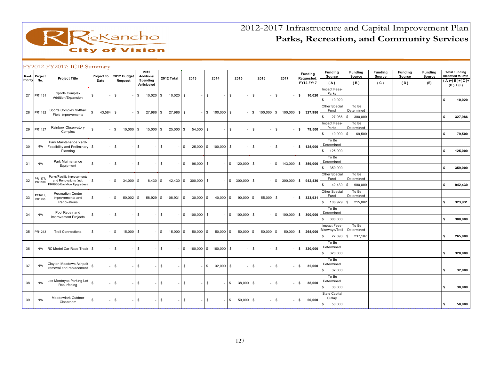

|          | Rank Project | <b>Project Title</b>                                  | Project to    |    | 2012 Budget |                | 2012<br><b>Additional</b> |            | 2012 Total  |              | 2013                     | 2014              |             | 2015                 |               | 2016                             |               | 2017                  |    | Funding<br>Requested: | <b>Funding</b><br>Source         | <b>Funding</b><br>Source     | Funding<br>Source | <b>Funding</b><br>Source | <b>Funding</b><br>Source | <b>Total Funding</b><br><b>Identified to Date</b> |
|----------|--------------|-------------------------------------------------------|---------------|----|-------------|----------------|---------------------------|------------|-------------|--------------|--------------------------|-------------------|-------------|----------------------|---------------|----------------------------------|---------------|-----------------------|----|-----------------------|----------------------------------|------------------------------|-------------------|--------------------------|--------------------------|---------------------------------------------------|
| Priority | No.          |                                                       | Date          |    | Request     |                | Spending<br>Anticipated   |            |             |              |                          |                   |             |                      |               |                                  |               |                       |    | FY12-FY17             | (A)                              | (B)                          | (C)               | (D)                      | (E)                      | $\overline{(A)}$ + $(B)$ + $(C)$ +<br>$(D) + (E)$ |
|          |              | Sports Complex                                        |               |    |             | $\mathbb{S}$   |                           |            |             |              |                          |                   |             |                      | $\mathfrak s$ |                                  |               |                       |    |                       | Impact Fees-<br>Parks            |                              |                   |                          |                          |                                                   |
| 27       | PR1131       | Addition/Expansion                                    | \$            | \$ |             |                | $10,020$ \$               |            | $10,020$ \$ |              |                          | $\mathbb{S}$      |             | \$                   |               |                                  | $\mathfrak s$ |                       | s. | 10,020                | $\mathbb{S}$<br>10,020           |                              |                   |                          |                          | \$<br>10,020                                      |
|          |              | Sports Complex Softball                               |               |    |             |                |                           |            |             |              |                          |                   |             |                      |               |                                  |               |                       |    |                       | Other Special<br>Fund            | To Be<br>Determined          |                   |                          |                          |                                                   |
| 28       | PR1182       | Field Improvements                                    | \$<br>43,584  | -S |             |                | $$27,986$ \$              |            | 27,986      | \$           |                          | $-$ \$ 100,000 \$ |             |                      |               | $$100,000$ $$100,000$ $$327,986$ |               |                       |    |                       | $\mathbb{S}$<br>27,986           | 300,000<br>l S               |                   |                          |                          | \$<br>327,986                                     |
|          |              |                                                       |               |    |             |                |                           |            |             |              |                          |                   |             |                      |               |                                  |               |                       |    |                       | Impact Fees-                     | To Be                        |                   |                          |                          |                                                   |
| 29       | PR1127       | Rainbow Observatory<br>Complex                        | \$            | \$ | 10,000      | <b>\$</b>      | $15,000$ \$               |            | $25,000$ \$ |              | 54,500 \$                |                   |             | - \$                 | \$            |                                  | \$            |                       | \$ | 79,500                | Parks<br>\$<br>10,000            | Determined<br>ls.<br>69,500  |                   |                          |                          | \$<br>79,500                                      |
|          |              | Park Maintenance Yard-                                |               |    |             |                |                           |            |             |              |                          |                   |             |                      |               |                                  |               |                       |    |                       | To Be                            |                              |                   |                          |                          |                                                   |
| 30       | N/A          | Feasibility and Preliminary \$                        |               | S. |             | \$             |                           | \$         |             | $\mathbb{S}$ | 25,000 \$                |                   | 100,000 \$  |                      | $\mathfrak s$ |                                  | $\mathfrak s$ |                       |    | \$ 125,000            | Determined                       |                              |                   |                          |                          |                                                   |
|          |              | Planning                                              |               |    |             |                |                           |            |             |              |                          |                   |             |                      |               |                                  |               |                       |    |                       | \$ 125,000<br>To Be              |                              |                   |                          |                          | \$<br>125,000                                     |
| 31       | N/A          | Park Maintenance<br>Equipment                         | \$            | \$ |             | $\mathfrak{S}$ |                           | \$         |             | \$           | 96,000                   | - \$              |             | \$ 120,000           | \$            |                                  |               | $$143,000$ \$ 359,000 |    |                       | Determined                       |                              |                   |                          |                          |                                                   |
|          |              |                                                       |               |    |             |                |                           |            |             |              |                          |                   |             |                      |               |                                  |               |                       |    |                       | 359,000<br>\$                    |                              |                   |                          |                          | \$<br>359,000                                     |
| 32       | PR1177       | Parks/Facility Improvements<br>and Renovations (incl. | \$            | \$ | $34,000$ \$ |                | $8,430$ \$                |            | $42,430$ \$ |              | 300,000 \$               |                   |             | $$300,000$ \$        |               |                                  |               | $$300,000$ \$         |    | 942.430               | Other Special<br>Fund            | To Be<br>Determined          |                   |                          |                          |                                                   |
|          | PR1180       | PR0966-Backflow Upgrades)                             |               |    |             |                |                           |            |             |              |                          |                   |             |                      |               |                                  |               |                       |    |                       | 42,430<br>\$                     | 900,000<br>l \$              |                   |                          |                          | \$<br>942,430                                     |
|          | PR1011       | <b>Recreation Center</b>                              |               |    |             |                |                           |            |             |              |                          |                   |             |                      |               |                                  |               |                       |    |                       | Other Special<br>Fund            | To Be<br>Determined          |                   |                          |                          |                                                   |
| 33       | PR1258       | Improvements and<br>Renovations                       | \$            | \$ | $50,002$ \$ |                | $58,929$ \$               |            | 108,931     | l S          | $30,000$ \$              |                   | 40,000      | <b>S</b><br>90,000   | \$            | 55,000 \$                        |               |                       |    | \$323,931             | $\mathbb{S}$<br>108,929          | 215,002<br>S.                |                   |                          |                          | \$<br>323,931                                     |
|          |              | Pool Repair and                                       |               |    |             |                |                           |            |             |              |                          |                   |             |                      |               |                                  |               |                       |    |                       | To Be<br>Determined              |                              |                   |                          |                          |                                                   |
| 34       | N/A          | Improvement Projects                                  | \$            | \$ |             | \$             |                           | \$         |             |              | $$100,000$ \$            |                   |             | $$ 100,000$ \$       |               |                                  |               | $$100,000$ \$ 300,000 |    |                       | 300,000<br>\$                    |                              |                   |                          |                          | \$<br>300,000                                     |
|          |              |                                                       |               |    |             |                |                           |            |             |              |                          |                   |             |                      |               |                                  |               |                       |    |                       | Impact Fees-                     | To Be                        |                   |                          |                          |                                                   |
| 35       | PR1213       | <b>Trail Connections</b>                              | \$            | \$ | $15,000$ \$ |                |                           | $\sqrt{3}$ | $15,000$ \$ |              | $50,000$ \$              |                   | $50,000$ \$ | 50,000               | \$            | $50,000$ \$                      |               | $50,000$ \$           |    | 265.000               | Bikeways/Trai<br>27,893<br>\$    | Determined<br>237,107<br>l S |                   |                          |                          | \$<br>265,000                                     |
|          |              |                                                       |               |    |             |                |                           |            |             |              |                          |                   |             |                      |               |                                  |               |                       |    |                       | To Be                            |                              |                   |                          |                          |                                                   |
| 36       | N/A          | RC Model Car Race Track   \$                          |               | -S |             | \$             |                           | \$         |             |              | $$160,000$ \$ 160,000 \$ |                   |             |                      | \$            |                                  | \$            |                       |    | \$320,000             | Determined                       |                              |                   |                          |                          |                                                   |
|          |              |                                                       |               |    |             |                |                           |            |             |              |                          |                   |             |                      |               |                                  |               |                       |    |                       | $\mathbb{S}$<br>320,000<br>To Be |                              |                   |                          |                          | \$<br>320,000                                     |
| 37       | N/A          | Clayton Meadows Ashpalt<br>removal and replacement    | $\mathfrak s$ | \$ |             | \$             |                           | \$         |             | \$           |                          | \$                | $32,000$ \$ |                      | $\mathfrak s$ |                                  | $\mathfrak s$ |                       | \$ | 32,000                | Determined                       |                              |                   |                          |                          |                                                   |
|          |              |                                                       |               |    |             |                |                           |            |             |              |                          |                   |             |                      |               |                                  |               |                       |    |                       | 32,000<br>\$                     |                              |                   |                          |                          | \$<br>32,000                                      |
| 38       | N/A          | Los Montoyas Parking Lot                              | $\mathbb{S}$  | s. |             | $\mathbb{S}$   |                           | \$         |             | \$           |                          | \$                |             | $\sqrt{3}$<br>38,000 | \$            |                                  | $\mathfrak s$ |                       | s. | 38,000                | To Be<br>Determined              |                              |                   |                          |                          |                                                   |
|          |              | Resurfacing                                           |               |    |             |                |                           |            |             |              |                          |                   |             |                      |               |                                  |               |                       |    |                       | 38,000<br>\$                     |                              |                   |                          |                          | \$<br>38,000                                      |
|          |              | Meadowlark Outdoor                                    |               |    |             |                |                           |            |             |              |                          |                   |             |                      |               |                                  |               |                       |    |                       | <b>State Capital</b><br>Outlay   |                              |                   |                          |                          |                                                   |
| 39       | N/A          | Classroom                                             | \$            | \$ |             | \$             |                           | \$         |             | \$           |                          | \$                |             | 50,000<br>\$         | \$            |                                  | \$            |                       | \$ | 50,000                | 50,000<br>\$                     |                              |                   |                          |                          | \$<br>50,000                                      |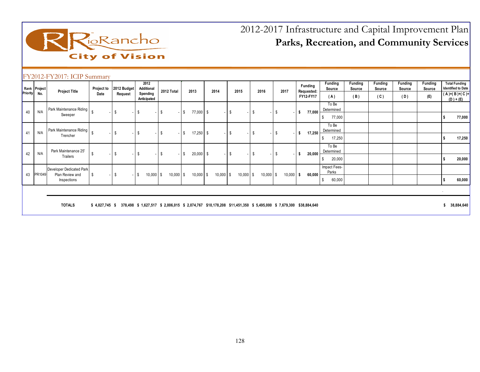

| Priority | Rank Project<br>No. | <b>Project Title</b>                                       | Project to<br>Date               | 2012 Budget<br>Request | 2012<br>Additional<br>Spending | 2012 Total          | 2013                                                                                       | 2014        | 2015                             | 2016        | 2017        | <b>Funding</b><br>Requested:<br>FY12-FY17 | Funding<br>Source<br>(A)              | <b>Funding</b><br>Source<br>(B) | Funding<br>Source<br>(C) | Funding<br>Source<br>(D) | <b>Funding</b><br>Source<br>(E) |        | <b>Total Funding</b><br><b>Identified to Date</b><br>(A)+(B)+(C)+ |
|----------|---------------------|------------------------------------------------------------|----------------------------------|------------------------|--------------------------------|---------------------|--------------------------------------------------------------------------------------------|-------------|----------------------------------|-------------|-------------|-------------------------------------------|---------------------------------------|---------------------------------|--------------------------|--------------------------|---------------------------------|--------|-------------------------------------------------------------------|
| 40       | N/A                 | Park Maintenance Riding<br>Sweeper                         |                                  | \$                     | Anticipated<br>-S              | - S                 | 77,000 \$<br>S                                                                             |             | l \$<br>$\overline{\phantom{a}}$ | <b>S</b>    | - \$        | 77,000<br>-S                              | To Be<br>Determined<br>77,000<br>\$   |                                 |                          |                          |                                 |        | $(D) + (E)$<br>77,000                                             |
| 41       | N/A                 | Park Maintenance Riding<br>Trencher                        |                                  | s.                     | - \$                           | - \$                | S<br>$17,250$ \$                                                                           |             | - \$<br>$\overline{\phantom{a}}$ | \$          | - \$        | 17,250<br>- \$                            | To Be<br>Determined<br>17,250<br>\$.  |                                 |                          |                          |                                 |        | 17,250                                                            |
| 42       | N/A                 | Park Maintenance 25'<br>Trailers                           | - \$<br>$\overline{\phantom{a}}$ | \$                     | - \$                           | - \$                | $20,000$ \$<br>s.                                                                          |             | l \$<br>$\sim$ $\sim$            | \$          | - \$        | 20,000<br>- \$                            | To Be<br>Determined<br>20,000<br>\$   |                                 |                          |                          |                                 |        | 20,000                                                            |
| 43       | PR1049              | Developer Dedicated Park<br>Plan Review and<br>Inspections | - \$                             | \$                     | 10,000<br>IS.                  | $10,000$ \$<br>l \$ | $10,000$ \$                                                                                | $10,000$ \$ | $10,000$ \$                      | $10,000$ \$ | $10,000$ \$ | 60,000                                    | Impact Fees-<br>Parks<br>60,000<br>S. |                                 |                          |                          |                                 |        | 60,000                                                            |
|          |                     |                                                            |                                  |                        |                                |                     |                                                                                            |             |                                  |             |             |                                           |                                       |                                 |                          |                          |                                 | $\sim$ |                                                                   |
|          |                     | <b>TOTALS</b>                                              | $$4,027,745$ \$                  |                        | 378,498 \$ 1,627,517           |                     | \$ 2,006,015 \$ 2,074,767 \$10,178,208 \$11,451,350 \$ 5,495,000 \$ 7,679,300 \$38,884,640 |             |                                  |             |             |                                           |                                       |                                 |                          |                          |                                 |        | 38,884,640                                                        |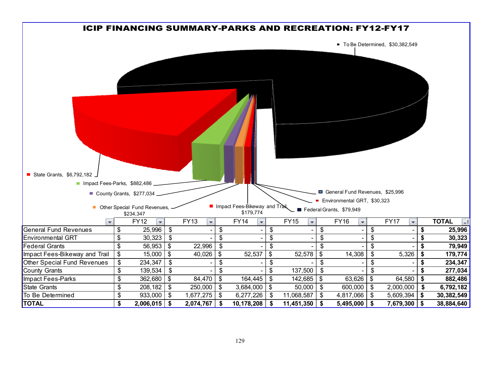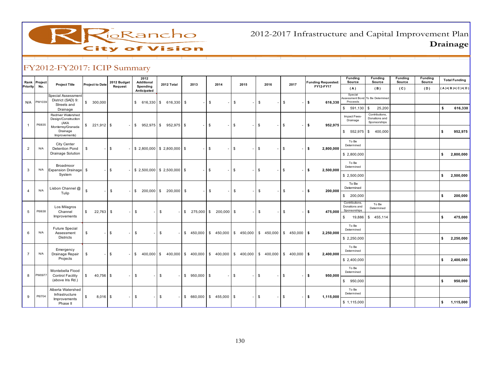

2012-2017 Infrastructure and Capital Improvement PlanDrainage

| Rank           | Project | <b>Project Title</b>                                   | <b>Project to Date</b> | 2012 Budget  | 2012<br>Additional      | 2012 Total                             | 2013          | 2014             | 2015                   | 2016                                                                        | 2017                        | <b>Funding Requested:</b> | Funding<br>Source                               | <b>Funding</b><br>Source                        | Funding<br>Source | <b>Funding</b><br>Source | <b>Total Funding</b>          |
|----------------|---------|--------------------------------------------------------|------------------------|--------------|-------------------------|----------------------------------------|---------------|------------------|------------------------|-----------------------------------------------------------------------------|-----------------------------|---------------------------|-------------------------------------------------|-------------------------------------------------|-------------------|--------------------------|-------------------------------|
| Priority       | No.     |                                                        |                        | Request      | Spending<br>Anticipated |                                        |               |                  |                        |                                                                             |                             | FY12-FY17                 | (A)                                             | (B)                                             | (C)               | (D)                      | $(A)$ + $(B)$ + $(C)$ + $(D)$ |
| N/A            | PW1039  | Special Assessment<br>District (SAD) 9:<br>Streets and | \$300,000              |              |                         | \$616,330 \$66,330 \$                  |               | S.               | \$                     | \$                                                                          | \$                          | $-1$ S<br>616,330         | Special<br>Proceeds                             | Assessment Bond To Be Determined                |                   |                          |                               |
|                |         | Drainage                                               |                        |              |                         |                                        |               |                  |                        |                                                                             |                             |                           | $$591,130$ \$                                   | 25,200                                          |                   |                          | s.<br>616,330                 |
| $\mathbf{1}$   | PI0835  | Redriver Watershed<br>Design/Construction<br>(AKA      |                        |              |                         | $\frac{1}{2}$ \$ 952,975 \$ 952,975 \$ |               | $-1$ \$<br>- 1   | \$<br>$\sim$           | $\mathbf{s}$<br>$\sim$                                                      | <b>S</b>                    | l \$<br>952,975           | Impact Fees-<br>Drainage                        | Contributions.<br>Donations and<br>Sponsorships |                   |                          |                               |
|                |         | Monterrey/Granada<br>Drainage<br>Improvements)         |                        |              |                         |                                        |               |                  |                        |                                                                             |                             |                           |                                                 | $$552,975$ \$400,000                            |                   |                          | 952,975<br>s                  |
| $\overline{2}$ | N/A     | City Center<br>Detention Pond                          | $\mathfrak s$          | $-$ \$       |                         | $$2,800,000$ $$2,800,000$ \$           |               | <b>S</b>         | $\mathbb{S}$<br>$\sim$ | \$                                                                          | \$                          | ls.<br>2,800,000          | To Be<br>Determined                             |                                                 |                   |                          |                               |
|                |         | Drainage Solution                                      |                        |              |                         |                                        |               |                  |                        |                                                                             |                             |                           | \$2,800,000                                     |                                                 |                   |                          | s.<br>2,800,000               |
| 3              | N/A     | Broadmoor<br>Expansion Drainage \$                     |                        | <b>S</b>     |                         | $$2,500,000$ $$2,500,000$ \$           |               | <b>S</b>         | $^{\circ}$             | $\mathbb{S}$                                                                | \$                          | ls.<br>2.500.000          | To Be<br>Determined                             |                                                 |                   |                          |                               |
|                |         | System                                                 |                        |              |                         |                                        |               |                  |                        |                                                                             |                             |                           | \$2,500,000                                     |                                                 |                   |                          | \$<br>2,500,000               |
|                | N/A     | Lisbon Channel @                                       | $\mathbb{S}$           | $\mathbb{S}$ |                         | $$200,000$ \$ 200,000 \$               |               | Is.              | \$                     | \$                                                                          | \$                          | 200,000<br>$-1$ s         | To Be<br>Determined                             |                                                 |                   |                          |                               |
|                |         | Tulip                                                  |                        |              |                         |                                        |               |                  |                        |                                                                             |                             |                           | \$ 200,000                                      |                                                 |                   |                          | s.<br>200,000                 |
| 5              | PI0638  | Los Milagros<br>Channel                                | \$<br>$22,763$ \$      |              | \$<br>$\sim$            | \$                                     | $$275,000$ \$ | $200,000$ \$     | $\sim$                 | \$                                                                          | \$                          | l \$<br>475,000           | Contributions,<br>Donations and<br>Sponsorships | To Be<br>Determined                             |                   |                          |                               |
|                |         | Improvements                                           |                        |              |                         |                                        |               |                  |                        |                                                                             |                             |                           | \$                                              | 19,886 \$455,114                                |                   |                          | s.<br>475,000                 |
| 6              | N/A     | <b>Future Special</b><br>Assessment                    | \$                     | s.           | \$                      | \$                                     |               |                  |                        | $$450,000$ $$450,000$ $$450,000$ $$450,000$ $$450,000$                      | $$ 450,000$ \$              | 2,250,000                 | To Be<br>Determined                             |                                                 |                   |                          |                               |
|                |         | <b>Districts</b>                                       |                        |              |                         |                                        |               |                  |                        |                                                                             |                             |                           | \$2,250,000                                     |                                                 |                   |                          | 2,250,000<br>s.               |
| 7              | N/A     | Emergency<br>Drainage Repair                           | \$                     | \$           |                         |                                        |               |                  |                        | $$400,000$ \ \$ 400,000 \ \$ 400,000 \ \$ 400,000 \ \$ 400,000 \ \$ 400,000 | $\frac{1}{2}$ \$ 400,000 \$ | 2,400,000                 | To Be<br>Determined                             |                                                 |                   |                          |                               |
|                |         | Projects                                               |                        |              |                         |                                        |               |                  |                        |                                                                             |                             |                           | \$2,400,000                                     |                                                 |                   |                          | s.<br>2,400,000               |
| 8              | PW0977  | Montebella Flood<br><b>Control Facility</b>            | \$<br>$40,756$ \$      |              | \$                      | \$                                     | $$950,000$ \$ |                  | $\mathbb{S}$           | \$                                                                          | \$                          | 950,000<br>$-1$ \$        | To Be<br>Determined                             |                                                 |                   |                          |                               |
|                |         | (above Iris Rd.)                                       |                        |              |                         |                                        |               |                  |                        |                                                                             |                             |                           | \$950,000                                       |                                                 |                   |                          | s.<br>950,000                 |
| 9              | PI0704  | Alberta Watershed<br>Infrastructure                    | \$<br>$8,016$ \$       |              | \$                      | \$                                     | \$660,000     | $$ 455,000$ \ \$ |                        | \$                                                                          | \$                          | l \$<br>1,115,000         | To Be<br>Determined                             |                                                 |                   |                          |                               |
|                |         | Improvements<br>Phase II                               |                        |              |                         |                                        |               |                  |                        |                                                                             |                             |                           | \$1,115,000                                     |                                                 |                   |                          | 1,115,000<br>s.               |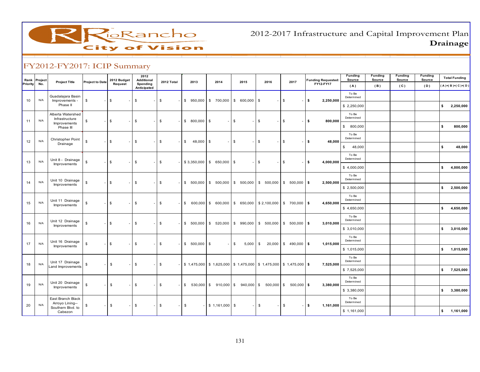RioRancho **City of Vision** 

2012-2017 Infrastructure and Capital Improvement PlanDrainage

| Rank<br>Priority | Project<br>No. | <b>Project Title</b>                 | <b>Project to Date</b> | 2012 Budget<br>Request | 2012<br><b>Additional</b><br>Spending | 2012 Total    | 2013                        | 2014                                                                               | 2015             | 2016                    | 2017            | <b>Funding Requested:</b><br>FY12-FY17 | <b>Funding</b><br>Source | Funding<br>Source | <b>Funding</b><br>Source | Funding<br>Source | <b>Total Funding</b> |
|------------------|----------------|--------------------------------------|------------------------|------------------------|---------------------------------------|---------------|-----------------------------|------------------------------------------------------------------------------------|------------------|-------------------------|-----------------|----------------------------------------|--------------------------|-------------------|--------------------------|-------------------|----------------------|
|                  |                |                                      |                        |                        | Anticipated                           |               |                             |                                                                                    |                  |                         |                 |                                        | (A)                      | (B)               | (C)                      | (D)               | $(A)$ +(B)+(C)+(D)   |
| 10               | N/A            | Guadalajara Basin<br>Improvements -  | \$                     | $\mathbb{S}$           | \$                                    | \$            |                             | $$950,000$ \$ 700,000 \$ 600,000                                                   |                  | \$                      | \$              | 2,250,000<br>\$                        | To Be<br>Determined      |                   |                          |                   |                      |
|                  |                | Phase II                             |                        |                        |                                       |               |                             |                                                                                    |                  |                         |                 |                                        | \$2,250,000              |                   |                          |                   | 2,250,000<br>s.      |
|                  |                | Alberta Watershed<br>Infrastructure  |                        |                        |                                       |               |                             |                                                                                    |                  |                         |                 |                                        | To Be<br>Determined      |                   |                          |                   |                      |
| 11               | N/A            | Improvements<br>Phase III            | \$                     | \$                     | \$                                    | - \$          | $$800,000$ \$               | $\sim$                                                                             | $\mathbb{S}$     | \$                      | \$              | \$<br>800,000                          | \$800,000                |                   |                          |                   | s.<br>800,000        |
|                  |                | <b>Christopher Point</b>             |                        |                        |                                       |               |                             |                                                                                    |                  |                         |                 |                                        | To Be<br>Determined      |                   |                          |                   |                      |
| 12               | N/A            | Drainage                             | \$                     | s.                     | \$                                    | \$            | 48,000 \$<br>\$             | $\sim$ .                                                                           | l S              | \$                      | \$              | 48,000<br>\$                           | $\mathfrak s$<br>48,000  |                   |                          |                   | s.<br>48,000         |
|                  |                | Unit 8 - Drainage                    |                        |                        |                                       |               |                             |                                                                                    |                  |                         |                 |                                        | To Be<br>Determined      |                   |                          |                   |                      |
| 13               | N/A            | Improvements                         | \$                     | \$                     | \$                                    | \$            |                             | $$3,350,000$ \$ 650,000 \$                                                         |                  | \$                      | \$              | 4,000,000<br>\$                        | \$4,000,000              |                   |                          |                   | 4,000,000<br>s.      |
|                  |                | Unit 10 Drainage                     |                        |                        |                                       |               |                             |                                                                                    |                  |                         |                 |                                        | To Be<br>Determined      |                   |                          |                   |                      |
| 14               | N/A            | Improvements                         | \$                     | \$                     | \$                                    | $\mathfrak s$ |                             | $$500,000$ \$ 500,000 \$ 500,000                                                   |                  | \$500,000               | $$500,000$ \$   | 2,500,000                              | \$2,500,000              |                   |                          |                   | \$<br>2,500,000      |
|                  |                | Unit 11 Drainage                     |                        |                        |                                       |               |                             |                                                                                    |                  |                         |                 |                                        | To Be<br>Determined      |                   |                          |                   |                      |
| 15               | N/A            | Improvements                         | \$                     | s.                     | \$                                    | \$            | $\sqrt{3}$                  | 600,000 \$ 600,000 \$ 650,000                                                      |                  | \$2,100,000             | $$700,000$ \$   | 4,650,000                              | \$4,650,000              |                   |                          |                   | s.<br>4,650,000      |
|                  |                | Unit 12 Drainage                     |                        |                        |                                       |               |                             |                                                                                    |                  |                         |                 |                                        | To Be<br>Determined      |                   |                          |                   |                      |
| 16               | N/A            | Improvements                         | \$                     | \$                     | \$                                    | \$            |                             | $$500,000$ $$520,000$ $$990,000$                                                   |                  | \$500,000               | $$500,000$ \$   | 3,010,000                              | \$3,010,000              |                   |                          |                   | 3,010,000<br>s.      |
|                  |                | Unit 16 Drainage                     |                        |                        |                                       |               |                             |                                                                                    |                  |                         |                 |                                        | To Be<br>Determined      |                   |                          |                   |                      |
| 17               | N/A            | Improvements                         | \$                     | \$                     | \$                                    | \$            | $$500,000$ \$               |                                                                                    | 5,000<br>$-1$ \$ | 20,000<br>\$            | $$490,000$ \ \$ | 1,015,000                              | \$1,015,000              |                   |                          |                   | 1,015,000<br>s.      |
| 18               | N/A            | Unit 17 Drainage                     |                        | $\mathfrak s$          | \$                                    | - \$          |                             | $$1,475,000$ $$1,625,000$ $$1,475,000$ $$1,475,000$ $$1,475,000$ $$1,475,000$ $$5$ |                  |                         |                 |                                        | To Be<br>Determined      |                   |                          |                   |                      |
|                  |                | Land Improvements                    | \$                     |                        |                                       |               |                             |                                                                                    |                  |                         |                 | 7,525,000                              | \$7,525,000              |                   |                          |                   | \$7,525,000          |
| 19               | N/A            | Unit 20 Drainage                     | \$                     | $\mathfrak s$          | \$                                    | \$            | $\mathfrak s$<br>530,000 \$ | $910,000$ $\sqrt{\ }$                                                              |                  |                         | $500,000$ \$    | 3,380,000                              | To Be<br>Determined      |                   |                          |                   |                      |
|                  |                | Improvements                         |                        |                        |                                       |               |                             |                                                                                    |                  | $940,000$ \$ 500,000 \$ |                 |                                        | \$3,380,000              |                   |                          |                   | s.<br>3,380,000      |
|                  |                | East Branch Black<br>Arroyo Lining-- |                        |                        |                                       |               |                             |                                                                                    |                  |                         |                 |                                        | To Be<br>Determined      |                   |                          |                   |                      |
| 20               | N/A            | Southern Blvd. to<br>Cabezon         | \$                     | \$                     | \$                                    | \$            | \$                          | $-$ \$ 1,161,000 \$                                                                |                  | $\sqrt[6]{3}$           | \$              | \$<br>1,161,000                        | \$1,161,000              |                   |                          |                   | 1,161,000<br>\$      |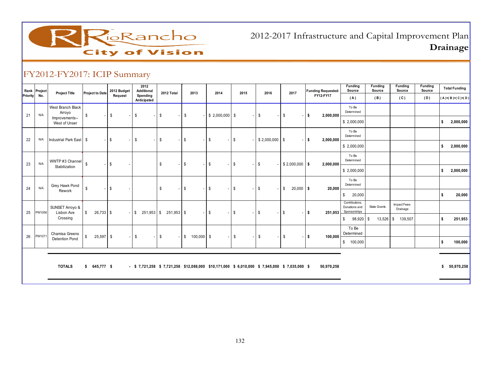

2012-2017 Infrastructure and Capital Improvement PlanDrainage

|          | Rank Project | <b>Project Title</b>               | <b>Project to Date</b>      | 2012 Budget                    | 2012<br>Additional                                                                         | 2012 Total | 2013                   | 2014                           | 2015                                     | 2016                                     | 2017                                     | <b>Funding Requested:</b> | <b>Funding</b><br>Source                        | Funding<br>Source | <b>Funding</b><br>Source | Funding<br>Source | <b>Total Funding</b> |
|----------|--------------|------------------------------------|-----------------------------|--------------------------------|--------------------------------------------------------------------------------------------|------------|------------------------|--------------------------------|------------------------------------------|------------------------------------------|------------------------------------------|---------------------------|-------------------------------------------------|-------------------|--------------------------|-------------------|----------------------|
| Priority | No.          |                                    |                             | Request                        | Spending<br>Anticipated                                                                    |            |                        |                                |                                          |                                          |                                          | FY12-FY17                 | (A)                                             | (B)               | (C)                      | (D)               | $(A)+(B)+(C)+(D)$    |
| 21       | N/A          | <b>West Branch Black</b><br>Arroyo | \$                          | \$<br>$\overline{\phantom{a}}$ | \$<br>$\overline{\phantom{a}}$                                                             | \$         | - \$                   | $$2,000,000$ \$                |                                          | \$<br>$\overline{\phantom{a}}$           | \$<br>$\overline{\phantom{a}}$           | S.<br>2,000,000           | To Be<br>Determined                             |                   |                          |                   |                      |
|          |              | Improvements--<br>West of Unser    |                             |                                |                                                                                            |            |                        |                                |                                          |                                          |                                          |                           | \$2,000,000                                     |                   |                          |                   | 2,000,000<br>Ŝ.      |
| 22       | N/A          | Industrial Park East \$            |                             | \$<br>$\overline{a}$           | \$<br>$\overline{\phantom{a}}$                                                             | \$         | - \$                   | <b>S</b>                       | S.<br>$\sim$ 1                           | $$2,000,000$ \ \$                        | $\sim$                                   | l S<br>2,000,000          | To Be<br>Determined                             |                   |                          |                   |                      |
|          |              |                                    |                             |                                |                                                                                            |            |                        |                                |                                          |                                          |                                          |                           | \$2,000,000                                     |                   |                          |                   | 2,000,000<br>\$      |
| 23       | N/A          | WWTP #3 Channel                    | <b>S</b>                    | \$<br>$\overline{\phantom{a}}$ |                                                                                            | \$         | - \$                   | l \$                           | <b>S</b><br>$\overline{a}$               | \$<br>$\sim$                             | $$2,000,000$ \$                          | 2,000,000                 | To Be<br>Determined                             |                   |                          |                   |                      |
|          |              | Stabilization                      |                             |                                |                                                                                            |            |                        |                                |                                          |                                          |                                          |                           | \$2,000,000                                     |                   |                          |                   | 2,000,000<br>s.      |
| 24       | N/A          | Grey Hawk Pond                     | - \$                        | \$                             |                                                                                            | \$         | <b>\$</b>              | <b>S</b>                       | $-1$ \$<br>$\overline{\phantom{a}}$      | \$<br>$\overline{\phantom{a}}$           | $20,000$ \$<br>\$                        | 20,000                    | To Be<br>Determined                             |                   |                          |                   |                      |
|          |              | Rework                             |                             |                                |                                                                                            |            |                        |                                |                                          |                                          |                                          |                           | \$<br>20,000                                    |                   |                          |                   | 20,000<br>\$         |
| 25       | PW1056       | SUNSET Arroyo &<br>Lisbon Ave      | $\mathbb{S}$<br>$26,733$ \$ |                                | $-$ \$251,953 \$251,953 \$                                                                 |            |                        | $\mathbf{s}$<br>$\overline{a}$ | <b>S</b><br>$\sim$ 1                     | \$<br>$\sim$                             | $\mathbb{S}$<br>$\overline{\phantom{a}}$ | s.<br>251,953             | Contributions,<br>Donations and<br>Sponsorships | State Grants      | Impact Fees-<br>Drainage |                   |                      |
|          |              | Crossing                           |                             |                                |                                                                                            |            |                        |                                |                                          |                                          |                                          |                           | \$<br>98,920                                    | 13,526<br>- \$    | 139,507<br>- \$          |                   | 251,953<br>\$.       |
| 26       | PW1071       | Chamisa Greens                     | $25,597$ \$<br>\$           | н.                             | \$<br>$\overline{\phantom{a}}$                                                             | \$         | $-$ \$<br>$100,000$ \$ |                                | $\mathbb{S}$<br>$\overline{\phantom{a}}$ | $\mathbb{S}$<br>$\overline{\phantom{a}}$ | $\mathbb{S}$                             | s.<br>100,000             | To Be<br>Determined                             |                   |                          |                   |                      |
|          |              | <b>Detention Pond</b>              |                             |                                |                                                                                            |            |                        |                                |                                          |                                          |                                          |                           | 100,000<br>\$                                   |                   |                          |                   | 100,000              |
|          |              |                                    |                             |                                |                                                                                            |            |                        |                                |                                          |                                          |                                          |                           |                                                 |                   |                          |                   |                      |
|          |              | <b>TOTALS</b>                      | $$645,777$ \$               |                                | - \$7,721,258 \$7,721,258 \$12,088,000 \$10,171,000 \$6,010,000 \$7,945,000 \$7,035,000 \$ |            |                        |                                |                                          |                                          |                                          | 50,970,258                |                                                 |                   |                          |                   | \$50,970,258         |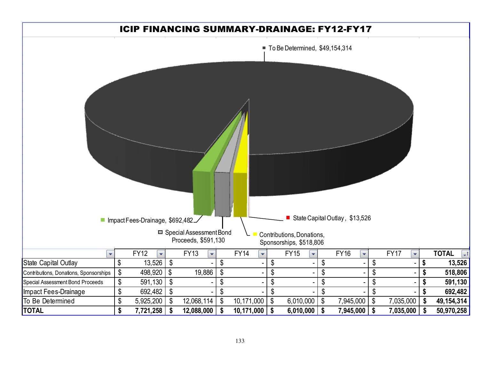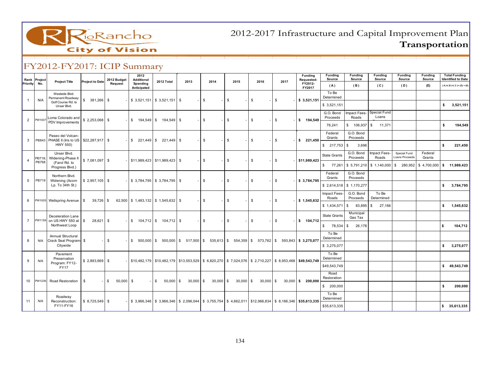

| Rank<br>Priority | Project<br>No.    | <b>Project Title</b>                                       | <b>Project to Date</b> | 2012 Budget<br>Request | 2012<br>Additional<br>Spending<br>Anticipated | 2012 Total                                  | 2013         | 2014                                                                                                        | 2015   | 2016                    | 2017          | <b>Funding</b><br>Requested:<br>FY2012-<br>FY2017 | <b>Funding</b><br>Source<br>(A)    | Funding<br>Source<br>(B)            | Fundina<br>Source<br>(C) | Fundina<br>Source<br>(D)       | Fundina<br>Source<br>(E)                           |    | <b>Total Funding</b><br><b>Identified to Date</b><br>$(A)+(B)+(C)+(D)+(E)$ |
|------------------|-------------------|------------------------------------------------------------|------------------------|------------------------|-----------------------------------------------|---------------------------------------------|--------------|-------------------------------------------------------------------------------------------------------------|--------|-------------------------|---------------|---------------------------------------------------|------------------------------------|-------------------------------------|--------------------------|--------------------------------|----------------------------------------------------|----|----------------------------------------------------------------------------|
| $\mathbf{1}$     | N/A               | Westside Blvd.<br>Permanent Roadway:<br>Golf Course Rd. to | \$<br>$381,266$ \$     |                        |                                               | $$3,521,151$ $$3,521,151$ $$$               |              | \$                                                                                                          | \$     | $\mathbb{S}$            | $\mathbb{S}$  | \$3,521,151                                       | To Be<br>Determined<br>\$3,521,151 |                                     |                          |                                |                                                    | \$ | 3,521,151                                                                  |
| $\overline{2}$   | PW1007            | Unser Blvd.<br>Loma Colorado and<br>PDV Improvements       |                        |                        |                                               | $$194,549$ $$194,549$ $$$                   |              | $\mathbb{S}$                                                                                                | \$     | \$                      | \$            | \$ 194,549                                        | G.O. Bond<br>Proceeds              | mpact Fees-<br>Roads                | Special Fund<br>Loans    |                                |                                                    |    |                                                                            |
|                  |                   | Paseo del Volcan-                                          |                        |                        |                                               |                                             |              |                                                                                                             |        |                         |               |                                                   | 76,241<br>Federal<br>Grants        | \$ 106,937<br>G.O. Bond<br>Proceeds | $\sqrt{3}$<br>11,371     |                                |                                                    | s. | 194,549                                                                    |
| 3                |                   | Pl0843 PHASE II (Iris to US \$22,287,917 \$<br>HWY 550)    |                        |                        |                                               | $$221,449$ $$221,449$ $$$                   |              | \$                                                                                                          | \$     | \$                      | \$            | \$221,450                                         | \$217,753                          | \$<br>3,696                         |                          |                                |                                                    | s. | 221,450                                                                    |
| $\overline{4}$   | PI0718;<br>PI0768 | Unser Blvd.<br>Widening-Phase II<br>(Farol Rd. to          | $$7,081,097$ \$        |                        |                                               | $$11,989,423$ $$11,989,423$ $$$             |              | \$                                                                                                          | \$     | \$                      | \$            | \$11,989,423                                      | <b>State Grants</b>                | G.O. Bond<br>Proceeds               | Impact Fees-<br>Roads    | Special Fund<br>Loans Proceeds | Federal<br>Grants                                  |    |                                                                            |
|                  |                   | Progress Blvd.)                                            |                        |                        |                                               |                                             |              |                                                                                                             |        |                         |               |                                                   | \$77.261<br>Federal                | \$5,791,210<br>G.O. Bond            |                          |                                | $\frac{1}{2}$ \$ 1,140,000 \$ 280,952 \$ 4,700,000 |    | \$11,989,423                                                               |
| $5\overline{5}$  | PI0719            | Northern Blvd.<br>Widening (Acorn<br>Lp. To 34th St.)      |                        |                        |                                               | $-$ \$ 3,784,795 \$ 3,784,795 \$            |              | \$                                                                                                          | \$     | \$                      | \$            | \$3,784,795                                       | Grants<br>\$2,614,518              | Proceeds<br>\$1,170,277             |                          |                                |                                                    |    | \$3,784,795                                                                |
| 6                |                   | PW1005 Wellspring Avenue   \$                              | $39,726$ \$            |                        |                                               | $62,500$   \$ 1,483,132   \$ 1,545,632   \$ |              | \$                                                                                                          | \$     | \$                      | \$            | \$1,545,632                                       | Impact Fees-<br>Roads              | G.O. Bond<br>Proceeds               | To Be<br>Determined      |                                |                                                    |    |                                                                            |
|                  |                   |                                                            |                        |                        |                                               |                                             |              |                                                                                                             |        |                         |               |                                                   | \$1,434,571                        | 83,895<br>$\mathbb{S}$              | 27,166<br>- \$           |                                |                                                    |    | \$ 1,545,632                                                               |
| $\overline{7}$   | PW1159            | Deceleration Lane<br>on US HWY 550 at                      | $28,621$ \$<br>\$      |                        |                                               |                                             |              | \$                                                                                                          | \$     | \$                      | $\mathfrak s$ | \$ 104,712                                        | <b>State Grants</b>                | Municipal<br>Gas Tax                |                          |                                |                                                    |    |                                                                            |
|                  |                   | Northwest Loop<br>Annual Structural                        |                        |                        |                                               |                                             |              |                                                                                                             |        |                         |               |                                                   | 78,534<br>$\mathbb{S}$<br>To Be    | \$<br>26,178                        |                          |                                |                                                    | \$ | 104,712                                                                    |
| 8                | N/A               | Crack Seal Program- \$<br>Citywide                         |                        | \$                     |                                               |                                             |              | \$ 500.000 \$ 500.000 \$ 517.500 \$ 535.613 \$ 554.359 \$ 573.762 \$ 593.843 \$ 3.275.077                   |        |                         |               |                                                   | Determined<br>\$3,275,077          |                                     |                          |                                |                                                    |    | \$3,275,077                                                                |
|                  |                   | Pavement<br>Preservation                                   |                        |                        |                                               |                                             |              |                                                                                                             |        |                         |               |                                                   | To Be<br>Determined                |                                     |                          |                                |                                                    |    |                                                                            |
| 9                | N/A               | Program: FY12-<br><b>FY17</b>                              | $$2,893,669$ \ \$      |                        |                                               |                                             |              | $$10,482,179$ $$10,482,179$ $$13,553,529$ $$6,820,270$ $$7,024,076$ $$2,710,227$ $$8,953,468$ $$49,543,749$ |        |                         |               |                                                   | \$49,543,749                       |                                     |                          |                                |                                                    |    | \$49,543,749                                                               |
| 10               | PW1236            | Road Restoration                                           | \$                     | $50,000$ \$<br>l S     |                                               | \$<br>50,000                                | S.<br>30,000 | $30,000$ \$<br><b>S</b>                                                                                     | 30,000 | $30,000$ \$<br><b>S</b> |               | $30,000$ \$ 200,000                               | Road<br>Restoration                |                                     |                          |                                |                                                    |    |                                                                            |
|                  |                   |                                                            |                        |                        |                                               |                                             |              |                                                                                                             |        |                         |               |                                                   | \$ 200,000                         |                                     |                          |                                |                                                    | s. | 200,000                                                                    |
| 11               | N/A               | Roadway<br>Reconstruction:                                 |                        |                        |                                               |                                             |              | $-$ \$3,966,346 \$3,966,346 \$2,096,044 \$3,755,754 \$4,662,011 \$12,966,834 \$8,166,346 \$35,613,335       |        |                         |               |                                                   | To Be<br>Determined                |                                     |                          |                                |                                                    |    |                                                                            |
|                  |                   | FY11-FY16                                                  |                        |                        |                                               |                                             |              |                                                                                                             |        |                         |               |                                                   | \$35,613,335                       |                                     |                          |                                |                                                    |    | \$35,613,335                                                               |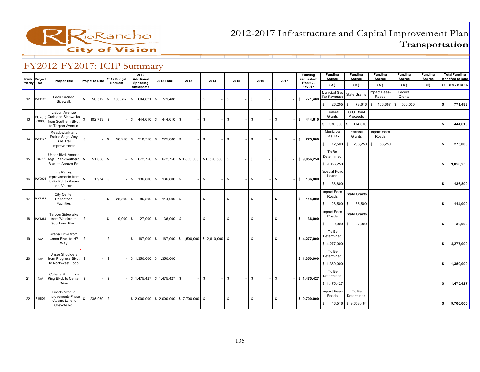

|          | Rank Project | <b>Project Title</b>                               | <b>Project to Date</b>       | 2012 Budget                | 2012<br>Additional                                                              | 2012 Total                                                                                                | 2013 | 2014         | 2015        | 2016          | 2017                 | Funding<br>Requested:  | <b>Funding</b><br>Source             | <b>Funding</b><br>Source | <b>Funding</b><br>Source     | <b>Funding</b><br>Source | <b>Funding</b><br>Source |              | <b>Total Funding</b><br><b>Identified to Date</b> |
|----------|--------------|----------------------------------------------------|------------------------------|----------------------------|---------------------------------------------------------------------------------|-----------------------------------------------------------------------------------------------------------|------|--------------|-------------|---------------|----------------------|------------------------|--------------------------------------|--------------------------|------------------------------|--------------------------|--------------------------|--------------|---------------------------------------------------|
| Priority | No.          |                                                    |                              | Request                    | Spending<br>Anticipated                                                         |                                                                                                           |      |              |             |               |                      | FY2012-<br>FY2017      | (A)                                  | (B)                      | (C)                          | (D)                      | (E)                      |              | $(A)+(B)+(C)+(D)+(E)$                             |
| 12       | PW1152       | Leon Grande                                        | $\mathbb{S}$                 | 56,512 \$ 166,667          |                                                                                 | $$604,821$ \$771,488                                                                                      |      | \$           | $\mathbb S$ | $\mathfrak s$ | l \$                 | \$771,488              | Municipal Gas<br><b>Tax Revenues</b> | <b>State Grants</b>      | Impact Fees-<br>Roads        | Federal<br>Grants        |                          |              |                                                   |
|          |              | Sidewalk                                           |                              |                            |                                                                                 |                                                                                                           |      |              |             |               |                      |                        | $$26,205$ \$                         |                          | 78,616 \$ 166,667 \$ 500,000 |                          |                          | \$           | 771,488                                           |
| 13       |              | Lisbon Avenue<br>Pl0761; Curb and Sidewalks        | $\mathbb{S}$<br>102,733 \$   |                            |                                                                                 | $$444,610 \ $ \$444,610 \ \$                                                                              |      | \$           | \$          | \$            | $\mathbb{S}$         | \$444,610              | Federal<br>Grants                    | G.O. Bond<br>Proceeds    |                              |                          |                          |              |                                                   |
|          |              | Pl0805 from Southern Blvd.<br>to Tarpon Avenue     |                              |                            |                                                                                 |                                                                                                           |      |              |             |               |                      |                        | \$ 330,000                           | \$ 114,610               |                              |                          |                          | \$           | 444,610                                           |
| 14       | PW1137       | Meadowlark and<br>Prairie Sage Way                 | $\mathbb{S}$                 |                            | $ \frac{1}{3}$ 56,250 $\frac{1}{3}$ 218,750 $\frac{1}{3}$ 275,000 $\frac{1}{3}$ |                                                                                                           |      | \$           | \$          | \$            | $\mathbb{S}$         | \$275,000              | Municipal<br>Gas Tax                 | Federal<br>Grants        | Impact Fees-<br>Roads        |                          |                          |              |                                                   |
|          |              | <b>Bike Trail</b><br>Improvements                  |                              |                            |                                                                                 |                                                                                                           |      |              |             |               |                      |                        | \$ 12,500                            | \$206,250                | $\mathfrak s$<br>56,250      |                          |                          | \$           | 275,000                                           |
| 15       |              | Unser Blvd. Access                                 | $\mathfrak s$<br>$51,068$ \$ |                            |                                                                                 |                                                                                                           |      |              |             | $\sqrt{3}$    | $-1$ \$              |                        | To Be<br>Determined                  |                          |                              |                          |                          |              |                                                   |
|          |              | Pl0713   Mgt. Plan-Southern<br>Blvd. to Abrazo Rd. |                              |                            | $-$ \$ 672,750 \$ 672,750 \$ 1,863,000 \$ 6,520,500 \$                          |                                                                                                           |      |              | $\sim$ 1    |               |                      | \$9,056,250            | \$9,056,250                          |                          |                              |                          |                          | $\mathsf{s}$ | 9,056,250                                         |
|          | PW0925       | Iris Paving<br>Improvements from                   |                              |                            |                                                                                 |                                                                                                           |      |              |             |               |                      |                        | Special Fund<br>Loans                |                          |                              |                          |                          |              |                                                   |
| 16       |              | Idalia Rd. to Paseo<br>del Volcan                  | $1,934$ \$                   |                            |                                                                                 | $$136,800 \, \ 8 \, 136,800 \, \ 8$                                                                       |      | <b>S</b>     | $-$ \$      | $\mathbb{S}$  | $-1$ \$              | \$ 136,800             | \$ 136,800                           |                          |                              |                          |                          | s.           | 136,800                                           |
|          |              | City Center                                        |                              |                            |                                                                                 |                                                                                                           |      |              |             |               |                      |                        | Impact Fees-<br>Roads                | State Grants             |                              |                          |                          |              |                                                   |
| 17       | PW1253       | Pedestrian<br>Facilities                           | $\mathfrak s$                | S.<br>$28,500$ $\sqrt{5}$  |                                                                                 | 85,500 \$ 114,000 \$                                                                                      |      | $\mathbb{S}$ | $-$ \$      | \$            | - IS                 | \$114,000              | \$ 28,500                            | \$<br>85,500             |                              |                          |                          | \$           | 114,000                                           |
|          |              | <b>Tarpon Sidewalks</b>                            |                              |                            |                                                                                 |                                                                                                           |      |              |             |               |                      |                        | Impact Fees-<br>Roads                | State Grants             |                              |                          |                          |              |                                                   |
| 18       | PW1252       | from Wexford to<br>Sourthern Blvd.                 | \$                           | $\mathbb{S}$<br>$9,000$ \$ | $27,000$ \$                                                                     | $36,000$ \$                                                                                               |      | \$           | \$          | \$            | $\mathfrak s$        | $\mathbf{s}$<br>36,000 | 9,000<br>$\mathbb{S}$                | \$<br>27,000             |                              |                          |                          | \$           | 36,000                                            |
|          |              | Arena Drive from                                   |                              |                            |                                                                                 |                                                                                                           |      |              |             |               |                      |                        | To Be<br>Determined                  |                          |                              |                          |                          |              |                                                   |
| 19       | N/A          | Unser Blvd. to HP<br>Way                           | S.                           | <b>S</b>                   |                                                                                 | $\frac{1}{3}$ 167,000 $\frac{1}{3}$ 167,000 $\frac{1}{3}$ 1,500,000 $\frac{1}{3}$ 2,610,000 $\frac{1}{3}$ |      |              |             | <b>S</b>      | $\mathfrak s$        | \$4,277,000            | \$4,277,000                          |                          |                              |                          |                          |              | \$ 4,277,000                                      |
|          |              | <b>Unser Shoulders</b>                             |                              |                            |                                                                                 |                                                                                                           |      |              |             |               |                      |                        | To Be<br>Determined                  |                          |                              |                          |                          |              |                                                   |
| 20       | N/A          | from Progress Blvd.   \$<br>to Northwest Loop      |                              | $-1$ \$                    |                                                                                 | $$1,350,000$ $$1,350,000$                                                                                 |      |              |             |               |                      | \$1,350,000            | \$1,350,000                          |                          |                              |                          |                          |              | \$ 1,350,000                                      |
|          |              | College Blvd. from                                 |                              |                            |                                                                                 |                                                                                                           |      |              |             |               |                      |                        | To Be<br>Determined                  |                          |                              |                          |                          |              |                                                   |
| 21       | N/A          | King Blvd. to Center \$<br>Drive                   |                              | -8                         | $-$ \$ 1,475,427 \$ 1,475,427 \$                                                |                                                                                                           |      | $\mathbb{S}$ | $\sqrt{3}$  | \$            | $\overline{\bullet}$ | \$1,475,427            | \$1,475,427                          |                          |                              |                          |                          |              | \$ 1,475,427                                      |
|          |              | Lincoln Avenue<br>mprovements-Phase                |                              |                            |                                                                                 |                                                                                                           |      |              |             |               |                      |                        | Impact Fees-<br>Roads                | To Be<br>Determined      |                              |                          |                          |              |                                                   |
| 22       | PI0804       | I-Adams Lane to<br>Chayote Rd.                     | $$235,960$ \$                |                            | $-$ \$ 2,000,000 \$ 2,000,000 \$ 7,700,000 \$                                   |                                                                                                           |      |              | \$          | S.            | $-1$ \$              | \$9,700,000            |                                      | $$46,516$ $$9,653,484$   |                              |                          |                          |              | \$9,700,000                                       |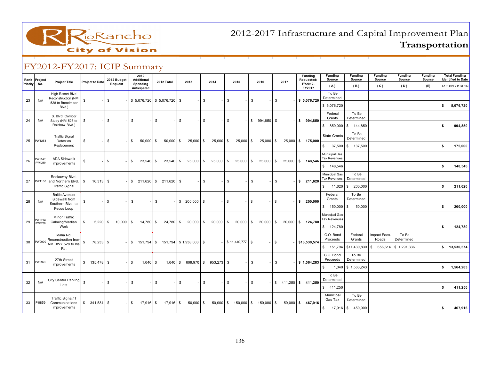

|              |              | 1.20121212017.101104111417                  |                   |              |                        |              |                                                   |              |             |              |                                              |              |           |               |                     |              |                                   |          |      |                                                                                   |                               |                          |                          |                          |                          |    |                                                   |
|--------------|--------------|---------------------------------------------|-------------------|--------------|------------------------|--------------|---------------------------------------------------|--------------|-------------|--------------|----------------------------------------------|--------------|-----------|---------------|---------------------|--------------|-----------------------------------|----------|------|-----------------------------------------------------------------------------------|-------------------------------|--------------------------|--------------------------|--------------------------|--------------------------|----|---------------------------------------------------|
| Priority No. | Rank Project | <b>Project Title</b>                        | Project to Date   |              | 2012 Budget<br>Request |              | 2012<br>Additional                                |              | 2012 Total  |              | 2013                                         |              | 2014      |               | 2015                |              | 2016                              |          | 2017 | <b>Funding</b><br>Requested:<br>FY2012-                                           | <b>Funding</b><br>Source      | <b>Funding</b><br>Source | <b>Funding</b><br>Source | <b>Funding</b><br>Source | <b>Funding</b><br>Source |    | <b>Total Funding</b><br><b>Identified to Date</b> |
|              |              |                                             |                   |              |                        |              | Spending<br>Anticipated                           |              |             |              |                                              |              |           |               |                     |              |                                   |          |      | FY2017                                                                            | (A)                           | (B)                      | (C)                      | (D)                      | (E)                      |    | $(A)+(B)+(C)+(D)+(E)$                             |
| 23           | N/A          | High Resort Blvd<br>Reconstruction (NM      | \$                | \$           |                        |              | $$5,076,720$ $$5,076,720$ \$                      |              |             |              |                                              | \$           |           | \$            |                     | \$           |                                   | \$       |      | \$5,076,720                                                                       | To Be<br>Determined           |                          |                          |                          |                          |    |                                                   |
|              |              | 528 to Broadmoor<br>Blvd.)                  |                   |              |                        |              |                                                   |              |             |              |                                              |              |           |               |                     |              |                                   |          |      |                                                                                   | \$5,076,720                   |                          |                          |                          |                          | s. | 5,076,720                                         |
| 24           | N/A          | S. Blvd. Corridor<br>Study (NM 528 to       | \$                | \$           |                        | \$           |                                                   | \$           |             | \$           |                                              | $\mathbb{S}$ |           | \$            |                     |              | $$994,850$ \$                     |          |      | \$994,850                                                                         | Federal<br>Grants             | To Be<br>Determined      |                          |                          |                          |    |                                                   |
|              |              | Rainbow Blvd.)                              |                   |              |                        |              |                                                   |              |             |              |                                              |              |           |               |                     |              |                                   |          |      |                                                                                   | \$850,000                     | \$144,850                |                          |                          |                          | s. | 994,850                                           |
| 25           | PW1254       | <b>Traffic Signal</b><br>Detection          | \$                | \$           |                        | \$           | 50,000 \$                                         |              | 50,000 \$   |              | $25,000$ \$                                  |              | 25,000 \$ |               | $25,000$ \$         |              | 25,000 \$                         |          |      | 25,000 \$ 175,000                                                                 | State Grants                  | To Be<br>Determined      |                          |                          |                          |    |                                                   |
|              |              | Replacement                                 |                   |              |                        |              |                                                   |              |             |              |                                              |              |           |               |                     |              |                                   |          |      |                                                                                   |                               | $$37,500$ $$137,500$     |                          |                          |                          | \$ | 175,000                                           |
|              | PW1140;      | <b>ADA Sidewalk</b>                         |                   |              |                        |              |                                                   |              |             |              |                                              |              |           |               |                     |              |                                   |          |      |                                                                                   | Municipal Gas<br>Tax Revenues |                          |                          |                          |                          |    |                                                   |
| 26           | PW1259       | Improvements                                | \$                | $-1$ \$      |                        | $\mathbb{S}$ | $23,546$ \$                                       |              |             |              |                                              |              |           |               |                     |              |                                   |          |      | $23,546$ \ \$ 25,000 \ \$ 25,000 \ \$ 25,000 \ \$ 25,000 \ \$ 25,000 \ \$ 148,546 | \$ 148,546                    |                          |                          |                          |                          | \$ | 148,546                                           |
|              |              | Rockaway Blvd.                              |                   |              |                        |              |                                                   |              |             |              |                                              |              |           |               |                     |              |                                   |          |      |                                                                                   | Municipal Gas<br>Tax Revenues | To Be<br>Determined      |                          |                          |                          |    |                                                   |
| 27           | PW1138       | and Northern Blvd.<br><b>Traffic Signal</b> | \$<br>$16,313$ \$ |              |                        |              | $-$ \$ 211,620 \$ 211,620 \$                      |              |             |              |                                              | $-1$ \$      |           | \$            |                     | \$           |                                   | <b>S</b> |      | \$211,620                                                                         | \$ 11,620                     | \$ 200,000               |                          |                          |                          | s. | 211,620                                           |
|              | N/A          | <b>Baltic Avenue</b><br>Sidewalk from       | \$                | - IS         |                        | \$           |                                                   | \$           |             |              | $$200,000$ \ \$                              |              |           | <b>S</b>      |                     | \$           |                                   | $-1$ \$  |      | \$200,000                                                                         | Federal<br>Grants             | To Be<br>Determined      |                          |                          |                          |    |                                                   |
| 28           |              | Southern Blvd. to<br>Pecos Loop             |                   |              |                        |              |                                                   |              |             |              |                                              |              |           |               |                     |              |                                   |          |      |                                                                                   | \$ 150,000                    | \$<br>50,000             |                          |                          |                          | \$ | 200,000                                           |
|              | PW1142       | Minor Traffic                               |                   |              |                        |              |                                                   |              |             |              |                                              |              |           |               |                     |              |                                   |          |      |                                                                                   | Municipal Gas<br>Tax Revenues |                          |                          |                          |                          |    |                                                   |
| 29           | PW1238       | Calming/Median<br>Work                      | \$<br>$5,220$ \$  |              | $10,000$ $\sqrt{5}$    |              | 14,780 \$                                         |              |             |              | 24,780   \$20,000   \$20,000   \$20,000   \$ |              |           |               |                     |              | $20,000$ \$                       |          |      | $20,000$ \$ 124,780                                                               | \$ 124,780                    |                          |                          |                          |                          | s. | 124,780                                           |
|              |              | Idalia Rd.<br>PW0909 Reconstruction from    | $\mathbb{S}$      |              |                        |              |                                                   |              |             |              |                                              |              |           |               |                     |              |                                   |          |      |                                                                                   | G.O. Bond<br>Proceeds         | Federal<br>Grants        | Impact Fees-<br>Roads    | To Be<br>Determined      |                          |    |                                                   |
| 30           |              | NM HWY 528 to Iris<br>Rd.                   | 78,233 \$         |              |                        |              | $-$   \$ 151,794   \$ 151,794   \$ 1,938,003   \$ |              |             |              |                                              |              |           |               | $-$ \$11,440,777 \$ |              |                                   | $-1$ \$  |      | \$13,530,574                                                                      | \$ 151,794                    | \$11,430,830             |                          | $$656,614 \; $1,291,336$ |                          |    | \$ 13,530,574                                     |
|              | PW0976       | 27th Street                                 | $$135,478$ \$     |              |                        | \$           |                                                   |              |             |              | $1,040$ \ \$ 609,970 \ \$ 953,273 \ \$       |              |           |               |                     | \$           |                                   |          |      |                                                                                   | G.O. Bond<br>Proceeds         | To Be<br>Determined      |                          |                          |                          |    |                                                   |
| 31           |              | Improvements                                |                   |              |                        |              | $1,040$ \$                                        |              |             |              |                                              |              |           |               |                     |              |                                   | $-1$ \$  |      | $-$ \$ 1,564,283                                                                  | \$                            | 1,040 \$ 1,563,243       |                          |                          |                          |    | \$ 1,564,283                                      |
|              |              | City Center Parking $\int_{\S}$             |                   |              |                        |              |                                                   |              |             |              |                                              |              |           |               |                     |              |                                   |          |      |                                                                                   | To Be<br>Determined           |                          |                          |                          |                          |    |                                                   |
| 32           | N/A          | Lots                                        |                   | $\mathbb{S}$ |                        | $\mathbb{S}$ |                                                   | $\mathbb{S}$ |             | $\mathbb{S}$ |                                              | $\mathbb S$  |           | $\mathfrak s$ |                     | $\mathbb{S}$ |                                   |          |      | $-$ \$ 411,250 \$ 411,250                                                         | \$411,250                     |                          |                          |                          |                          | s. | 411,250                                           |
|              |              | Traffic Signal/IT                           |                   |              |                        |              |                                                   |              |             |              |                                              |              |           |               |                     |              |                                   |          |      |                                                                                   | Municipal<br>Gas Tax          | To Be<br>Determined      |                          |                          |                          |    |                                                   |
| 33           | PI0859       | Communications<br>Improvements              |                   |              |                        | $-1$ \$      | $17,916$ \$                                       |              | $17,916$ \$ |              | $50,000$ \$                                  |              |           |               |                     |              | $50,000$ \$ 150,000 \$ 150,000 \$ |          |      | $50,000$ \$ 467,916                                                               | \$ 17,916                     | \$ 450,000               |                          |                          |                          | s. | 467,916                                           |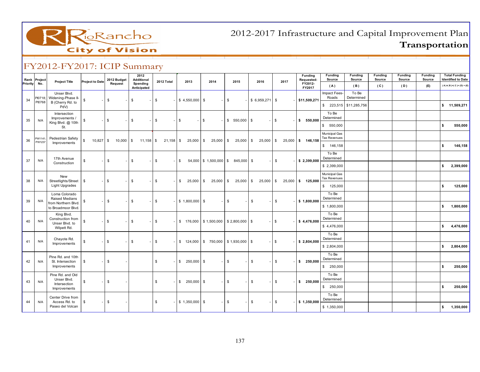

| Rank     | Project          | <b>Project Title</b>                        | <b>Project to Date</b> | 2012 Budget             | 2012<br><b>Additional</b> | 2012 Total     | 2013              | 2014                                                       | 2015          | 2016             | 2017         | <b>Funding</b><br>Requested:      | <b>Funding</b><br>Source             | <b>Funding</b><br>Source | <b>Funding</b><br>Source | <b>Funding</b><br>Source | <b>Funding</b><br>Source | <b>Total Funding</b><br><b>Identified to Date</b> |
|----------|------------------|---------------------------------------------|------------------------|-------------------------|---------------------------|----------------|-------------------|------------------------------------------------------------|---------------|------------------|--------------|-----------------------------------|--------------------------------------|--------------------------|--------------------------|--------------------------|--------------------------|---------------------------------------------------|
| Priority | No.              |                                             |                        | Request                 | Spending<br>Anticipated   |                |                   |                                                            |               |                  |              | FY2012-<br>FY2017                 | (A)                                  | (B)                      | (C)                      | (D)                      | (E)                      | $(A)+(B)+(C)+(D)+(E)$                             |
|          | PI0718:          | Unser Blvd.<br>Widening-Phase II-           |                        |                         |                           |                |                   |                                                            |               |                  |              |                                   | Impact Fees-<br>Roads                | To Be<br>Determined      |                          |                          |                          |                                                   |
| 34       | PI0768           | B (Cherry Rd. to<br>PdV)                    | \$                     | \$                      | \$<br>$\sim$ .            | $\sqrt{3}$     | $$4,550,000$ \$   |                                                            | <b>\$</b>     | $$6,959,271$ \\$ |              | \$11,509,271                      |                                      | $$223,515$ $$11,285,756$ |                          |                          |                          | \$ 11,509,271                                     |
|          |                  | Intersection<br>Improvements /              |                        |                         |                           |                |                   |                                                            |               |                  |              |                                   | To Be<br>Determined                  |                          |                          |                          |                          |                                                   |
| 35       | N/A              | King Blvd. @ 10th<br>St.                    | \$                     | \$                      | \$<br>$\sim$              | \$             | \$                | \$<br>$\sim$                                               | $$550,000$ \$ |                  | $-1$ \$      | \$550,000                         | \$550,000                            |                          |                          |                          |                          | s.<br>550,000                                     |
|          |                  |                                             |                        |                         |                           |                |                   |                                                            |               |                  |              |                                   | Municipal Gas<br><b>Tax Revenues</b> |                          |                          |                          |                          |                                                   |
| 36       | PW1141<br>PW1237 | Pedestrian Safety<br>Improvements           | \$                     | $10,827$ \$ $10,000$ \$ | $11,158$ \$               |                |                   | $21,158$ \$ 25,000 \$ 25,000 \$ 25,000 \$                  |               |                  |              | $25,000$   \$ 25,000   \$ 146,158 | \$146,158                            |                          |                          |                          |                          | 146,158<br>\$                                     |
|          |                  |                                             |                        |                         |                           |                |                   |                                                            |               |                  |              |                                   | To Be                                |                          |                          |                          |                          |                                                   |
| 37       | N/A              | 17th Avenue<br>Construction                 | \$                     | \$                      | $\mathbb{S}$<br>$-1$      | $\sqrt{3}$     | $^{\circ}$        | 54,000 \$1,500,000 \$845,000 \$                            |               | $\sim$           | $\mathbf{s}$ | \$2,399,000                       | Determined                           |                          |                          |                          |                          |                                                   |
|          |                  |                                             |                        |                         |                           |                |                   |                                                            |               |                  |              |                                   | \$2,399,000                          |                          |                          |                          |                          | \$<br>2,399,000                                   |
| 38       | N/A              | New<br>Streetlights/Street   \$             |                        | l S                     | S.                        | $-$ \$         | $$25,000$ \$      | 25,000 \$                                                  | $25,000$ \$   | $25,000$ \$      |              | 25,000 \$ 125,000                 | Municipal Gas<br><b>Tax Revenues</b> |                          |                          |                          |                          |                                                   |
|          |                  | <b>Light Upgrades</b>                       |                        | $\sim$                  |                           |                |                   |                                                            |               |                  |              |                                   | \$ 125,000                           |                          |                          |                          |                          | \$<br>125,000                                     |
|          |                  | Loma Colorado<br>Raised Medians             |                        |                         |                           |                |                   |                                                            |               |                  |              |                                   | To Be<br>Determined                  |                          |                          |                          |                          |                                                   |
| 39       | N/A              | from Northern Blvd.<br>to Broadmoor Blvd.   | \$                     | $-1$ \$<br>$\sim$ 1     | $\mathbb{S}$              | $-5$           | $$1,800,000$ \$   |                                                            | $-5$          | $-1$ \$          | $-5$         | \$1,800,000                       | \$1,800,000                          |                          |                          |                          |                          | \$<br>1,800,000                                   |
|          |                  | King Blvd.<br>Construction from             |                        |                         |                           |                |                   |                                                            |               |                  |              |                                   | To Be<br>Determined                  |                          |                          |                          |                          |                                                   |
| 40       | N/A              | Unser Blvd. to<br>Wilpett Rd.               | $\mathbb{S}$           | \$                      | \$                        | $-5$           |                   | $$176,000 \;   \; $1,500,000 \;   \; $2,800,000 \;   \; $$ |               |                  | $-1$ \$      | \$4,476,000                       | \$4,476,000                          |                          |                          |                          |                          | 4,476,000<br>\$                                   |
|          | N/A              | Chayote Rd.                                 |                        | \$                      | \$                        | $\sqrt{3}$     |                   |                                                            |               |                  |              |                                   | To Be<br>Determined                  |                          |                          |                          |                          |                                                   |
| 41       |                  | Improvements                                | \$                     |                         |                           |                |                   | $$124,000 \;   \; $750,000 \;   \; $1,930,000 \;   \; $$   |               |                  | $-$ \$       | \$2,804,000                       | \$2,804,000                          |                          |                          |                          |                          | 2,804,000<br>\$                                   |
| 42       | N/A              | Pine Rd. and 10th<br>St. Intersection       | \$                     | \$                      |                           | \$             | $$250,000$ \$     |                                                            | \$            | \$               | \$           | \$250,000                         | To Be<br>Determined                  |                          |                          |                          |                          |                                                   |
|          |                  | Improvements                                |                        |                         |                           |                |                   |                                                            |               |                  |              |                                   | \$250,000                            |                          |                          |                          |                          | \$<br>250,000                                     |
|          |                  | Pine Rd. and Old                            |                        |                         |                           |                |                   |                                                            |               |                  |              |                                   | To Be                                |                          |                          |                          |                          |                                                   |
| 43       | N/A              | Unser Blvd.<br>Intersection<br>Improvements | \$                     | \$                      |                           | $$\mathbb{S}$$ | $$250,000$ \$     |                                                            | $\mathfrak s$ | \$               | $\mathbb{S}$ | \$250,000                         | Determined<br>\$250,000              |                          |                          |                          |                          | 250,000<br>\$                                     |
|          |                  | Center Drive from                           |                        |                         |                           |                |                   |                                                            |               |                  |              |                                   | To Be                                |                          |                          |                          |                          |                                                   |
| 44       | N/A              | Access Rd. to                               | \$                     | \$                      |                           | \$             | $$1,350,000$ \ \$ |                                                            | \$<br>$\sim$  | \$               | \$           | \$1,350,000                       | Determined                           |                          |                          |                          |                          |                                                   |
|          |                  | Paseo del Volcan                            |                        |                         |                           |                |                   |                                                            |               |                  |              |                                   | \$1,350,000                          |                          |                          |                          |                          | 1,350,000<br>\$                                   |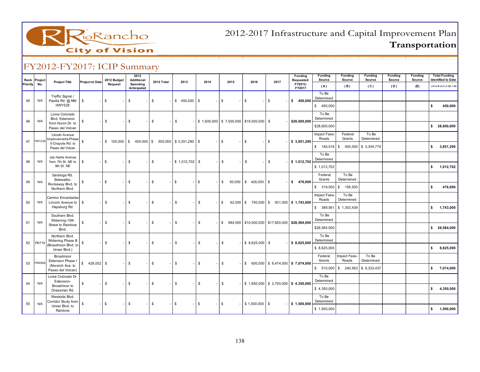

| Rank<br>Project |                                         |                        | 2012 Budget | 2012<br>Additional      |                                                   |                 |              |                                                |                          |      | Funding<br>Requested:                                | Funding<br>Source     | <b>Funding</b><br>Source | <b>Funding</b><br>Source | <b>Funding</b><br>Source | Funding<br>Source |    | <b>Total Funding</b><br><b>Identified to Date</b> |
|-----------------|-----------------------------------------|------------------------|-------------|-------------------------|---------------------------------------------------|-----------------|--------------|------------------------------------------------|--------------------------|------|------------------------------------------------------|-----------------------|--------------------------|--------------------------|--------------------------|-------------------|----|---------------------------------------------------|
| Priority<br>No. | <b>Project Title</b>                    | <b>Project to Date</b> | Request     | Spending<br>Anticipated | 2012 Total                                        | 2013            | 2014         | 2015                                           | 2016                     | 2017 | FY2012-<br>FY2017                                    | (A)                   | (B)                      | (C)                      | (D)                      | (E)               |    | $(A)+(B)+(C)+(D)+(E)$                             |
| 45<br>N/A       | Traffic Signal /<br>Pasilla Rd. @ NM    | \$                     | \$          | \$                      | \$                                                | \$450,000       | - \$         | \$                                             | -96                      | \$   | \$ 450,000                                           | To Be<br>Determined   |                          |                          |                          |                   |    |                                                   |
|                 | <b>HWY528</b>                           |                        |             |                         |                                                   |                 |              |                                                |                          |      |                                                      | \$450,000             |                          |                          |                          |                   | s. | 450,000                                           |
| N/A             | Loma Colorado<br>Blvd. Extension        | \$                     |             | \$                      | $\mathbb{S}$                                      |                 |              |                                                |                          |      |                                                      | To Be<br>Determined   |                          |                          |                          |                   |    |                                                   |
| 46              | from Huron Dr. to<br>Paseo del Volcan   |                        | \$          |                         |                                                   | $\mathbb S$     |              | $$1,600,000$   \$7,500,000   \$19,500,000   \$ |                          |      | \$28,600,000                                         | \$28,600,000          |                          |                          |                          |                   |    | \$28,600,000                                      |
| PW1239          | Lincoln Avenue<br>mprovements-Phase     | $\mathbb{S}$           |             |                         |                                                   |                 |              |                                                |                          |      |                                                      | Impact Fees-<br>Roads | Federal<br>Grants        | To Be<br>Determined      |                          |                   |    |                                                   |
| 47              | II-Chayote Rd. to<br>Paseo del Volcan   |                        |             |                         | $$100,000$ $$400,000$ $$500,000$ $$3,351,290$ $$$ |                 |              | \$                                             | -1\$                     | l \$ | \$3,851,290                                          | $$146,516$ \ \$       |                          | 400,000 \$ 3,304,774     |                          |                   | s. | 3,851,290                                         |
| 48<br>N/A       | Joe Harris Avenue<br>from 7th St. NE to | \$                     | \$          | \$                      | $\mathbb{S}$                                      | $$1,012,702$ \$ |              | \$                                             | $\mathbb{S}$             | \$   | \$1,012,702                                          | To Be<br>Determined   |                          |                          |                          |                   |    |                                                   |
|                 | 9th St. NE                              |                        |             |                         |                                                   |                 |              |                                                |                          |      |                                                      | \$1,012,702           |                          |                          |                          |                   | s. | 1,012,702                                         |
| 49<br>N/A       | Saratoga Rd.<br>Sidewalks-              | \$                     | \$          | S.                      | <b>S</b>                                          | \$<br>$\sim$    | \$           |                                                | $$50,000$ $$426,000$ $$$ |      | \$ 476,000                                           | Federal<br>Grants     | To Be<br>Determined      |                          |                          |                   |    |                                                   |
|                 | Rockaway Blvd. to<br>Northern Blvd.     |                        |             |                         |                                                   |                 |              |                                                |                          |      |                                                      | \$ 319,500            | 156,500<br>l S           |                          |                          |                   | s. | 476,000                                           |
|                 | Camino Encantadas-                      |                        |             |                         |                                                   |                 |              |                                                |                          |      |                                                      | Impact Fees-<br>Roads | To Be<br>Determined      |                          |                          |                   |    |                                                   |
| 50<br>N/A       | Lincoln Avenue to<br>Hapsburg Rd.       | \$                     | \$          | \$                      | $\mathbb{S}$                                      | $\mathbb{S}$    | $\mathbb{S}$ | \$                                             |                          |      | $62,000$ \$ 750,000 \$ 931,000 \$ 1,743,000          | \$ 389,561            | \$1,353,439              |                          |                          |                   |    | \$ 1,743,000                                      |
|                 | Southern Blvd.<br>Widening-15th         |                        |             |                         |                                                   |                 |              |                                                |                          |      |                                                      | To Be<br>Determined   |                          |                          |                          |                   |    |                                                   |
| 51<br>N/A       | Street to Rainbow<br>Blvd.              | \$                     | \$          | \$                      | $\mathbb{S}$                                      | $\mathbb{S}$    | $\mathbb{S}$ |                                                |                          |      | $$984,000$ $$10,000,000$ $$17,600,000$ $$28,584,000$ | \$28,584,000          |                          |                          |                          |                   |    | \$28,584,000                                      |
|                 | Northern Blvd.<br>Widening Phase B      |                        |             |                         |                                                   |                 |              |                                                |                          |      |                                                      | To Be<br>Determined   |                          |                          |                          |                   |    |                                                   |
| PI0719<br>52    | (Broadmoor Blvd. to<br>Unser Blvd.)     | \$                     | \$          | \$                      | \$                                                | \$              | $\mathbb{S}$ | \$                                             | $$8,625,000$ \ \$        |      | \$8,625,000                                          | \$8,625,000           |                          |                          |                          |                   | s. | 8,625,000                                         |
| PW0906          | Broadmoor<br>Extension Phase I          |                        |             |                         |                                                   |                 |              |                                                |                          |      |                                                      | Federal<br>Grants     | Impact Fees-<br>Roads    | To Be<br>Determined      |                          |                   |    |                                                   |
| 53              | (Norwich Ave. to<br>Paseo del Volcan)   | $$426,052$ \ \$        |             | \$                      | \$                                                | \$              | $\mathbb{S}$ | \$                                             |                          |      | $$600,000$ $$6,474,000$ $$7,074,000$                 | $$510,000$ \ \$       |                          | 240,563 \$6,323,437      |                          |                   |    | \$7,074,000                                       |
|                 | Loma Colorado Dr.<br>Extension-         |                        |             |                         |                                                   |                 |              |                                                |                          |      |                                                      | To Be<br>Determined   |                          |                          |                          |                   |    |                                                   |
| 54<br>N/A       | Broadmoor to<br>Chessman Rd.            | \$                     | \$          | \$                      | \$                                                | $\mathbb{S}$    | \$           | $\mathbb{S}$                                   |                          |      | $$1,650,000$ $$2,700,000$ $$4,350,000$               | \$4,350,000           |                          |                          |                          |                   | \$ | 4,350,000                                         |
|                 | Westside Blvd.<br>Corridor Study from   |                        |             |                         |                                                   |                 |              |                                                |                          |      |                                                      | To Be<br>Determined   |                          |                          |                          |                   |    |                                                   |
| 55<br>N/A       | Unser Blvd. to<br>Rainbow               | \$                     | \$          | \$                      | \$                                                | \$              | \$           | -15                                            | $$1,500,000$ \ \$        |      | \$1,500,000                                          | \$1,500,000           |                          |                          |                          |                   | \$ | 1,500,000                                         |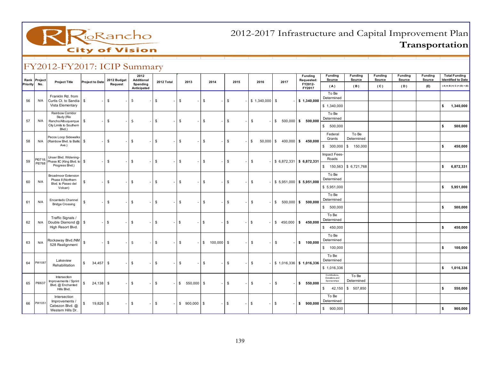

| Rank<br>Priority | Project<br>No.    | <b>Project Title</b>                                    | <b>Project to Date</b> | 2012 Budget<br>Request | 2012<br>Additional<br>Spending | 2012 Total     | 2013          | 2014                             | 2015           | 2016            | 2017                          | Funding<br>Requested:<br>FY2012- | <b>Funding</b><br>Source      | <b>Funding</b><br>Source | <b>Funding</b><br>Source | <b>Funding</b><br>Source | <b>Funding</b><br>Source | <b>Total Funding</b><br><b>Identified to Date</b> |
|------------------|-------------------|---------------------------------------------------------|------------------------|------------------------|--------------------------------|----------------|---------------|----------------------------------|----------------|-----------------|-------------------------------|----------------------------------|-------------------------------|--------------------------|--------------------------|--------------------------|--------------------------|---------------------------------------------------|
|                  |                   |                                                         |                        |                        | Anticipated                    |                |               |                                  |                |                 |                               | FY2017                           | (A)                           | (B)                      | (C)                      | (D)                      | (E)                      | $(A)+(B)+(C)+(D)+(E)$                             |
| 56               | N/A               | Franklin Rd, from<br>Curtis Ct. to Sandia   \$          |                        | \$                     | Ś.                             | \$             | \$            | \$                               | \$             | $$1,340,000$ \$ |                               | \$1,340,000                      | To Be<br>Determined           |                          |                          |                          |                          |                                                   |
|                  |                   | Vista Elementary                                        |                        |                        |                                |                |               |                                  |                |                 |                               |                                  | \$1,340,000                   |                          |                          |                          |                          | \$<br>1,340,000                                   |
|                  |                   | Rainbow Corridor<br>Study (Rio                          |                        |                        |                                |                |               |                                  |                |                 |                               |                                  | To Be                         |                          |                          |                          |                          |                                                   |
| 57               | N/A               | Rancho/Albuquerque<br>City Limits to Southern<br>Blvd.) | \$                     | \$                     | Ŝ.                             | \$             | \$            | \$                               | \$             | \$              |                               | $$500,000$ \$ 500,000            | Determined<br>\$500,000       |                          |                          |                          |                          | \$<br>500,000                                     |
|                  |                   |                                                         |                        |                        |                                |                |               |                                  |                |                 |                               |                                  | Federal                       | To Be                    |                          |                          |                          |                                                   |
| 58               | N/A               | Pecos Loop Sidewalks<br>(Rainbow Blvd. to Baltic \$     |                        | \$                     | $\mathbb{S}$                   | $\sqrt{3}$     | \$            | \$                               | \$             | \$              |                               | $50,000$ \$ 400,000 \$ 450,000   | Grants                        | Determined               |                          |                          |                          |                                                   |
|                  |                   | Ave.)                                                   |                        |                        |                                |                |               |                                  |                |                 |                               |                                  | \$300,000                     | \$ 150,000               |                          |                          |                          | \$<br>450,000                                     |
|                  |                   | Unser Blvd. Widening-                                   |                        |                        |                                |                |               |                                  |                |                 |                               |                                  | Impact Fees-<br>Roads         |                          |                          |                          |                          |                                                   |
| 59               | PI0718;<br>PI0768 | Phase IIC (King Blvd. to \$<br>Progress Blvd.)          |                        | \$                     | $\mathbb{S}$<br>$\sim$         | $\mathbb{S}$   | $\mathbb{S}$  | $\mathbb{S}$                     | $$\$           | \$              |                               | $$6,872,331$ $$6,872,331$        |                               | $$150,563$ $$6,721,768$  |                          |                          |                          | \$<br>6,872,331                                   |
|                  |                   | <b>Broadmoor Extension</b>                              |                        |                        |                                |                |               |                                  |                |                 |                               |                                  | To Be                         |                          |                          |                          |                          |                                                   |
| 60               | N/A               | Phase II (Northern<br>Blvd. to Paseo del                | \$                     | \$                     | S.<br>$\sim$                   | \$             | \$            | \$                               | \$             | \$<br>$\sim$    | $-$ \$ 5,951,000 \$ 5,951,000 |                                  | Determined                    |                          |                          |                          |                          |                                                   |
|                  |                   | Volcan)                                                 |                        |                        |                                |                |               |                                  |                |                 |                               |                                  | \$5,951,000                   |                          |                          |                          |                          | \$<br>5,951,000                                   |
|                  |                   |                                                         |                        |                        |                                |                |               |                                  |                |                 |                               |                                  | To Be<br>Determined           |                          |                          |                          |                          |                                                   |
| 61               | N/A               | Encantado Channel<br><b>Bridge Crossing</b>             | \$                     | $\mathbb S$<br>$\sim$  | $\mathbb{S}$                   | $-5$<br>$\sim$ | $\mathbb{S}$  | $\mathbb{S}$<br>$\sim$<br>$\sim$ | <b>S</b>       | \$<br>$\sim$    | $-$ \$ 500,000 \$ 500,000     |                                  | \$500,000                     |                          |                          |                          |                          | \$<br>500,000                                     |
|                  |                   |                                                         |                        |                        |                                |                |               |                                  |                |                 |                               |                                  | To Be                         |                          |                          |                          |                          |                                                   |
| 62               | N/A               | Traffic Signals /<br>Double Diamond @ \$                |                        | $\sqrt{3}$<br>$\sim$   | \$<br>- 1                      | $\sqrt{3}$     | $\mathbb{S}$  | $\mathbb{S}$<br>$\sim$           | $\mathfrak{s}$ | \$              |                               | $$450,000$ \$450,000             | Determined                    |                          |                          |                          |                          |                                                   |
|                  |                   | High Resort Blvd.                                       |                        |                        |                                |                |               |                                  |                |                 |                               |                                  | \$450,000                     |                          |                          |                          |                          | \$<br>450,000                                     |
|                  |                   | Rockaway Blvd./NM                                       |                        |                        |                                |                |               |                                  |                |                 |                               |                                  | To Be<br>Determined           |                          |                          |                          |                          |                                                   |
| 63               | N/A               | 528 Realignment                                         | \$                     | \$                     | \$                             | $\sqrt{3}$     | \$            | $$100,000$ \$                    |                | \$              | $\mathbb{S}$                  | \$ 100,000                       | \$ 100,000                    |                          |                          |                          |                          | \$<br>100,000                                     |
|                  |                   |                                                         |                        |                        |                                |                |               |                                  |                |                 |                               |                                  | To Be                         |                          |                          |                          |                          |                                                   |
| 64               | PW1087            | Lakeview<br>Rehabilitation                              | $$34,457$ \ \ \$       |                        | \$<br>$\sim$                   | \$             | \$            | \$                               | \$             | \$              |                               | $-$ \$ 1,016,336 \$ 1,016,336    | Determined                    |                          |                          |                          |                          |                                                   |
|                  |                   |                                                         |                        |                        |                                |                |               |                                  |                |                 |                               |                                  | \$1,016,336<br>Contributions, |                          |                          |                          |                          | \$<br>1,016,336                                   |
|                  |                   | Intersection<br>Improvements / Sprint                   |                        |                        |                                |                |               |                                  |                |                 |                               |                                  | Donatons and<br>Sponsorships  | To Be<br>Determined      |                          |                          |                          |                                                   |
| 65               | PI0637            | Blvd. @ Enchanted<br>Hills Blvd.                        | \$<br>$24,138$ \$      |                        | $\mathbb{S}$                   | $-$ \$         | $$550,000$ \$ |                                  | $\mathfrak s$  | \$              | $\mathbb{S}$                  | \$550,000                        | \$ 42,150                     | \$ 507,850               |                          |                          |                          | \$<br>550,000                                     |
|                  |                   | Intersection                                            |                        |                        |                                |                |               |                                  |                |                 |                               |                                  | To Be                         |                          |                          |                          |                          |                                                   |
| 66               | PW105             | Improvements /<br>Cabezon Blvd. @<br>Western Hills Dr.  | $19,826$ \$<br>\$      |                        | \$<br>$\sim$                   | \$             | $$900,000$ \$ |                                  | \$             | \$<br>$\sim$    | \$                            | \$900,000                        | Determined<br>\$900,000       |                          |                          |                          |                          | \$<br>900,000                                     |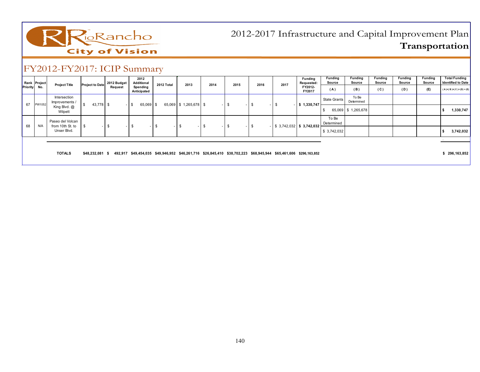

| Priority | Rank Project<br>No. | <b>Project Title</b>                           | <b>Project to Date</b> | 2012 Budget<br>Request | 2012<br>Additional<br>Spending<br>Anticipated | 2012 Total | 2013                   | 2014           | 2015       | 2016           | 2017 | <b>Funding</b><br>Requested:<br>FY2012-<br>FY2017                                                                | <b>Funding</b><br>Source<br>(A) | Funding<br>Source<br>(B) | Funding<br>Source<br>(C) | Funding<br>Source<br>(D) | Funding<br>Source<br>(E) | <b>Total Funding</b><br><b>Identified to Date</b><br>$(A)+(B)+(C)+(D)+(E)$ |
|----------|---------------------|------------------------------------------------|------------------------|------------------------|-----------------------------------------------|------------|------------------------|----------------|------------|----------------|------|------------------------------------------------------------------------------------------------------------------|---------------------------------|--------------------------|--------------------------|--------------------------|--------------------------|----------------------------------------------------------------------------|
| 67       | PW1052              | Intersection<br>Improvements /<br>King Blvd. @ | $43,778$ \$            |                        | $65,069$ \$<br>$-1$ \$                        |            | 65,069 \$1,265,678 \$  | . <b>.</b>     | \$<br>- 1  | \$<br>$\sim$ 1 | ъ    | \$1,330,747                                                                                                      | <b>State Grants</b>             | To Be<br>Determined      |                          |                          |                          |                                                                            |
|          |                     | Wilpett                                        |                        |                        |                                               |            |                        |                |            |                |      |                                                                                                                  |                                 | 65,069 \$1,265,678       |                          |                          |                          | 1,330,747                                                                  |
| 68       | N/A                 | Paseo del Volcan<br>from 10th St. to           |                        | S                      |                                               | \$.        | \$<br>$\sim$ 100 $\pm$ | \$<br>$\sim$ 1 | -\$<br>- 1 | \$             |      | $-$ \$ 3,742,032 \$ 3,742,032                                                                                    | To Be<br>Determined             |                          |                          |                          |                          |                                                                            |
|          |                     | Unser Blvd.                                    |                        |                        |                                               |            |                        |                |            |                |      |                                                                                                                  | \$3,742,032                     |                          |                          |                          |                          | 3,742,032                                                                  |
|          |                     |                                                |                        |                        |                                               |            |                        |                |            |                |      |                                                                                                                  |                                 |                          |                          |                          |                          |                                                                            |
|          |                     | <b>TOTALS</b>                                  | \$48.232.081 \$        |                        |                                               |            |                        |                |            |                |      | 492,917 \$49,454,035 \$49,946,952 \$46,261,716 \$26,845,410 \$38,702,223 \$68,945,944 \$65,461,606 \$296,163,852 |                                 |                          |                          |                          |                          | \$296,163,852                                                              |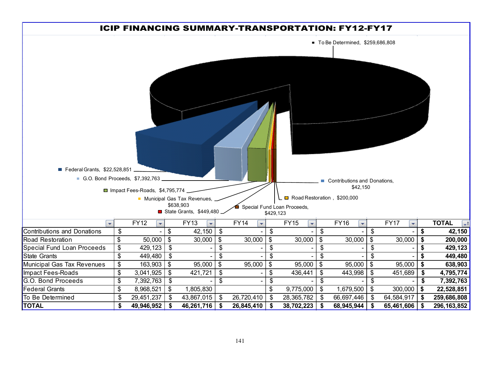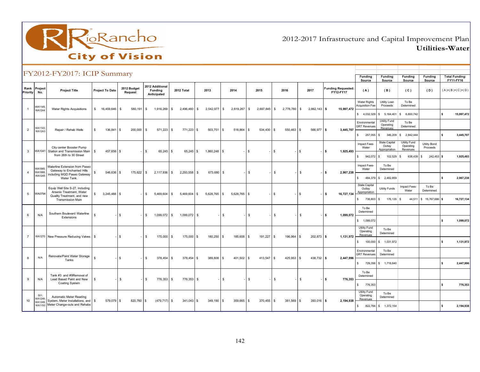

2012-2017 Infrastructure and Capital Improvement PlanUtilities-Water

|                 |                         | FY2012-FY2017: ICIP Summary                                         |                          |                            |                                                  |                    |              |                   |                   |                   |                              |                                        | Funding<br>Source                        | <b>Funding</b><br>Source                        | <b>Funding</b><br>Source              | <b>Funding</b><br>Source        | <b>Total Funding:</b><br>FY11-FY16 |
|-----------------|-------------------------|---------------------------------------------------------------------|--------------------------|----------------------------|--------------------------------------------------|--------------------|--------------|-------------------|-------------------|-------------------|------------------------------|----------------------------------------|------------------------------------------|-------------------------------------------------|---------------------------------------|---------------------------------|------------------------------------|
| <b>Priority</b> | Rank Project<br>No.     | <b>Project Title</b>                                                | <b>Project To Date</b>   | 2012 Budget<br>Request     | 2012 Additional<br><b>Funding</b><br>Anticipated | 2012 Total         | 2013         | 2014              | 2015              | 2016              | 2017                         | <b>Funding Requested:</b><br>FY12-FY17 | (A)                                      | (B)                                             | (C)                                   | (D)                             | (A)+(B)+(C)+(D)                    |
|                 | WA1145<br><b>WA1244</b> | Water Rights Acquisitions                                           | 16,459,646<br>$^{\circ}$ | 580,191 \$<br>\$           | 1,916,269 \$                                     | 2,496,460 \$       | 2,542,977 \$ | 2,619,267 \$      | 2,697,845 \$      | 2,778,780 \$      | 2,862,143 \$                 | 15,997,472                             | <b>Water Rights</b><br>Acquisition Fee   | Utility Loan<br>Proceeds                        | To Be<br>Determined                   |                                 |                                    |
|                 |                         |                                                                     |                          |                            |                                                  |                    |              |                   |                   |                   |                              |                                        |                                          | \$ 4,032,329 \$ 5,164,401                       | \$ 6,800,742                          |                                 | <b>S</b><br>15,997,472             |
| $\overline{2}$  | WA1143<br>WA1243        | Repair / Rehab Wells                                                | s<br>136,841             | $\mathbb{S}$<br>200,000 \$ | $571,223$ \$                                     | 771,223 \$         | 503,751 \$   | 518,864           | l S<br>534,430 \$ | 550,463 \$        | 566,977 \$                   | 3,445,707                              | Environmental<br><b>GRT Revenues</b>     | Utility Fund<br>Operating<br>Revenues           | To Be<br>Determined                   |                                 |                                    |
|                 |                         |                                                                     |                          |                            |                                                  |                    |              |                   |                   |                   |                              |                                        | s.<br>257,055 \$                         |                                                 | 346,209 \$ 2,842,444                  |                                 | $\mathbf{s}$<br>3,445,707          |
| 3               |                         | City center Booster Pump<br>WA1041 Station and Transmission Main    | 457,656<br>ls.           | \$                         | 65,245 \$<br>-S                                  | $65,245$ \$        | 1,860,248 \$ |                   | l s               | IS.               | $\sqrt{3}$                   | 1,925,493<br>$-$ S                     | Impact Fees-<br>Water                    | <b>State Capital</b><br>Outlay<br>Appropriation | Utility Fund<br>Operating<br>Revenues | <b>Utility Bond</b><br>Proceeds |                                    |
|                 |                         | from 26th to 30 Street                                              |                          |                            |                                                  |                    |              |                   |                   |                   |                              |                                        | s<br>942,072                             | <b>S</b><br>102,529 \$                          | 638,439 \$                            | 242,453 \$                      | 1,925,493                          |
|                 | WA1065<br>WA1068        | <b>Naterline Extension from Paseo</b><br>Gateway to Enchanted Hills | \$<br>546,636            | \$<br>175,622 \$           | 2,117,936 \$                                     | 2,293,558 \$       | 673,680 \$   |                   | S.                | s.                | \$                           | - I S<br>2,967,238                     | Impact Fees-<br>Water                    | To Be<br>Determined                             |                                       |                                 |                                    |
|                 | <b>WA1245</b>           | including MGD Paseo Gateway<br>Water Tank.                          |                          |                            |                                                  |                    |              |                   |                   |                   |                              |                                        | s<br>484,379                             | \$2,482,859                                     |                                       |                                 | \$.<br>2,967,238                   |
| 5               | WA0794                  | Equip Well Site S-27, including<br>Arsenic Treatment, Water         | \$<br>$3,245,488$ \$     |                            | 5,469,604<br>\$                                  | 5,469,604 \$<br>\$ | 5,628,765 \$ | 5,628,765 \$      |                   | l \$              | l \$                         | 16,727,134<br>l \$                     | State Capital<br>Outlay<br>Appropriation | Utility Funds                                   | Impact Fees-<br>Water                 | To Be<br>Determined             |                                    |
|                 |                         | Quality Treatment, and new<br><b>Transmission Main</b>              |                          |                            |                                                  |                    |              |                   |                   |                   |                              |                                        | s.<br>738,803 \$                         | 176,135 \$                                      |                                       | 44,511 \$ 15,767,686 \$         | 16,727,134                         |
| 6               | N/A                     | Southern Boulevard Waterline                                        | -S                       | \$                         | 1,099,072 \$<br>S.                               | 1,099,072 \$       |              | <b>S</b>          | \$                | S.                | -S                           | 1,099,072<br>$-1$ \$                   | To Be<br>Determined                      |                                                 |                                       |                                 |                                    |
|                 |                         | Extensions                                                          |                          |                            |                                                  |                    |              |                   |                   |                   |                              |                                        | \$ 1,099,072                             |                                                 |                                       |                                 | 1,099,072<br>s                     |
| $\overline{7}$  |                         |                                                                     |                          | \$                         | 175,000<br>- 96                                  | 175,000 \$         | 180,250      |                   | l s               | ls.<br>196,964    | $\mathbf{s}$<br>$202,873$ \$ | 1,131,972                              | Utility Fund<br>Operating<br>Revenues    | To Be<br>Determined                             |                                       |                                 |                                    |
|                 |                         | WA1270 New Pressure Reducing Valves   \$                            |                          |                            |                                                  | -\$                |              | 185,658<br>l S    | 191,227           |                   |                              |                                        | s                                        | 100,000 \$ 1,031,972                            |                                       |                                 | 1,131,972<br>s                     |
| $\mathbf{R}$    | N/A                     | Renovate/Paint Water Storage                                        | \$.                      | $\mathbb{S}$               | 378,454 \$<br>$\mathbf{s}$                       | 378,454 \$         | 389,808      | 401,502 \$<br>l S | 413,547           | ls.<br>425,953 \$ | 438,732 \$                   | 2,447,996                              | Environmental<br><b>GRT Revenues</b>     | To Be<br>Determined                             |                                       |                                 |                                    |
|                 |                         | Tanks                                                               |                          |                            |                                                  |                    |              |                   |                   |                   |                              |                                        | $\mathsf{s}$                             | 729,356 \$ 1,718,640                            |                                       |                                 | 2,447,996<br>\$.                   |
| $\mathbf{q}$    | N/A                     | Tank #3 and #9Removal of<br>Lead Based Paint and New                | l S                      | \$                         | 776,353 \$<br>$\mathbf{s}$                       | 776,353 \$         |              | - \$              | S.                | S.                | \$                           | $-1$ S<br>776,353                      | To Be<br>Determined                      |                                                 |                                       |                                 |                                    |
|                 |                         | <b>Coating System</b>                                               |                          |                            |                                                  |                    |              |                   |                   |                   |                              |                                        | 776,353<br>s                             |                                                 |                                       |                                 | 776,353<br>\$.                     |
| 10              | 501:<br>WA1248          | Automatic Meter Reading<br>System, Meter Installations, and S       | 579,079                  | \$<br>820,760 \$           | $(479, 717)$ \$                                  | 341,043 \$         | $349,190$ \$ | 359,665 \$        | 370,455 \$        | 381,569 \$        | $393,016$ \$                 | 2,194,938                              | Utility Fund<br>Operating<br>Revenues    | To Be<br>Determined                             |                                       |                                 |                                    |
|                 | WA1249<br>WA1150        | Meter Change-outs and Rehabs                                        |                          |                            |                                                  |                    |              |                   |                   |                   |                              |                                        | s                                        | 822,784 \$ 1,372,154                            |                                       |                                 | 2,194,938<br>\$.                   |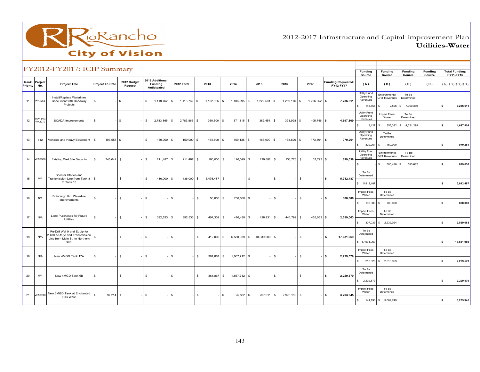

2012-2017 Infrastructure and Capital Improvement PlanUtilities-Water

|                  |                          | FY2012-FY2017: ICIP Summary                                                                       |                             |                        |                                           |                            |                 |                                |                           |                            |                              |                                        | Funding<br>Source                            | <b>Funding</b><br>Source                | Funding<br>Source     | <b>Funding</b><br>Source | <b>Total Funding:</b><br>FY11-FY16 |
|------------------|--------------------------|---------------------------------------------------------------------------------------------------|-----------------------------|------------------------|-------------------------------------------|----------------------------|-----------------|--------------------------------|---------------------------|----------------------------|------------------------------|----------------------------------------|----------------------------------------------|-----------------------------------------|-----------------------|--------------------------|------------------------------------|
| Rank<br>Priority | Project<br>No.           | <b>Project Title</b>                                                                              | <b>Project To Date</b>      | 2012 Budget<br>Request | 2012 Additional<br>Funding<br>Anticipated | 2012 Total                 | 2013            | 2014                           | 2015                      | 2016                       | 2017                         | <b>Funding Requested:</b><br>FY12-FY17 | (A)                                          | (B)                                     | (C)                   | (D)                      | $(A)+(B)+(C)+(D)$                  |
| 11               | WA1268                   | Install/Replace Waterlines<br>Concurrent with Roadway                                             | s                           | $\sqrt{3}$             | $\mathbb{S}$<br>1,118,762 \$              | 1,118,762 \$               | 1,152,325       | $\mathsf{s}$<br>1,186,895      | $\mathbb{S}$<br>1,222,501 | 1,259,176 \$<br>$\sqrt{3}$ | 1,296,952 \$                 | 7,236,611                              | <b>Utility Fund</b><br>Operating<br>Revenues | Environmental<br><b>GRT Revenues</b>    | To Be<br>Determined   |                          |                                    |
|                  |                          | Projects                                                                                          |                             |                        |                                           |                            |                 |                                |                           |                            |                              |                                        | 143,655<br>s.                                | 2,596<br>-S                             | \$7,090,360           |                          | l s<br>7,236,611                   |
| 12               | WA1146:<br><b>WA1272</b> | <b>SCADA</b> Improvements                                                                         | s                           | l s                    | $$^{\circ}$<br>2,783,865 \$               | 2,783,865 \$               | 360,500         | 371,315<br>-S.                 | 382,454<br>s.             | 393,928<br>$\sqrt{3}$      | 405,746 \$<br>\$.            | 4,697,809                              | Utility Fund<br>Operating<br>Revenues        | Impact Fees-<br>Water                   | To Be<br>Determined   |                          |                                    |
|                  |                          |                                                                                                   |                             |                        |                                           |                            |                 |                                |                           |                            |                              |                                        | 13,127<br>s<br>Utility Fund                  | 353,382<br>\$<br>To Be                  | 4,331,299<br>s.       |                          | $\mathsf{s}$<br>4,697,808          |
| 13               | 512                      | Vehicles and Heavy Equipment                                                                      | S,<br>193,558 \$            |                        | <b>S</b><br>150,000 \$                    | 150,000 \$                 | 154,500         | 159,135<br>s.                  | 163,909<br>s.             | 168,826<br>l \$            | l \$<br>173,891 \$           | 970,261                                | Operating<br>Revenues                        | Determined                              |                       |                          |                                    |
|                  |                          |                                                                                                   |                             |                        |                                           |                            |                 |                                |                           |                            |                              |                                        | 820,261<br>s.<br>Utility Fund<br>Operating   | 150,000<br>-S<br>Environmental          | To Be                 |                          | l s<br>970,261                     |
| 14               | WA0886                   | <b>Existing Well Site Security</b>                                                                | s<br>745.642 \$             |                        | \$<br>211,487                             | $\mathbb{S}$<br>211.487 \$ | 160,000         | $\mathbb{S}$<br>126,099        | s.<br>129,882             | 133,778<br>l S             | $\mathbb{S}$<br>$137.793$ \$ | 899.038                                | Revenues<br>s.                               | <b>GRT Revenues</b><br>\$<br>305,426 \$ | Determined<br>593,612 |                          | $\mathsf{s}$<br>899,038            |
|                  |                          | Booster Station and                                                                               |                             |                        |                                           |                            |                 |                                |                           |                            |                              |                                        | To Be<br>Determined                          |                                         |                       |                          |                                    |
| 15               | N/A                      | Transmission Line from Tank 8<br>to Tank 13                                                       | <b>S</b><br>$\sim$          | \$                     | \$<br>436,000 \$                          | 436,000 \$                 | 5,476,487       | $\mathbf{s}$                   | \$                        | <b>S</b>                   | \$                           | ١s<br>5,912,487                        | \$5,912,487                                  |                                         |                       |                          | 5,912,487<br>l S                   |
| 16               | N/A                      | Edinburgh Rd. Waterline                                                                           | $\mathbb{S}$                | \$                     | \$                                        | \$                         | l s<br>50,000   | \$<br>750,000                  | S.                        | l S                        | \$                           | l s<br>800,000                         | Impact Fees-<br>Water                        | To Be<br>Determined                     |                       |                          |                                    |
|                  |                          | Improvements                                                                                      |                             |                        |                                           |                            |                 |                                |                           |                            |                              |                                        | $\mathsf{s}$<br>100,000                      | 700,000<br>s.                           |                       |                          | l s<br>800,000                     |
| 17               | N/A                      | Land Purchases for Future<br>Utilities                                                            | s                           | \$                     | \$<br>392,533 \$                          | 392,533 \$                 | 404,309         | \$<br>416,438                  | $\mathbb{S}$<br>428,931   | <b>S</b><br>441,799        | $\mathfrak s$<br>455,053 \$  | 2,539,063                              | Impact Fees-<br>Water                        | To Be<br>Determined                     |                       |                          |                                    |
|                  |                          |                                                                                                   |                             |                        |                                           |                            |                 |                                |                           |                            |                              |                                        | s.<br>307,039                                | \$2,232,024                             |                       |                          | $\sim$<br>2,539,063                |
| 18               | N/A                      | Re-Drill Well 9 and Equip for<br>400 ac-ft./yr and Transmission<br>Line from Main St. to Northern | <b>S</b>                    | \$                     | \$                                        | \$                         | 412,000<br>\$   | \$<br>6,580,389                | $$10,639,580$ \$          |                            | \$                           | $\sim$<br>17,631,969                   | To Be<br>Determined                          |                                         |                       |                          |                                    |
|                  |                          | Blvd.                                                                                             |                             |                        |                                           |                            |                 |                                |                           |                            |                              |                                        | \$17,631,969<br>Impact Fees-                 | To Be                                   |                       |                          | l s<br>17,631,969                  |
| 19               | N/A                      | New 4MGD Tank 17A                                                                                 | -S                          | S.                     | \$                                        | $\mathfrak s$              | 361,867<br>- \$ | $\mathfrak{s}$<br>1,867,712 \$ |                           | -S                         | \$                           | 2,229,579<br>$\sim$                    | Water<br>s.<br>212,620                       | Determined<br>\$ 2,016,959              |                       |                          | $\sim$<br>2,229,579                |
|                  |                          |                                                                                                   |                             |                        |                                           |                            |                 |                                |                           |                            |                              |                                        | To Be                                        |                                         |                       |                          |                                    |
| 20               | N/A                      | New 4MGD Tank 6B                                                                                  | -S                          | \$                     | \$                                        | $\mathfrak s$              | 361,867<br>\$   | $\mathsf{\$}$<br>1,867,712 \$  |                           | l S                        | $\mathfrak s$                | 2,229,579<br>$\sim$                    | Determined<br>\$2,229,579                    |                                         |                       |                          | l s<br>2,229,579                   |
|                  |                          | New 3MGD Tank at Enchanted                                                                        |                             |                        |                                           |                            |                 |                                |                           |                            |                              |                                        | Impact Fees-<br>Water                        | To Be<br>Determined                     |                       |                          |                                    |
| 21               | WA0910                   | <b>Hills West</b>                                                                                 | $\mathbf{s}$<br>$97,214$ \$ |                        | S.                                        | $^{\circ}$                 | <b>S</b>        | 25,882<br>-S                   | S.<br>207,911             | l s<br>2,970,152 \$        |                              | l s<br>3,203,945                       | s.                                           | 141,196 \$ 3,062,749                    |                       |                          | 3,203,945<br>l s                   |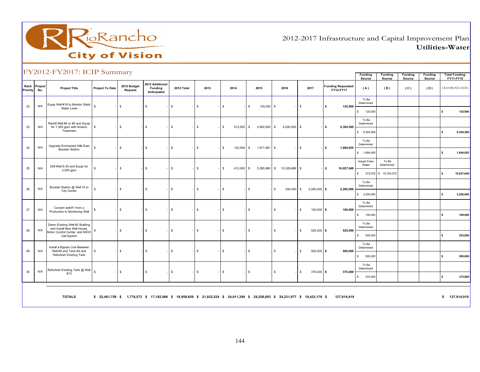

2012-2017 Infrastructure and Capital Improvement PlanUtilities-Water

|          |                     | $1.2012 \pm 1.2017$ . ICH building                            |                        |                        |                                                                                                                                 |              |                    |                            |                    |                |                                |                                        | Funding<br>Source        | Funding<br>Source   | Funding<br>Source | Funding<br>Source | <b>Total Funding:</b><br>FY11-FY16 |
|----------|---------------------|---------------------------------------------------------------|------------------------|------------------------|---------------------------------------------------------------------------------------------------------------------------------|--------------|--------------------|----------------------------|--------------------|----------------|--------------------------------|----------------------------------------|--------------------------|---------------------|-------------------|-------------------|------------------------------------|
| Priority | Rank Project<br>No. | <b>Project Title</b>                                          | <b>Project To Date</b> | 2012 Budget<br>Request | 2012 Additional<br>Funding<br>Anticipated                                                                                       | 2012 Total   | 2013               | 2014                       | 2015               | 2016           | 2017                           | <b>Funding Requested:</b><br>FY12-FY17 | (A)                      | (B)                 | (C)               | (D)               | $(A)+(B)+(C)+(D)$                  |
| 22       | N/A                 | Equip Well #18 to Monitor Static<br>Water Level               | -S                     | $\mathbb{S}$           | <b>S</b>                                                                                                                        | $\mathbb{S}$ | \$                 | $\mathbf{s}$               | s.<br>125,000 \$   |                | $\mathbb{S}$                   | ls.<br>125,000                         | To Be<br>Determined      |                     |                   |                   |                                    |
|          |                     |                                                               |                        |                        |                                                                                                                                 |              |                    |                            |                    |                |                                |                                        | $\mathsf{s}$<br>125,000  |                     |                   |                   | 125,000<br>s.                      |
| 23       | N/A                 | Redrill Well #4 or #5 and Equip<br>for 1,500 gpm with Arsenic | <b>S</b>               | \$                     | <b>\$</b>                                                                                                                       | \$           | <b>S</b>           | $\mathbf{s}$<br>412,000 \$ | 4,892,500 \$       | $4,000,000$ \$ |                                | l s<br>9,304,500                       | To Be<br>Determined      |                     |                   |                   |                                    |
|          |                     | Treatment                                                     |                        |                        |                                                                                                                                 |              |                    |                            |                    |                |                                |                                        | \$9,304,500              |                     |                   |                   | 9,304,500<br>s.                    |
| 24       | N/A                 | Upgrade Enchanted Hills East                                  | <sub>S</sub>           | \$                     | \$                                                                                                                              | \$           | - \$               | 122,094<br>\$              | 1,571,961 \$<br>S. |                | $\mathfrak s$                  | 1,694,055<br>l s                       | To Be<br>Determined      |                     |                   |                   |                                    |
|          |                     | <b>Booster Station</b>                                        |                        |                        |                                                                                                                                 |              |                    |                            |                    |                |                                |                                        | \$ 1,694,055             |                     |                   |                   | 1,694,055<br>\$                    |
| 25       | N/A                 | Drill Well S-25 and Equip for                                 | -S                     | $\mathbb{S}$           | <b>S</b>                                                                                                                        | $\mathbb{S}$ | <b>S</b>           | 412,000 \$<br>$\mathbf{s}$ | 5,285,960 \$       | 10,329,688 \$  |                                | 16,027,648<br>ls.                      | Impact Fees-<br>Water    | To Be<br>Determined |                   |                   |                                    |
|          |                     | 3,000 gpm                                                     |                        |                        |                                                                                                                                 |              |                    |                            |                    |                |                                |                                        | \$ 273,576 \$ 15,754,072 |                     |                   |                   | 16,027,648<br>s.                   |
|          |                     | Booster Station @ Well 16 to                                  |                        |                        |                                                                                                                                 |              |                    |                            |                    |                |                                |                                        | To Be<br>Determined      |                     |                   |                   |                                    |
| 26       | N/A                 | City Center                                                   | $\mathbb{S}$           | $$\mathbb{S}$$         | <b>\$</b>                                                                                                                       | \$           | IS.                | $\mathbf{s}$               | \$                 | 200,000<br>l S | $\mathbb{S}$<br>$2,000,000$ \$ | 2,200,000                              | \$2,200,000              |                     |                   |                   | 2,200,000<br>s.                    |
| 27       | N/A                 | Convert well #1 from a                                        | \$                     | \$                     | \$                                                                                                                              | $\mathbb{S}$ | - \$               | $\mathbf{s}$               | s.                 | -S             | \$<br>$100,000$ \$             | 100,000                                | To Be<br>Determined      |                     |                   |                   |                                    |
|          |                     | Production to Monitoring Well                                 |                        |                        |                                                                                                                                 |              |                    |                            |                    |                |                                |                                        | 100,000<br>s.            |                     |                   |                   | 100,000<br>s.                      |
|          |                     | Demo Existing Well #2 Building<br>and Install New Well House, |                        |                        |                                                                                                                                 |              |                    |                            |                    |                |                                |                                        | To Be<br>Determined      |                     |                   |                   |                                    |
| 28       | N/A                 | Motor Control Center, and MIOX<br>Cell System                 | s                      | \$                     | \$                                                                                                                              | \$           | \$                 | \$                         | \$                 | -S             | $525,000$ \$<br>\$             | 525,000                                | 525,000<br>s.            |                     |                   |                   | s.<br>525,000                      |
|          |                     | Install a Bypass Line Between                                 |                        |                        |                                                                                                                                 |              |                    |                            |                    |                |                                |                                        | To Be<br>Determined      |                     |                   |                   |                                    |
| 29       | N/A                 | Well #8 and Tank 8A and<br>Refurbish Existing Tank            | \$                     | \$                     | $\mathbf s$                                                                                                                     | $\mathbb{S}$ | $\mathbf{\hat{A}}$ | $\mathbf{s}$               | \$                 | -S             | \$<br>$500,000$ \$             | 500,000                                | 500,000<br>S             |                     |                   |                   | s.<br>500,000                      |
| 30       | N/A                 | Refurbish Existing Tank @ Well                                | $\mathbb{S}$           | \$                     | \$                                                                                                                              | \$           | l\$                | $\mathbf{s}$               | \$                 | <b>S</b>       | \$<br>$375,000$ \$             | 375,000                                | To Be<br>Determined      |                     |                   |                   |                                    |
|          |                     | #13                                                           |                        |                        |                                                                                                                                 |              |                    |                            |                    |                |                                |                                        | S<br>375,000             |                     |                   |                   | 375,000<br>s.                      |
|          |                     |                                                               |                        |                        |                                                                                                                                 |              |                    |                            |                    |                |                                |                                        |                          |                     |                   |                   |                                    |
|          |                     | <b>TOTALS</b>                                                 |                        |                        | \$ 22,461,759 \$ 1,776,573 \$ 17,182,086 \$ 18,958,659 \$ 21,022,524 \$ 24,011,390 \$ 29,258,093 \$ 24,231,077 \$ 10,433,176 \$ |              |                    |                            |                    |                |                                | 127,914,919                            |                          |                     |                   |                   | \$ 127,914,919                     |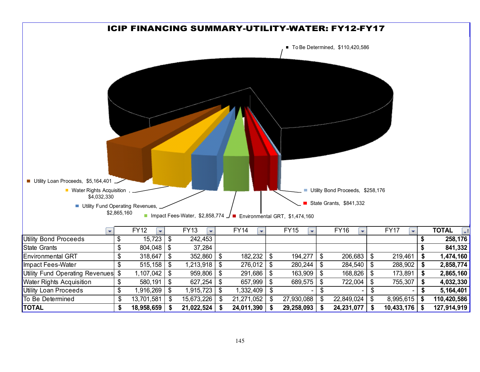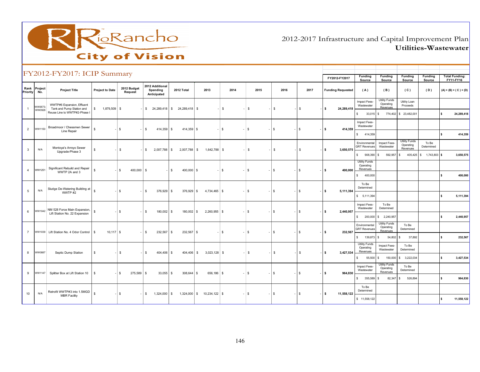

2012-2017 Infrastructure and Capital Improvement PlanUtilities-Wastewater

|                |                     | FY2012-FY2017: ICIP Summary                                                             |                        |                              |                                            |                                |                            |           |            |            |              | FY2012-FY2017            | Funding<br>Source                                               | <b>Funding</b><br>Source               | Funding<br>Source                             | <b>Funding</b><br>Source | <b>Total Funding:</b><br>FY11-FY16 |
|----------------|---------------------|-----------------------------------------------------------------------------------------|------------------------|------------------------------|--------------------------------------------|--------------------------------|----------------------------|-----------|------------|------------|--------------|--------------------------|-----------------------------------------------------------------|----------------------------------------|-----------------------------------------------|--------------------------|------------------------------------|
| Priority       | Rank Project<br>No. | <b>Project Title</b>                                                                    | <b>Project to Date</b> | 2012 Budget<br>Request       | 2012 Additional<br>Spending<br>Anticipated | 2012 Total                     | 2013                       | 2014      | 2015       | 2016       | 2017         | <b>Funding Requested</b> | (A)                                                             | (B)                                    | (C)                                           | (D)                      | $(A) + (B) + (C) + (D)$            |
|                | WW0673<br>WW0928    | WWTP#6 Expansion, Effluent<br>Tank and Pump Station and<br>Reuse Line to WWTP#2-Phase I | 1,879,509 \$<br>\$     |                              |                                            | \$ 24,289,418 \$ 24,289,418 \$ |                            | \$        | s          | S.         | \$           | 24,289,418<br>IS         | Impact Fees-<br>Wastewater                                      | Utility Funds<br>Operating<br>Revenues | Utility Loan<br>Proceeds                      |                          |                                    |
|                |                     |                                                                                         |                        |                              |                                            |                                |                            |           |            |            |              |                          | $\mathbb{S}$<br>$33,015$ \$<br>Impact Fees-<br>Wastewater       |                                        | 774,402 \$ 23,482,001                         |                          | ١s<br>24,289,418                   |
| $\overline{2}$ | WW1150              | Broadmoor / Chessmen Sewer<br>Line Repair                                               | $\mathbf{s}$           | $\mathbf{s}$                 | $\mathbb{S}$<br>414,359 \$                 | 414,359 \$                     |                            | \$        | - 8        | $\sqrt{3}$ | \$           | 414,359<br>- IS          | 414,359<br>$\mathsf{s}$                                         |                                        |                                               |                          | ls.<br>414,359                     |
| 3              | N/A                 | Montoya's Arroyo Sewer<br>Upgrade-Phase 3                                               | \$                     | $\mathbb{S}$                 | 2,007,788 \$<br>$\mathbb{S}$               | 2,007,788 \$                   | 1,642,788 \$               |           | s          | S.         | s.           | 3,650,575<br>- IS        | Environmental<br><b>GRT Revenues</b>                            | Impact Fees-<br>Wastewater             | <b>Utility Funds</b><br>Operating<br>Revenues | To Be<br>Determined      |                                    |
|                |                     |                                                                                         |                        |                              |                                            |                                |                            |           |            |            |              |                          | $\mathsf{s}$<br>908,390<br>$\mathbf{s}$<br><b>Utility Funds</b> | 592,957                                | l s                                           | 405,425 \$ 1,743,803 \$  | 3,650,575                          |
| $\overline{4}$ | WW1251              | Significant Rebuild and Repair<br>WWTP 2A and 3                                         | $\mathbb{S}$           | $\mathfrak{s}$<br>400,000 \$ |                                            | $400,000$ \$<br>$^{\circ}$     |                            | <b>\$</b> | $\sqrt{3}$ | $\sqrt{3}$ | $\mathbb{S}$ | 400,000<br>- IS          | Operating<br>Revenues<br>$\mathbb{S}$<br>400,000                |                                        |                                               |                          | l s<br>400,000                     |
|                |                     |                                                                                         |                        |                              |                                            |                                |                            |           |            |            |              |                          | To Be                                                           |                                        |                                               |                          |                                    |
| 5              | N/A                 | Sludge De-Watering Building at<br>WWTP #2                                               | $\mathbf{s}$           | $\mathfrak{s}$               | $\mathfrak s$<br>376,929 \$                | 376,929 \$                     | 4,734,465 \$               |           | - IS-      | l \$       | l \$         | 5,111,394<br>- IS        | Determined<br>\$5,111,394                                       |                                        |                                               |                          | l s<br>5,111,394                   |
| 6              | WW1042              | NM 528 Force Main Expansion,                                                            | \$                     | $\sqrt{3}$                   | 180,002 \$<br>\$                           | 180,002 \$                     | $2,260,955$ \$             |           | l \$       | l \$       | \$           | 2,440,957<br>- IS-       | Impact Fees-<br>Wastewater                                      | To Be<br>Determined                    |                                               |                          |                                    |
|                |                     | Lift Station No. 22 Expansion                                                           |                        |                              |                                            |                                |                            |           |            |            |              |                          | $\mathsf{\$}$                                                   | 200,000 \$ 2,240,957                   |                                               |                          | l s<br>2,440,957                   |
| $\overline{7}$ |                     | WW1039 Lift Station No. 4 Odor Control   \$                                             | $10,117$ \$            |                              | 232,567 \$<br>l \$                         | 232,567 \$                     |                            | l \$      | \$         | l \$       | l \$         | $-1$ \$<br>232,567       | Environmental<br><b>GRT Revenues</b>                            | Utility Funds<br>Operating<br>Revenues | To Be<br>Determined                           |                          |                                    |
|                |                     |                                                                                         |                        |                              |                                            |                                |                            |           |            |            |              |                          | $\mathsf{s}$<br>139,873<br>$\mathbf{s}$                         | 54,802 \$                              | 37,892                                        |                          | 232,567<br>١s                      |
| 8              | <b>WW0887</b>       | Septic Dump Station                                                                     | $\mathbb{S}$           | \$                           | 404,406 \$<br>\$                           | 404,406 \$                     | $3,023,128$ \$             |           | s          | S.         | \$           | 3,427,534<br>l s         | <b>Utility Funds</b><br>Operating<br>Revenues                   | Impact Fees-<br>Wastewater             | To Be<br>Determined                           |                          |                                    |
|                |                     |                                                                                         |                        |                              |                                            |                                |                            |           |            |            |              |                          | \$<br>55,500<br>$\sqrt{3}$                                      | Utility Funds                          | 150,000 \$ 3,222,034                          |                          | l s<br>3,427,534                   |
| 9              | WW1147              | Splitter Box at Lift Station 10                                                         | $\sqrt{s}$             | $\mathbf{s}$<br>275,589 \$   | $33,055$ \$                                | 308,644 \$                     | 656,186 \$                 |           | - \$       | ls.        | $\mathbb{S}$ | 964.830<br>- IS          | Impact Fees-<br>Wastewater                                      | Operating<br>Revenues                  | To Be<br>Determined                           |                          |                                    |
|                |                     |                                                                                         |                        |                              |                                            |                                |                            |           |            |            |              |                          | \$355,589<br>$\mathbf{s}$                                       | 82,347 \$                              | 526,894                                       |                          | ls.<br>964,830                     |
| 10             | N/A                 | Retrofit WWTP#3 into 1.5MGD                                                             | $\mathbf{s}$           | $\mathbf{s}$                 | 1,324,000 \$<br>$^{\circ}$                 |                                | 1,324,000 \$ 10,234,122 \$ |           | l \$       | l s        | $\mathbb{S}$ | 11,558,122<br>l S        | To Be<br>Determined                                             |                                        |                                               |                          |                                    |
|                |                     | <b>MBR Facility</b>                                                                     |                        |                              |                                            |                                |                            |           |            |            |              |                          | \$11,558,122                                                    |                                        |                                               |                          | 11,558,122<br>l s                  |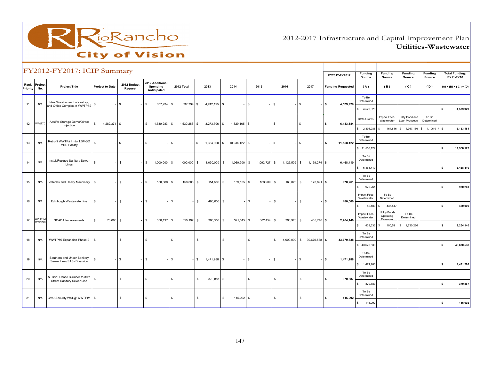

2012-2017 Infrastructure and Capital Improvement PlanUtilities-Wastewater

|          |                     | FY2012-FY2017: ICIP Summary                               |                              |                        |                                            |                              |                |                                |                |                     |                             |                          |                            |                                       |                                   |                              |                                    |
|----------|---------------------|-----------------------------------------------------------|------------------------------|------------------------|--------------------------------------------|------------------------------|----------------|--------------------------------|----------------|---------------------|-----------------------------|--------------------------|----------------------------|---------------------------------------|-----------------------------------|------------------------------|------------------------------------|
|          |                     |                                                           |                              |                        |                                            |                              |                |                                |                |                     |                             | FY2012-FY2017            | <b>Funding</b><br>Source   | Funding<br>Source                     | <b>Funding</b><br>Source          | Funding<br>Source            | <b>Total Funding:</b><br>FY11-FY16 |
| Priority | Rank Project<br>No. | <b>Project Title</b>                                      | <b>Project to Date</b>       | 2012 Budget<br>Request | 2012 Additional<br>Spending<br>Anticipated | 2012 Total                   | 2013           | 2014                           | 2015           | 2016                | 2017                        | <b>Funding Requested</b> | (A)                        | (B)                                   | (C)                               | (D)                          | $(A) + (B) + (C) + (D)$            |
| 11       | N/A                 | New Warehouse, Laboratory,                                | \$                           | \$                     | 337,734<br>$\mathbb{S}$                    | \$<br>337,734 \$             | 4,242,195      | <b>S</b>                       | s              | $\sqrt{3}$          | $\mathfrak s$               | 4,579,929<br>l s         | To Be<br>Determined        |                                       |                                   |                              |                                    |
|          |                     | and Office Complex at WWTP#2                              |                              |                        |                                            |                              |                |                                |                |                     |                             |                          | \$4,579,929                |                                       |                                   |                              | 4,579,929<br>$\mathbf{s}$          |
| 12       | WA0770              | Aquifer Storage Demo/Direct                               | 4,282,371 \$<br>$\mathbf{s}$ |                        | 1,530,283 \$<br><b>S</b>                   | 1,530,283 \$                 | $3,273,796$ \$ | $1,329,105$ \$                 |                | $\sqrt{3}$          | $\mathbb{S}$                | l s<br>6.133.184         | <b>State Grants</b>        | Impact Fees-<br>Wastewater            | Utility Bond and<br>Loan Proceeds | To Be<br>Determined          |                                    |
|          |                     | Injection                                                 |                              |                        |                                            |                              |                |                                |                |                     |                             |                          | \$2,894,286                | $\mathfrak s$<br>164,816              |                                   | $$1,967,166$ \$ 1,106,917 \$ | 6,133,184                          |
| 13       | N/A                 | Retrofit WWTP#1 into 1.5MGD<br><b>MBR Facility</b>        | <b>s</b>                     | $\sqrt{3}$             | $\sqrt{3}$                                 | $\mathfrak s$<br>-15         |                | $1,324,000$ \$ $10,234,122$ \$ |                | l \$                | l \$                        | 11,558,122<br>ls.        | To Be<br>Determined        |                                       |                                   |                              |                                    |
|          |                     |                                                           |                              |                        |                                            |                              |                |                                |                |                     |                             |                          | \$11,558,122               |                                       |                                   |                              | 11,558,122<br>\$.                  |
| 14       | N/A                 | Install/Replace Sanitary Sewer<br>Lines                   | \$                           | \$                     | $1,000,000$ \$<br><b>\$</b>                | $1,000,000$ \$               | 1,030,000      | $\mathfrak s$<br>1,060,900 \$  | $1,092,727$ \$ | $1,125,509$ \$      | $1,159,274$ \$              | 6,468,410                | To Be<br>Determined        |                                       |                                   |                              |                                    |
|          |                     |                                                           |                              |                        |                                            |                              |                |                                |                |                     |                             |                          | \$6,468,410                |                                       |                                   |                              | 6,468,410<br>s.                    |
| 15       | N/A                 | Vehicles and Heavy Machinery                              | <b>S</b>                     | \$                     | 150,000<br>$\sqrt{3}$                      | 150,000 \$<br>$\mathfrak s$  | 154,500        | 159,135 \$<br>$\mathbb S$      | $163,909$ \$   | 168,826             | 173,891 \$<br>$\mathfrak s$ | 970,261                  | To Be<br>Determined        |                                       |                                   |                              |                                    |
|          |                     |                                                           |                              |                        |                                            |                              |                |                                |                |                     |                             |                          | S<br>970,261               |                                       |                                   |                              | 970,261<br>$\mathbf{s}$            |
| 16       | N/A                 | Edinburgh Wastewater line                                 | $\sqrt{3}$                   | $\mathfrak s$          | l \$                                       | $\mathfrak s$<br>Is.         | 480,000        | $\mathbb S$                    | \$             | <b>S</b>            | $\sqrt{3}$                  | -   \$<br>480,000        | Impact Fees-<br>Wastewater | To Be<br>Determined                   |                                   |                              |                                    |
|          |                     |                                                           |                              |                        |                                            |                              |                |                                |                |                     |                             |                          | 42,483<br>s                | 437,517<br>S.<br><b>Utility Funds</b> |                                   |                              | s.<br>480,000                      |
| 17       | WW1149<br>WW1273    | <b>SCADA</b> Improvements                                 | 73,683<br>\$                 | $\mathfrak s$          | l \$<br>350, 197                           | 350,197 \$<br>\$             | 360,500        | $371,315$ \$<br>$\mathbb S$    | 382,454        | 393,928<br><b>S</b> | 405,746 \$<br>\$            | 2,264,140                | Impact Fees-<br>Wastewater | Operating<br>Revenues                 | To Be<br>Determined               |                              |                                    |
|          |                     |                                                           |                              |                        |                                            |                              |                |                                |                |                     |                             |                          | 433,333<br>$\mathsf{s}$    | $\mathbb{S}$<br>100,521               | \$ 1,730,286                      |                              | 2,264,140<br>s.                    |
| 18       | N/A                 | WWTP#6 Expansion-Phase 2                                  | l S                          | $\mathbb{S}$           | l \$                                       | $\mathbb{S}$<br>$\mathbb{S}$ |                | $\mathbf{s}$                   | $\mathbb{S}$   | $\mathbf{s}$        | 4,000,000 \$ 39,670,538 \$  | 43,670,538               | To Be<br>Determined        |                                       |                                   |                              |                                    |
|          |                     |                                                           |                              |                        |                                            |                              |                |                                |                |                     |                             |                          | \$43,670,538               |                                       |                                   |                              | 43,670,538<br>s.                   |
| 19       | N/A                 | Southern and Unser Sanitary<br>Sewer Line (SAS) Diversion | s                            | l \$                   | l \$                                       | $\mathbb{S}$<br>- IS         | 1,471,288 \$   |                                | $-5$           | l \$                | - IS                        | - I s<br>1,471,288       | To Be<br>Determined        |                                       |                                   |                              |                                    |
|          |                     |                                                           |                              |                        |                                            |                              |                |                                |                |                     |                             |                          | \$ 1,471,288               |                                       |                                   |                              | 1,471,288<br>s.                    |
| 20       | N/A                 | N. Blvd. Phase B-Unser to 30th                            | \$                           | \$                     | l \$                                       | \$<br>$\mathbf{s}$           | 370,887        | $\sqrt{3}$                     | $\mathbf s$    | l s                 | $\mathfrak s$               | $-1$ \$<br>370,887       | To Be<br>Determined        |                                       |                                   |                              |                                    |
|          |                     | Street Sanitary Sewer Line                                |                              |                        |                                            |                              |                |                                |                |                     |                             |                          | 370,887<br>$\mathsf{s}$    |                                       |                                   |                              | s.<br>370,887                      |
| 21       | N/A                 | CMU Security Wall @ WWTP#1   \$                           |                              | $\mathfrak s$          | $1-5$                                      | \$<br>$\mathbf s$            |                | $$\mathbb{S}$$<br>115,092 \$   |                | <b>S</b>            | $\mathfrak s$               | ls.<br>115,092           | To Be<br>Determined        |                                       |                                   |                              |                                    |
|          |                     |                                                           |                              |                        |                                            |                              |                |                                |                |                     |                             |                          | 115,092<br>s               |                                       |                                   |                              | 115,092<br><b>s</b>                |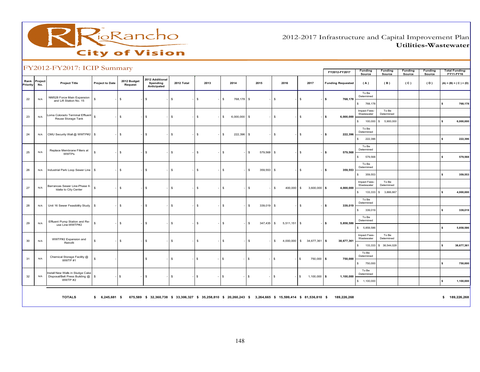

2012-2017 Infrastructure and Capital Improvement PlanUtilities-Wastewater

|                  |                | FY2012-FY2017: ICIP Summary                                                   |                        |                        |                                                                    |            |               |                            |                  |                       |                                          |                          |                            |                     |                   |                   |                                    |
|------------------|----------------|-------------------------------------------------------------------------------|------------------------|------------------------|--------------------------------------------------------------------|------------|---------------|----------------------------|------------------|-----------------------|------------------------------------------|--------------------------|----------------------------|---------------------|-------------------|-------------------|------------------------------------|
|                  |                |                                                                               |                        |                        |                                                                    |            |               |                            |                  |                       |                                          | FY2012-FY2017            | Funding<br>Source          | Funding<br>Source   | Funding<br>Source | Funding<br>Source | <b>Total Funding:</b><br>FY11-FY16 |
| Rank<br>Priority | Project<br>No. | <b>Project Title</b>                                                          | <b>Project to Date</b> | 2012 Budget<br>Request | 2012 Additional<br>Spending<br>Anticipated                         | 2012 Total | 2013          | 2014                       | 2015             | 2016                  | 2017                                     | <b>Funding Requested</b> | (A)                        | (B)                 | (C)               | (D)               | $(A) + (B) + (C) + (D)$            |
| 22               | N/A            | NM528 Force Main Expansion<br>and Lift Station No. 15                         | \$                     | \$                     | \$                                                                 | \$         | \$            | 768,178 \$<br>$\mathbb{S}$ |                  | \$                    | \$                                       | \$<br>768,178            | To Be<br>Determined        |                     |                   |                   |                                    |
|                  |                |                                                                               |                        |                        |                                                                    |            |               |                            |                  |                       |                                          |                          | s.<br>768,178              |                     |                   |                   | 768,178<br>l S                     |
| 23               | N/A            | oma Colorado Terminal Effluent<br>Reuse Storage Tank                          | s                      | \$                     | $\mathfrak s$                                                      | \$         | $\mathfrak s$ | \$<br>$6,000,000$ \$       |                  | \$                    | \$                                       | l \$<br>6,000,000        | Impact Fees-<br>Wastewater | To Be<br>Determined |                   |                   |                                    |
|                  |                |                                                                               |                        |                        |                                                                    |            |               |                            |                  |                       |                                          |                          | 100,000<br>S               | \$5,900,000         |                   |                   | 6,000,000<br>\$                    |
| 24               | N/A            | CMU Security Wall @ WWTP#2   \$                                               |                        | \$                     | $\mathbf{s}$                                                       | \$         | $\mathfrak s$ | 222,396 \$<br>S.           |                  | s                     | \$                                       | l s<br>222,396           | To Be<br>Determined        |                     |                   |                   |                                    |
|                  |                |                                                                               |                        |                        |                                                                    |            |               |                            |                  |                       |                                          |                          | 222,396<br>S               |                     |                   |                   | 222,396<br>\$                      |
| 25               | N/A            | Replace Membrane Filters at<br><b>WWTPs</b>                                   | s                      | \$                     | s.                                                                 | \$         | $\mathfrak s$ | $\mathbb{S}$               | 579,568<br>s.    | <b>S</b>              | \$                                       | \$<br>579,568            | To Be<br>Determined        |                     |                   |                   |                                    |
|                  |                |                                                                               |                        |                        |                                                                    |            |               |                            |                  |                       |                                          |                          | 579,568<br>s.              |                     |                   |                   | l S<br>579,568                     |
| 26               | N/A            | Industrial Park Loop Sewer Line                                               | l s                    | \$                     | s.                                                                 | \$         | $\mathfrak s$ | $\mathfrak s$              | 359,553<br>S.    | <b>S</b>              | \$                                       | 359,553<br>l s           | To Be<br>Determined        |                     |                   |                   |                                    |
|                  |                |                                                                               |                        |                        |                                                                    |            |               |                            |                  |                       |                                          |                          | 359,553<br>S.              |                     |                   |                   | 359,553<br>s.                      |
|                  |                | Barrancas Sewer Line-Phase II-                                                |                        |                        |                                                                    |            |               |                            |                  |                       |                                          |                          | Impact Fees-<br>Wastewater | To Be<br>Determined |                   |                   |                                    |
| 27               | N/A            | Idalia to City Center                                                         | s                      | \$                     | $\mathbf{s}$                                                       | \$         | $\mathfrak s$ | $\mathbf{s}$               | $\mathbb{S}$     | s<br>400,000          | $\mathbb{S}$<br>$3,600,000$ \$           | 4,000,000                | 133,333<br>$\mathsf{s}$    | 3,866,667<br>s.     |                   |                   | 4,000,000<br>s.                    |
|                  |                |                                                                               |                        |                        |                                                                    |            |               |                            |                  |                       |                                          |                          | To Be<br>Determined        |                     |                   |                   |                                    |
| 28               | N/A            | Unit 16 Sewer Feasibility Study                                               | l s                    | \$                     | -S                                                                 | \$         | \$            | S.                         | 339,019 \$<br>s. |                       | \$                                       | s.<br>339,019            | 339,019<br>$\mathsf{s}$    |                     |                   |                   | $\mathbf{s}$<br>339,019            |
|                  |                |                                                                               |                        |                        |                                                                    |            |               |                            |                  |                       |                                          |                          | To Be<br>Determined        |                     |                   |                   |                                    |
| 29               | N/A            | Effluent Pump Station and Re-<br>use Line-WWTP#2                              | s                      | \$                     | $\mathfrak s$                                                      | \$         | $\mathfrak s$ | $\mathbf{s}$               | 347,435<br>S.    | l s<br>$5,511,151$ \$ |                                          | 5,858,586<br>l s         | \$ 5,858,586               |                     |                   |                   | 5,858,586<br>\$                    |
|                  |                |                                                                               |                        |                        |                                                                    |            |               |                            |                  |                       |                                          |                          | Impact Fees-<br>Wastewater | To Be<br>Determined |                   |                   |                                    |
| 30               | N/A            | WWTP#2 Expansion and<br>Retrofit                                              | s                      | \$                     | $\mathfrak{s}$                                                     | \$         | $\mathfrak s$ | $\mathfrak s$              | S.               | S.<br>4,000,000       | $$34,677,361$ \$                         | 38,677,361               | $\mathsf{s}$<br>133,333    | \$ 38,544,028       |                   |                   | 38,677,361<br>s                    |
|                  |                |                                                                               |                        |                        |                                                                    |            |               |                            |                  |                       |                                          |                          | To Be                      |                     |                   |                   |                                    |
| 31               | N/A            | Chemical Storage Facility @<br>WWTP#1                                         | \$                     |                        | \$                                                                 | \$         | l \$          | l s                        | s.               | \$                    | $\sqrt{3}$<br>750,000 \$                 | 750,000                  | Determined<br>s.           |                     |                   |                   | $\sim$                             |
|                  |                |                                                                               |                        |                        |                                                                    |            |               |                            |                  |                       |                                          |                          | 750,000<br>To Be           |                     |                   |                   | 750,000                            |
| 32               | N/A            | Install New Walls in Sludge Cake<br>Disposal/Belt Press Building @<br>WWTP #2 | l s                    | $\sqrt{3}$             | s.                                                                 | \$         | l \$          | l s                        | s.               | $\mathfrak s$         | $1,100,000$ \$<br>-1\$                   | 1,100,000                | Determined                 |                     |                   |                   |                                    |
|                  |                |                                                                               |                        |                        |                                                                    |            |               |                            |                  |                       |                                          |                          | \$ 1,100,000               |                     |                   |                   | 1,100,000<br>l S                   |
|                  |                | <b>TOTALS</b>                                                                 | \$<br>6,245,681 \$     |                        | 675,589 \$ 32,360,738 \$ 33,306,327 \$ 35,258,810 \$ 20,260,243 \$ |            |               |                            |                  |                       | 3,264,665 \$ 15,599,414 \$ 81,536,810 \$ | 189,226,268              |                            |                     |                   |                   | \$189,226,268                      |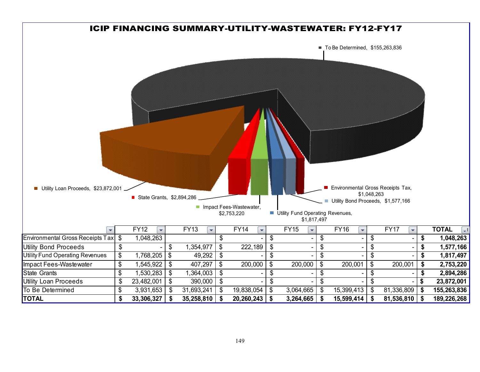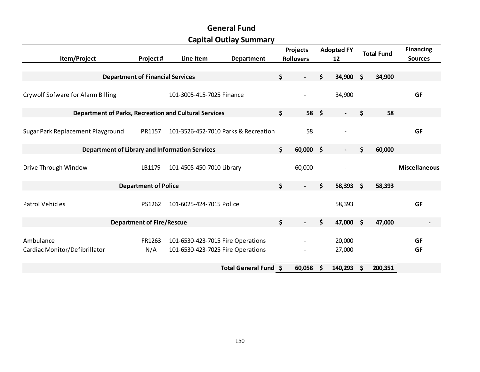|                                                              |                                  |                                   | Capital Outlay Summary               |                                |                   |                    |                   |                      |
|--------------------------------------------------------------|----------------------------------|-----------------------------------|--------------------------------------|--------------------------------|-------------------|--------------------|-------------------|----------------------|
|                                                              |                                  |                                   |                                      | <b>Projects</b>                | <b>Adopted FY</b> |                    | <b>Total Fund</b> | <b>Financing</b>     |
| Item/Project                                                 | Project#                         | Line Item                         | Department                           | <b>Rollovers</b>               | 12                |                    |                   | <b>Sources</b>       |
|                                                              |                                  |                                   |                                      |                                |                   |                    |                   |                      |
| <b>Department of Financial Services</b>                      |                                  |                                   |                                      | \$<br>$\overline{\phantom{a}}$ | \$<br>34,900      | - \$               | 34,900            |                      |
| Crywolf Sofware for Alarm Billing                            |                                  | 101-3005-415-7025 Finance         |                                      |                                | 34,900            |                    |                   | GF                   |
| <b>Department of Parks, Recreation and Cultural Services</b> |                                  |                                   |                                      | \$<br>$58 \quad $$             |                   | \$                 | 58                |                      |
|                                                              |                                  |                                   |                                      |                                |                   |                    |                   |                      |
| Sugar Park Replacement Playground                            | PR1157                           |                                   | 101-3526-452-7010 Parks & Recreation | 58                             |                   |                    |                   | <b>GF</b>            |
| <b>Department of Library and Information Services</b>        |                                  |                                   |                                      | \$<br>$60,000$ \$              | $\blacksquare$    | \$                 | 60,000            |                      |
| Drive Through Window                                         | LB1179                           | 101-4505-450-7010 Library         |                                      | 60,000                         |                   |                    |                   | <b>Miscellaneous</b> |
|                                                              | <b>Department of Police</b>      |                                   |                                      | \$                             | \$<br>$58,393$ \$ |                    | 58,393            |                      |
| <b>Patrol Vehicles</b>                                       | PS1262                           | 101-6025-424-7015 Police          |                                      |                                | 58,393            |                    |                   | <b>GF</b>            |
|                                                              | <b>Department of Fire/Rescue</b> |                                   |                                      | \$<br>$\blacksquare$           | \$<br>47,000      | $\dot{\mathsf{s}}$ | 47,000            |                      |
|                                                              |                                  |                                   |                                      |                                |                   |                    |                   |                      |
| Ambulance                                                    | FR1263                           | 101-6530-423-7015 Fire Operations |                                      |                                | 20,000            |                    |                   | <b>GF</b>            |
| Cardiac Monitor/Defibrillator                                | N/A                              | 101-6530-423-7025 Fire Operations |                                      |                                | 27,000            |                    |                   | GF                   |
|                                                              |                                  |                                   | Total General Fund \$                | 60,058                         | \$<br>140,293     | -\$                | 200,351           |                      |

# General FundCapital Outlay Summary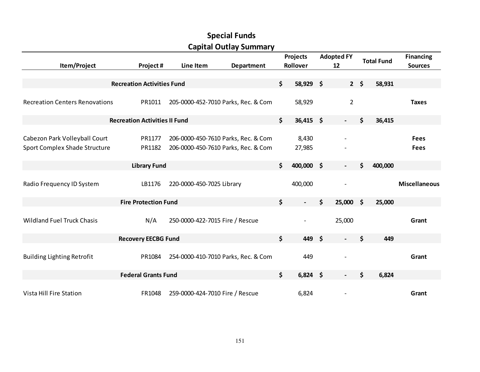|                                                                |                                      |                                 | <b>Capital Outlay Summary</b>                                              |                                |                    |                          |                    |                   |                            |
|----------------------------------------------------------------|--------------------------------------|---------------------------------|----------------------------------------------------------------------------|--------------------------------|--------------------|--------------------------|--------------------|-------------------|----------------------------|
|                                                                |                                      |                                 |                                                                            | Projects                       |                    | <b>Adopted FY</b>        |                    | <b>Total Fund</b> | <b>Financing</b>           |
| Item/Project                                                   | Project #                            | Line Item                       | Department                                                                 | Rollover                       |                    | 12                       |                    |                   | <b>Sources</b>             |
|                                                                |                                      |                                 |                                                                            |                                |                    |                          |                    |                   |                            |
|                                                                | <b>Recreation Activities Fund</b>    |                                 |                                                                            | \$<br>58,929 \$                |                    |                          | $2 \div$           | 58,931            |                            |
| <b>Recreation Centers Renovations</b>                          | PR1011                               |                                 | 205-0000-452-7010 Parks, Rec. & Com                                        | 58,929                         |                    | $\overline{2}$           |                    |                   | <b>Taxes</b>               |
|                                                                | <b>Recreation Activities II Fund</b> |                                 |                                                                            | \$<br>$36,415$ \$              |                    | $\blacksquare$           | \$                 | 36,415            |                            |
| Cabezon Park Volleyball Court<br>Sport Complex Shade Structure | PR1177<br>PR1182                     |                                 | 206-0000-450-7610 Parks, Rec. & Com<br>206-0000-450-7610 Parks, Rec. & Com | 8,430<br>27,985                |                    |                          |                    |                   | <b>Fees</b><br><b>Fees</b> |
|                                                                | <b>Library Fund</b>                  |                                 |                                                                            | \$<br>400,000 \$               |                    | $\blacksquare$           | \$                 | 400,000           |                            |
| Radio Frequency ID System                                      | LB1176                               | 220-0000-450-7025 Library       |                                                                            | 400,000                        |                    |                          |                    |                   | <b>Miscellaneous</b>       |
|                                                                | <b>Fire Protection Fund</b>          |                                 |                                                                            | \$<br>$\overline{\phantom{0}}$ | \$                 | 25,000                   | $\dot{\mathsf{s}}$ | 25,000            |                            |
| <b>Wildland Fuel Truck Chasis</b>                              | N/A                                  | 250-0000-422-7015 Fire / Rescue |                                                                            | $\qquad \qquad -$              |                    | 25,000                   |                    |                   | Grant                      |
|                                                                | <b>Recovery EECBG Fund</b>           |                                 |                                                                            | \$<br>449                      | $\dot{\mathsf{s}}$ |                          | \$                 | 449               |                            |
| <b>Building Lighting Retrofit</b>                              | PR1084                               |                                 | 254-0000-410-7010 Parks, Rec. & Com                                        | 449                            |                    |                          |                    |                   | Grant                      |
|                                                                | <b>Federal Grants Fund</b>           |                                 |                                                                            | \$<br>$6,824$ \$               |                    | $\overline{\phantom{a}}$ | \$                 | 6,824             |                            |
| Vista Hill Fire Station                                        | FR1048                               | 259-0000-424-7010 Fire / Rescue |                                                                            | 6,824                          |                    |                          |                    |                   | Grant                      |

# Special FundsCapital Outlay Summary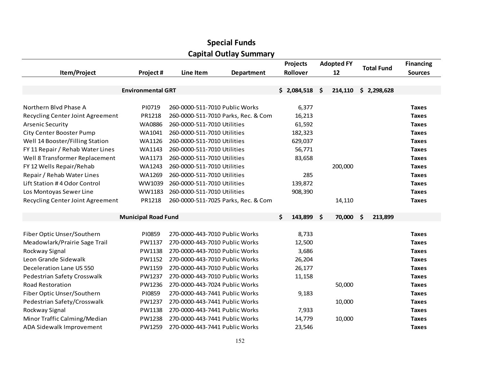|                                  |                            |                                | <b>Capital Outlay Summary</b>       |                  |                   |                   |                  |
|----------------------------------|----------------------------|--------------------------------|-------------------------------------|------------------|-------------------|-------------------|------------------|
|                                  |                            |                                |                                     | <b>Projects</b>  | <b>Adopted FY</b> |                   | <b>Financing</b> |
| Item/Project                     | Project#                   | Line Item                      | <b>Department</b>                   | Rollover         | 12                | <b>Total Fund</b> | <b>Sources</b>   |
|                                  |                            |                                |                                     |                  |                   |                   |                  |
|                                  | <b>Environmental GRT</b>   |                                |                                     | \$2,084,518      | \$<br>214,110     | \$2,298,628       |                  |
|                                  |                            |                                |                                     |                  |                   |                   |                  |
| Northern Blvd Phase A            | PI0719                     | 260-0000-511-7010 Public Works |                                     | 6,377            |                   |                   | <b>Taxes</b>     |
| Recycling Center Joint Agreement | PR1218                     |                                | 260-0000-511-7010 Parks, Rec. & Com | 16,213           |                   |                   | <b>Taxes</b>     |
| <b>Arsenic Security</b>          | <b>WA0886</b>              | 260-0000-511-7010 Utilities    |                                     | 61,592           |                   |                   | <b>Taxes</b>     |
| <b>City Center Booster Pump</b>  | WA1041                     | 260-0000-511-7010 Utilities    |                                     | 182,323          |                   |                   | <b>Taxes</b>     |
| Well 14 Booster/Filling Station  | WA1126                     | 260-0000-511-7010 Utilities    |                                     | 629,037          |                   |                   | <b>Taxes</b>     |
| FY 11 Repair / Rehab Water Lines | WA1143                     | 260-0000-511-7010 Utilities    |                                     | 56,771           |                   |                   | <b>Taxes</b>     |
| Well 8 Transformer Replacement   | WA1173                     | 260-0000-511-7010 Utilities    |                                     | 83,658           |                   |                   | <b>Taxes</b>     |
| FY 12 Wells Repair/Rehab         | WA1243                     | 260-0000-511-7010 Utilities    |                                     |                  | 200,000           |                   | <b>Taxes</b>     |
| Repair / Rehab Water Lines       | WA1269                     | 260-0000-511-7010 Utilities    |                                     | 285              |                   |                   | <b>Taxes</b>     |
| Lift Station #4 Odor Control     | WW1039                     | 260-0000-511-7010 Utilities    |                                     | 139,872          |                   |                   | <b>Taxes</b>     |
| Los Montoyas Sewer Line          | WW1183                     | 260-0000-511-7010 Utilities    |                                     | 908,390          |                   |                   | <b>Taxes</b>     |
| Recycling Center Joint Agreement | PR1218                     |                                | 260-0000-511-7025 Parks, Rec. & Com |                  | 14,110            |                   | <b>Taxes</b>     |
|                                  |                            |                                |                                     |                  |                   |                   |                  |
|                                  | <b>Municipal Road Fund</b> |                                |                                     | \$<br>143,899 \$ | 70,000            | \$<br>213,899     |                  |
|                                  | PI0859                     | 270-0000-443-7010 Public Works |                                     |                  |                   |                   | <b>Taxes</b>     |
| Fiber Optic Unser/Southern       |                            |                                |                                     | 8,733            |                   |                   |                  |
| Meadowlark/Prairie Sage Trail    | PW1137                     | 270-0000-443-7010 Public Works |                                     | 12,500           |                   |                   | <b>Taxes</b>     |
| Rockway Signal                   | PW1138                     | 270-0000-443-7010 Public Works |                                     | 3,686            |                   |                   | <b>Taxes</b>     |
| Leon Grande Sidewalk             | PW1152                     | 270-0000-443-7010 Public Works |                                     | 26,204           |                   |                   | <b>Taxes</b>     |
| Deceleration Lane US 550         | PW1159                     | 270-0000-443-7010 Public Works |                                     | 26,177           |                   |                   | <b>Taxes</b>     |
| Pedestrian Safety Crosswalk      | PW1237                     | 270-0000-443-7010 Public Works |                                     | 11,158           |                   |                   | <b>Taxes</b>     |
| <b>Road Restoration</b>          | PW1236                     | 270-0000-443-7024 Public Works |                                     |                  | 50,000            |                   | <b>Taxes</b>     |
| Fiber Optic Unser/Southern       | PI0859                     | 270-0000-443-7441 Public Works |                                     | 9,183            |                   |                   | <b>Taxes</b>     |
| Pedestrian Safety/Crosswalk      | PW1237                     | 270-0000-443-7441 Public Works |                                     |                  | 10,000            |                   | <b>Taxes</b>     |
| Rockway Signal                   | PW1138                     | 270-0000-443-7441 Public Works |                                     | 7,933            |                   |                   | <b>Taxes</b>     |
| Minor Traffic Calming/Median     | PW1238                     | 270-0000-443-7441 Public Works |                                     | 14,779           | 10,000            |                   | <b>Taxes</b>     |
| ADA Sidewalk Improvement         | PW1259                     | 270-0000-443-7441 Public Works |                                     | 23,546           |                   |                   | <b>Taxes</b>     |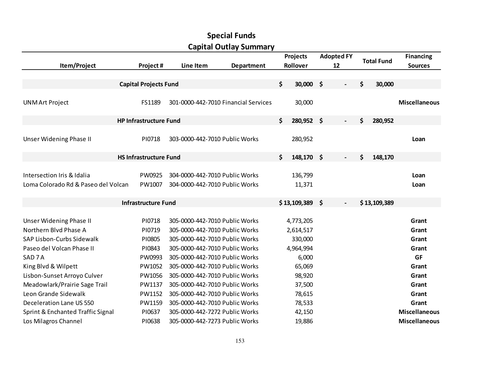|                                     |                               |                                      | <b>Capital Outlay Summary</b> |                  |                          |                   |                      |
|-------------------------------------|-------------------------------|--------------------------------------|-------------------------------|------------------|--------------------------|-------------------|----------------------|
|                                     |                               |                                      |                               | <b>Projects</b>  | <b>Adopted FY</b>        | <b>Total Fund</b> | <b>Financing</b>     |
| Item/Project                        | Project#                      | Line Item                            | <b>Department</b>             | Rollover         | 12                       |                   | <b>Sources</b>       |
|                                     |                               |                                      |                               |                  |                          |                   |                      |
|                                     | <b>Capital Projects Fund</b>  |                                      |                               | \$<br>30,000 \$  |                          | \$<br>30,000      |                      |
|                                     |                               |                                      |                               |                  |                          |                   |                      |
| <b>UNMArt Project</b>               | FS1189                        | 301-0000-442-7010 Financial Services |                               | 30,000           |                          |                   | <b>Miscellaneous</b> |
|                                     |                               |                                      |                               |                  |                          |                   |                      |
|                                     | <b>HP Infrastructure Fund</b> |                                      |                               | \$<br>280,952 \$ | $\overline{\phantom{a}}$ | \$<br>280,952     |                      |
|                                     |                               |                                      |                               |                  |                          |                   |                      |
| <b>Unser Widening Phase II</b>      | PI0718                        | 303-0000-442-7010 Public Works       |                               | 280,952          |                          |                   | Loan                 |
|                                     |                               |                                      |                               |                  |                          |                   |                      |
|                                     | <b>HS Infrastructure Fund</b> |                                      |                               | \$<br>148,170 \$ | $\overline{\phantom{a}}$ | \$<br>148,170     |                      |
|                                     |                               |                                      |                               |                  |                          |                   |                      |
| Intersection Iris & Idalia          | PW0925                        | 304-0000-442-7010 Public Works       |                               | 136,799          |                          |                   | Loan                 |
| Loma Colorado Rd & Paseo del Volcan | PW1007                        | 304-0000-442-7010 Public Works       |                               | 11,371           |                          |                   | Loan                 |
|                                     | <b>Infrastructure Fund</b>    |                                      |                               | $$13,109,389$ \$ | $\overline{\phantom{a}}$ | \$13,109,389      |                      |
|                                     |                               |                                      |                               |                  |                          |                   |                      |
| <b>Unser Widening Phase II</b>      | PI0718                        | 305-0000-442-7010 Public Works       |                               | 4,773,205        |                          |                   | Grant                |
| Northern Blvd Phase A               | PI0719                        | 305-0000-442-7010 Public Works       |                               | 2,614,517        |                          |                   | Grant                |
| SAP Lisbon-Curbs Sidewalk           | PI0805                        | 305-0000-442-7010 Public Works       |                               | 330,000          |                          |                   | Grant                |
| Paseo del Volcan Phase II           | PI0843                        | 305-0000-442-7010 Public Works       |                               | 4,964,994        |                          |                   | Grant                |
| SAD <sub>7</sub> A                  | PW0993                        | 305-0000-442-7010 Public Works       |                               | 6,000            |                          |                   | <b>GF</b>            |
| King Blvd & Wilpett                 | PW1052                        | 305-0000-442-7010 Public Works       |                               | 65,069           |                          |                   | Grant                |
| Lisbon-Sunset Arroyo Culver         | PW1056                        | 305-0000-442-7010 Public Works       |                               | 98,920           |                          |                   | Grant                |
| Meadowlark/Prairie Sage Trail       | PW1137                        | 305-0000-442-7010 Public Works       |                               | 37,500           |                          |                   | Grant                |
| Leon Grande Sidewalk                | PW1152                        | 305-0000-442-7010 Public Works       |                               | 78,615           |                          |                   | Grant                |
| Deceleration Lane US 550            | PW1159                        | 305-0000-442-7010 Public Works       |                               | 78,533           |                          |                   | Grant                |
| Sprint & Enchanted Traffic Signal   | PI0637                        | 305-0000-442-7272 Public Works       |                               | 42,150           |                          |                   | <b>Miscellaneous</b> |
| Los Milagros Channel                | PI0638                        | 305-0000-442-7273 Public Works       |                               | 19,886           |                          |                   | <b>Miscellaneous</b> |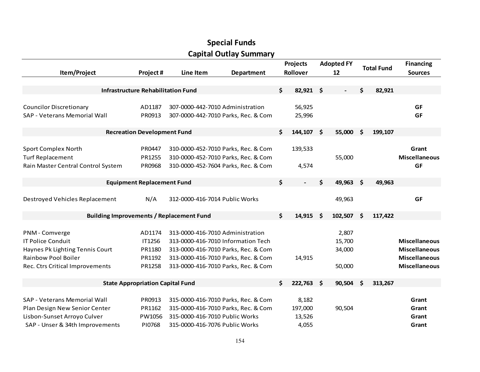|                                    |                                           |                                                 | <b>Special Funds</b>                |                      |                         |      |                   |                                    |
|------------------------------------|-------------------------------------------|-------------------------------------------------|-------------------------------------|----------------------|-------------------------|------|-------------------|------------------------------------|
|                                    |                                           |                                                 | <b>Capital Outlay Summary</b>       |                      |                         |      |                   |                                    |
| Item/Project                       | Project#                                  | Line Item                                       | <b>Department</b>                   | Projects<br>Rollover | <b>Adopted FY</b><br>12 |      | <b>Total Fund</b> | <b>Financing</b><br><b>Sources</b> |
|                                    | <b>Infrastructure Rehabilitation Fund</b> |                                                 |                                     | \$<br>82,921 \$      |                         | \$   | 82,921            |                                    |
|                                    |                                           |                                                 |                                     |                      |                         |      |                   |                                    |
| <b>Councilor Discretionary</b>     | AD1187                                    | 307-0000-442-7010 Administration                |                                     | 56,925               |                         |      |                   | GF                                 |
| SAP - Veterans Memorial Wall       | PR0913                                    |                                                 | 307-0000-442-7010 Parks, Rec. & Com | 25,996               |                         |      |                   | GF                                 |
|                                    | <b>Recreation Development Fund</b>        |                                                 |                                     | \$<br>144,107 \$     | 55,000                  | - \$ | 199,107           |                                    |
|                                    |                                           |                                                 |                                     |                      |                         |      |                   |                                    |
| <b>Sport Complex North</b>         | PR0447                                    |                                                 | 310-0000-452-7010 Parks, Rec. & Com | 139,533              |                         |      |                   | Grant                              |
| <b>Turf Replacement</b>            | PR1255                                    |                                                 | 310-0000-452-7010 Parks, Rec. & Com |                      | 55,000                  |      |                   | <b>Miscellaneous</b>               |
| Rain Master Central Control System | PR0968                                    |                                                 | 310-0000-452-7604 Parks, Rec. & Com | 4,574                |                         |      |                   | GF                                 |
|                                    | <b>Equipment Replacement Fund</b>         |                                                 |                                     | \$                   | \$<br>49,963 \$         |      | 49,963            |                                    |
|                                    |                                           |                                                 |                                     |                      |                         |      |                   |                                    |
| Destroyed Vehicles Replacement     | N/A                                       | 312-0000-416-7014 Public Works                  |                                     |                      | 49,963                  |      |                   | GF                                 |
|                                    |                                           | <b>Building Improvements / Replacement Fund</b> |                                     | \$<br>14,915         | \$<br>102,507           | \$   | 117,422           |                                    |
| PNM - Comverge                     | AD1174                                    | 313-0000-416-7010 Administration                |                                     |                      | 2,807                   |      |                   |                                    |
| <b>IT Police Conduit</b>           | IT1256                                    |                                                 | 313-0000-416-7010 Information Tech  |                      | 15,700                  |      |                   | <b>Miscellaneous</b>               |
| Haynes Pk Lighting Tennis Court    | PR1180                                    |                                                 | 313-0000-416-7010 Parks, Rec. & Com |                      | 34,000                  |      |                   | <b>Miscellaneous</b>               |
| Rainbow Pool Boiler                | PR1192                                    |                                                 | 313-0000-416-7010 Parks, Rec. & Com | 14,915               |                         |      |                   | <b>Miscellaneous</b>               |
| Rec. Ctrs Critical Improvements    | PR1258                                    |                                                 | 313-0000-416-7010 Parks, Rec. & Com |                      | 50,000                  |      |                   | <b>Miscellaneous</b>               |
|                                    | <b>State Appropriation Capital Fund</b>   |                                                 |                                     | \$<br>222,763 \$     | 90,504                  | - \$ | 313,267           |                                    |
|                                    |                                           |                                                 |                                     |                      |                         |      |                   |                                    |
| SAP - Veterans Memorial Wall       | PR0913                                    |                                                 | 315-0000-416-7010 Parks, Rec. & Com | 8,182                |                         |      |                   | Grant                              |
| Plan Design New Senior Center      | PR1162                                    |                                                 | 315-0000-416-7010 Parks, Rec. & Com | 197,000              | 90,504                  |      |                   | Grant                              |
| Lisbon-Sunset Arroyo Culver        | PW1056                                    | 315-0000-416-7010 Public Works                  |                                     | 13,526               |                         |      |                   | Grant                              |
| SAP - Unser & 34th Improvements    | PI0768                                    | 315-0000-416-7076 Public Works                  |                                     | 4,055                |                         |      |                   | Grant                              |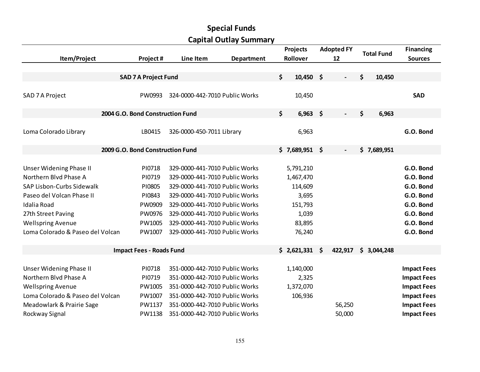|                                  |                                  |                                | <b>Capital Outlay Summary</b> |                   |                   |                   |                    |
|----------------------------------|----------------------------------|--------------------------------|-------------------------------|-------------------|-------------------|-------------------|--------------------|
|                                  |                                  |                                |                               | Projects          | <b>Adopted FY</b> | <b>Total Fund</b> | <b>Financing</b>   |
| Item/Project                     | Project#                         | Line Item                      | <b>Department</b>             | Rollover          | 12                |                   | <b>Sources</b>     |
|                                  |                                  |                                |                               |                   |                   |                   |                    |
|                                  | <b>SAD 7 A Project Fund</b>      |                                |                               | \$<br>$10,450$ \$ |                   | \$<br>10,450      |                    |
|                                  |                                  |                                |                               |                   |                   |                   |                    |
| SAD 7 A Project                  | PW0993                           | 324-0000-442-7010 Public Works |                               | 10,450            |                   |                   | <b>SAD</b>         |
|                                  | 2004 G.O. Bond Construction Fund |                                |                               | \$<br>$6,963$ \$  | $\blacksquare$    | \$<br>6,963       |                    |
|                                  |                                  |                                |                               |                   |                   |                   |                    |
| Loma Colorado Library            | LB0415                           | 326-0000-450-7011 Library      |                               | 6,963             |                   |                   | G.O. Bond          |
|                                  | 2009 G.O. Bond Construction Fund |                                |                               | $$7,689,951$ \$   |                   | \$7,689,951       |                    |
|                                  |                                  |                                |                               |                   |                   |                   |                    |
| <b>Unser Widening Phase II</b>   | PI0718                           | 329-0000-441-7010 Public Works |                               | 5,791,210         |                   |                   | G.O. Bond          |
| Northern Blvd Phase A            | PI0719                           | 329-0000-441-7010 Public Works |                               | 1,467,470         |                   |                   | G.O. Bond          |
| SAP Lisbon-Curbs Sidewalk        | PI0805                           | 329-0000-441-7010 Public Works |                               | 114,609           |                   |                   | G.O. Bond          |
| Paseo del Volcan Phase II        | PI0843                           | 329-0000-441-7010 Public Works |                               | 3,695             |                   |                   | G.O. Bond          |
| Idalia Road                      | PW0909                           | 329-0000-441-7010 Public Works |                               | 151,793           |                   |                   | G.O. Bond          |
| 27th Street Paving               | PW0976                           | 329-0000-441-7010 Public Works |                               | 1,039             |                   |                   | G.O. Bond          |
| <b>Wellspring Avenue</b>         | PW1005                           | 329-0000-441-7010 Public Works |                               | 83,895            |                   |                   | G.O. Bond          |
| Loma Colorado & Paseo del Volcan | PW1007                           | 329-0000-441-7010 Public Works |                               | 76,240            |                   |                   | G.O. Bond          |
|                                  | <b>Impact Fees - Roads Fund</b>  |                                |                               | $$2,621,331$ \$   | 422,917           | \$3,044,248       |                    |
|                                  |                                  |                                |                               |                   |                   |                   |                    |
| Unser Widening Phase II          | PI0718                           | 351-0000-442-7010 Public Works |                               | 1,140,000         |                   |                   | <b>Impact Fees</b> |
| Northern Blvd Phase A            | PI0719                           | 351-0000-442-7010 Public Works |                               | 2,325             |                   |                   | <b>Impact Fees</b> |
| <b>Wellspring Avenue</b>         | PW1005                           | 351-0000-442-7010 Public Works |                               | 1,372,070         |                   |                   | <b>Impact Fees</b> |
| Loma Colorado & Paseo del Volcan | PW1007                           | 351-0000-442-7010 Public Works |                               | 106,936           |                   |                   | <b>Impact Fees</b> |
| Meadowlark & Prairie Sage        | PW1137                           | 351-0000-442-7010 Public Works |                               |                   | 56,250            |                   | <b>Impact Fees</b> |
| Rockway Signal                   | PW1138                           | 351-0000-442-7010 Public Works |                               |                   | 50,000            |                   | <b>Impact Fees</b> |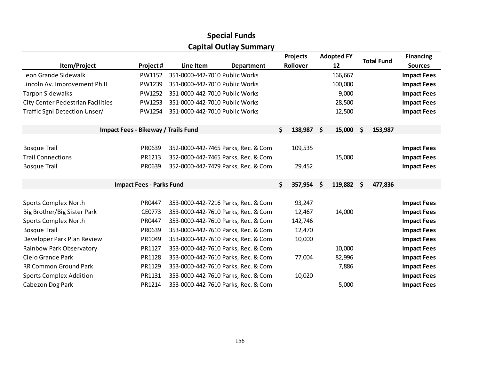|                                          |                                     |                                | <b>Capital Outlay Summary</b>       |     |                 |     |                   |      |                   |                    |
|------------------------------------------|-------------------------------------|--------------------------------|-------------------------------------|-----|-----------------|-----|-------------------|------|-------------------|--------------------|
|                                          |                                     |                                |                                     |     | <b>Projects</b> |     | <b>Adopted FY</b> |      | <b>Total Fund</b> | <b>Financing</b>   |
| Item/Project                             | Project#                            | Line Item                      | <b>Department</b>                   |     | Rollover        |     | 12                |      |                   | <b>Sources</b>     |
| Leon Grande Sidewalk                     | PW1152                              | 351-0000-442-7010 Public Works |                                     |     |                 |     | 166,667           |      |                   | <b>Impact Fees</b> |
| Lincoln Av. Improvement Ph II            | PW1239                              | 351-0000-442-7010 Public Works |                                     |     |                 |     | 100,000           |      |                   | <b>Impact Fees</b> |
| <b>Tarpon Sidewalks</b>                  | PW1252                              | 351-0000-442-7010 Public Works |                                     |     |                 |     | 9,000             |      |                   | <b>Impact Fees</b> |
| <b>City Center Pedestrian Facilities</b> | PW1253                              | 351-0000-442-7010 Public Works |                                     |     |                 |     | 28,500            |      |                   | <b>Impact Fees</b> |
| Traffic Sgnl Detection Unser/            | PW1254                              | 351-0000-442-7010 Public Works |                                     |     |                 |     | 12,500            |      |                   | <b>Impact Fees</b> |
|                                          | Impact Fees - Bikeway / Trails Fund |                                |                                     | \$. | 138,987         | -\$ | 15,000            | \$   | 153,987           |                    |
| <b>Bosque Trail</b>                      | PR0639                              |                                | 352-0000-442-7465 Parks, Rec. & Com |     | 109,535         |     |                   |      |                   | <b>Impact Fees</b> |
| <b>Trail Connections</b>                 | PR1213                              |                                | 352-0000-442-7465 Parks, Rec. & Com |     |                 |     | 15,000            |      |                   | <b>Impact Fees</b> |
| <b>Bosque Trail</b>                      | PR0639                              |                                | 352-0000-442-7479 Parks, Rec. & Com |     | 29,452          |     |                   |      |                   | <b>Impact Fees</b> |
|                                          |                                     |                                |                                     |     |                 |     |                   |      |                   |                    |
|                                          | <b>Impact Fees - Parks Fund</b>     |                                |                                     | \$  | 357,954         | \$  | 119,882           | - \$ | 477,836           |                    |
|                                          |                                     |                                |                                     |     |                 |     |                   |      |                   |                    |
| <b>Sports Complex North</b>              | PR0447                              |                                | 353-0000-442-7216 Parks, Rec. & Com |     | 93,247          |     |                   |      |                   | <b>Impact Fees</b> |
| Big Brother/Big Sister Park              | CE0773                              |                                | 353-0000-442-7610 Parks, Rec. & Com |     | 12,467          |     | 14,000            |      |                   | <b>Impact Fees</b> |
| <b>Sports Complex North</b>              | PR0447                              |                                | 353-0000-442-7610 Parks, Rec. & Com |     | 142,746         |     |                   |      |                   | <b>Impact Fees</b> |
| <b>Bosque Trail</b>                      | PR0639                              |                                | 353-0000-442-7610 Parks, Rec. & Com |     | 12,470          |     |                   |      |                   | <b>Impact Fees</b> |
| Developer Park Plan Review               | PR1049                              |                                | 353-0000-442-7610 Parks, Rec. & Com |     | 10,000          |     |                   |      |                   | <b>Impact Fees</b> |
| Rainbow Park Observatory                 | PR1127                              |                                | 353-0000-442-7610 Parks, Rec. & Com |     |                 |     | 10,000            |      |                   | <b>Impact Fees</b> |
| Cielo Grande Park                        | PR1128                              |                                | 353-0000-442-7610 Parks, Rec. & Com |     | 77,004          |     | 82,996            |      |                   | <b>Impact Fees</b> |
| <b>RR Common Ground Park</b>             | PR1129                              |                                | 353-0000-442-7610 Parks, Rec. & Com |     |                 |     | 7,886             |      |                   | <b>Impact Fees</b> |
| <b>Sports Complex Addition</b>           | PR1131                              |                                | 353-0000-442-7610 Parks, Rec. & Com |     | 10,020          |     |                   |      |                   | <b>Impact Fees</b> |
| Cabezon Dog Park                         | PR1214                              |                                | 353-0000-442-7610 Parks, Rec. & Com |     |                 |     | 5,000             |      |                   | <b>Impact Fees</b> |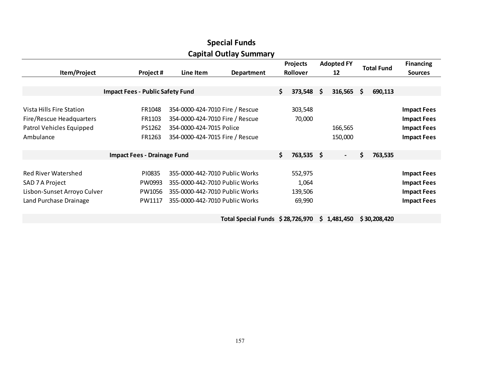| <b>Capital Outlay Summary</b>                                                                          |                                         |                                                                                                                                      |                                  |                             |                                       |    |                         |                   |              |                                                                                      |  |  |
|--------------------------------------------------------------------------------------------------------|-----------------------------------------|--------------------------------------------------------------------------------------------------------------------------------------|----------------------------------|-----------------------------|---------------------------------------|----|-------------------------|-------------------|--------------|--------------------------------------------------------------------------------------|--|--|
| Item/Project                                                                                           | Project#<br>Line Item<br>Department     |                                                                                                                                      |                                  | <b>Projects</b><br>Rollover |                                       |    | <b>Adopted FY</b><br>12 | <b>Total Fund</b> |              | <b>Financing</b><br><b>Sources</b>                                                   |  |  |
|                                                                                                        | <b>Impact Fees - Public Safety Fund</b> |                                                                                                                                      |                                  | \$                          | 373,548                               | \$ | $316,565$ \$            |                   | 690,113      |                                                                                      |  |  |
| Vista Hills Fire Station<br>Fire/Rescue Headquarters<br>Patrol Vehicles Equipped<br>Ambulance          | FR1048<br>FR1103<br>PS1262<br>FR1263    | 354-0000-424-7010 Fire / Rescue<br>354-0000-424-7010 Fire / Rescue<br>354-0000-424-7015 Police<br>354-0000-424-7015 Fire / Rescue    |                                  |                             | 303,548<br>70,000                     |    | 166,565<br>150,000      |                   |              | <b>Impact Fees</b><br><b>Impact Fees</b><br><b>Impact Fees</b><br><b>Impact Fees</b> |  |  |
|                                                                                                        | <b>Impact Fees - Drainage Fund</b>      |                                                                                                                                      |                                  | \$                          | 763,535 \$                            |    | $\blacksquare$          | \$                | 763,535      |                                                                                      |  |  |
| <b>Red River Watershed</b><br>SAD 7 A Project<br>Lisbon-Sunset Arroyo Culver<br>Land Purchase Drainage | PI0835<br>PW0993<br>PW1056<br>PW1117    | 355-0000-442-7010 Public Works<br>355-0000-442-7010 Public Works<br>355-0000-442-7010 Public Works<br>355-0000-442-7010 Public Works |                                  |                             | 552,975<br>1,064<br>139,506<br>69,990 |    |                         |                   |              | <b>Impact Fees</b><br><b>Impact Fees</b><br><b>Impact Fees</b><br><b>Impact Fees</b> |  |  |
|                                                                                                        |                                         |                                                                                                                                      | Total Special Funds \$28,726,970 |                             |                                       |    | \$1,481,450             |                   | \$30,208,420 |                                                                                      |  |  |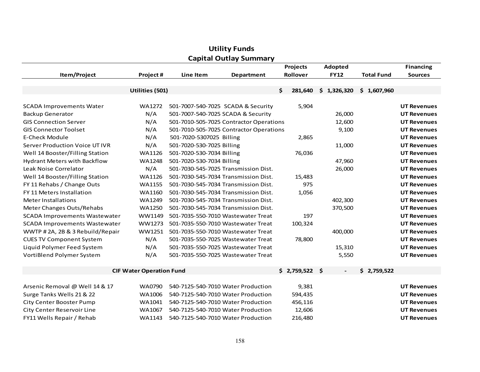|                                      |                                 |                           | ital oatlaf<br>Juliului y               | <b>Projects</b> | Adopted     |                   |                    |  |  |  |
|--------------------------------------|---------------------------------|---------------------------|-----------------------------------------|-----------------|-------------|-------------------|--------------------|--|--|--|
| Item/Project                         | Project#                        | Line Item                 | Department                              | Rollover        | <b>FY12</b> | <b>Total Fund</b> | <b>Sources</b>     |  |  |  |
|                                      |                                 |                           |                                         |                 |             |                   |                    |  |  |  |
|                                      | Utilities (501)                 |                           |                                         | \$<br>281,640   | \$1,326,320 | \$1,607,960       |                    |  |  |  |
|                                      |                                 |                           |                                         |                 |             |                   |                    |  |  |  |
| <b>SCADA Improvements Water</b>      | WA1272                          |                           | 501-7007-540-7025 SCADA & Security      | 5,904           |             |                   | <b>UT Revenues</b> |  |  |  |
| <b>Backup Generator</b>              | N/A                             |                           | 501-7007-540-7025 SCADA & Security      |                 | 26,000      |                   | <b>UT Revenues</b> |  |  |  |
| <b>GIS Connection Server</b>         | N/A                             |                           | 501-7010-505-7025 Contractor Operations |                 | 12,600      |                   | <b>UT Revenues</b> |  |  |  |
| <b>GIS Connector Toolset</b>         | N/A                             |                           | 501-7010-505-7025 Contractor Operations |                 | 9,100       |                   | <b>UT Revenues</b> |  |  |  |
| E-Check Module                       | N/A                             | 501-7020-5307025 Billing  |                                         | 2,865           |             |                   | <b>UT Revenues</b> |  |  |  |
| Server Production Voice UT IVR       | N/A                             | 501-7020-530-7025 Billing |                                         |                 | 11,000      |                   | <b>UT Revenues</b> |  |  |  |
| Well 14 Booster/Filling Station      | WA1126                          | 501-7020-530-7034 Billing |                                         | 76,036          |             |                   | <b>UT Revenues</b> |  |  |  |
| <b>Hydrant Meters with Backflow</b>  | <b>WA1248</b>                   | 501-7020-530-7034 Billing |                                         |                 | 47,960      |                   | <b>UT Revenues</b> |  |  |  |
| Leak Noise Correlator                | N/A                             |                           | 501-7030-545-7025 Transmission Dist.    |                 | 26,000      |                   | <b>UT Revenues</b> |  |  |  |
| Well 14 Booster/Filling Station      | WA1126                          |                           | 501-7030-545-7034 Transmission Dist.    | 15,483          |             |                   | <b>UT Revenues</b> |  |  |  |
| FY 11 Rehabs / Change Outs           | <b>WA1155</b>                   |                           | 501-7030-545-7034 Transmission Dist.    | 975             |             |                   | <b>UT Revenues</b> |  |  |  |
| FY 11 Meters Installation            | WA1160                          |                           | 501-7030-545-7034 Transmission Dist.    | 1,056           |             |                   | <b>UT Revenues</b> |  |  |  |
| Meter Installations                  | <b>WA1249</b>                   |                           | 501-7030-545-7034 Transmission Dist.    |                 | 402,300     |                   | <b>UT Revenues</b> |  |  |  |
| Meter Changes Outs/Rehabs            | <b>WA1250</b>                   |                           | 501-7030-545-7034 Transmission Dist.    |                 | 370,500     |                   | <b>UT Revenues</b> |  |  |  |
| <b>SCADA Improvements Wastewater</b> | WW1149                          |                           | 501-7035-550-7010 Wastewater Treat      | 197             |             |                   | <b>UT Revenues</b> |  |  |  |
| <b>SCADA Improvements Wastewater</b> | WW1273                          |                           | 501-7035-550-7010 Wastewater Treat      | 100,324         |             |                   | <b>UT Revenues</b> |  |  |  |
| WWTP #2A, 2B & 3 Rebuild/Repair      | WW1251                          |                           | 501-7035-550-7010 Wastewater Treat      |                 | 400,000     |                   | <b>UT Revenues</b> |  |  |  |
| <b>CUES TV Component System</b>      | N/A                             |                           | 501-7035-550-7025 Wastewater Treat      | 78,800          |             |                   | <b>UT Revenues</b> |  |  |  |
| Liquid Polymer Feed System           | N/A                             |                           | 501-7035-550-7025 Wastewater Treat      |                 | 15,310      |                   | <b>UT Revenues</b> |  |  |  |
| VortiBlend Polymer System            | N/A                             |                           | 501-7035-550-7025 Wastewater Treat      |                 | 5,550       |                   | <b>UT Revenues</b> |  |  |  |
|                                      |                                 |                           |                                         |                 |             |                   |                    |  |  |  |
|                                      | <b>CIF Water Operation Fund</b> |                           |                                         | $$2,759,522$ \$ |             | \$2,759,522       |                    |  |  |  |
|                                      |                                 |                           |                                         |                 |             |                   |                    |  |  |  |
| Arsenic Removal @ Well 14 & 17       | <b>WA0790</b>                   |                           | 540-7125-540-7010 Water Production      | 9,381           |             |                   | <b>UT Revenues</b> |  |  |  |
| Surge Tanks Wells 21 & 22            | WA1006                          |                           | 540-7125-540-7010 Water Production      | 594,435         |             |                   | <b>UT Revenues</b> |  |  |  |
| <b>City Center Booster Pump</b>      | WA1041                          |                           | 540-7125-540-7010 Water Production      | 456,116         |             |                   | <b>UT Revenues</b> |  |  |  |
| <b>City Center Reservoir Line</b>    | WA1067                          |                           | 540-7125-540-7010 Water Production      | 12,606          |             |                   | <b>UT Revenues</b> |  |  |  |
| FY11 Wells Repair / Rehab            | WA1143                          |                           | 540-7125-540-7010 Water Production      | 216,480         |             |                   | <b>UT Revenues</b> |  |  |  |

# Utility FundsCapital Outlay Summary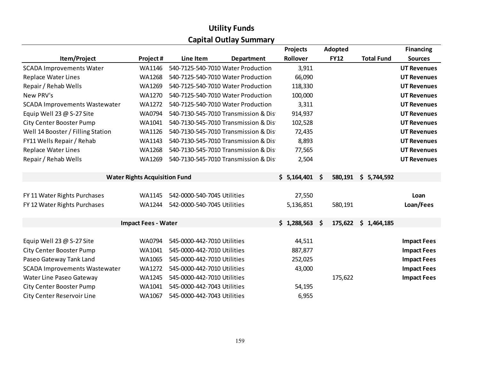# Utility FundsCapital Outlay Summary

|                                      |                                      |                                    |                                       |             |                               |                   | <b>Financing</b>   |
|--------------------------------------|--------------------------------------|------------------------------------|---------------------------------------|-------------|-------------------------------|-------------------|--------------------|
| Item/Project                         | Project#                             | Line Item                          | <b>Department</b>                     | Rollover    | <b>FY12</b>                   | <b>Total Fund</b> | <b>Sources</b>     |
| <b>SCADA Improvements Water</b>      | WA1146                               | 540-7125-540-7010 Water Production |                                       | 3,911       |                               |                   | <b>UT Revenues</b> |
| <b>Replace Water Lines</b>           | <b>WA1268</b>                        | 540-7125-540-7010 Water Production |                                       | 66,090      |                               |                   | <b>UT Revenues</b> |
| Repair / Rehab Wells                 | WA1269                               | 540-7125-540-7010 Water Production |                                       | 118,330     |                               |                   | <b>UT Revenues</b> |
| New PRV's                            | WA1270                               | 540-7125-540-7010 Water Production |                                       | 100,000     |                               |                   | <b>UT Revenues</b> |
| <b>SCADA Improvements Wastewater</b> | <b>WA1272</b>                        | 540-7125-540-7010 Water Production |                                       | 3,311       |                               |                   | <b>UT Revenues</b> |
| Equip Well 23 @ S-27 Site            | WA0794                               |                                    | 540-7130-545-7010 Transmission & Dis- | 914,937     |                               |                   | <b>UT Revenues</b> |
| <b>City Center Booster Pump</b>      | WA1041                               |                                    | 540-7130-545-7010 Transmission & Dis- | 102,528     |                               |                   | <b>UT Revenues</b> |
| Well 14 Booster / Filling Station    | WA1126                               |                                    | 540-7130-545-7010 Transmission & Dis- | 72,435      |                               |                   | <b>UT Revenues</b> |
| FY11 Wells Repair / Rehab            | WA1143                               |                                    | 540-7130-545-7010 Transmission & Dis- | 8,893       |                               |                   | <b>UT Revenues</b> |
| <b>Replace Water Lines</b>           | <b>WA1268</b>                        |                                    | 540-7130-545-7010 Transmission & Dis- | 77,565      |                               |                   | <b>UT Revenues</b> |
| Repair / Rehab Wells                 | WA1269                               |                                    | 540-7130-545-7010 Transmission & Dis- | 2,504       |                               |                   | <b>UT Revenues</b> |
|                                      |                                      |                                    |                                       |             |                               |                   |                    |
|                                      | <b>Water Rights Acquisition Fund</b> |                                    |                                       | \$5,164,401 | $\dot{\mathsf{s}}$<br>580,191 | \$5,744,592       |                    |
|                                      |                                      |                                    |                                       |             |                               |                   |                    |
| FY 11 Water Rights Purchases         | <b>WA1145</b>                        | 542-0000-540-7045 Utilities        |                                       | 27,550      |                               |                   | Loan               |
| FY 12 Water Rights Purchases         | WA1244                               | 542-0000-540-7045 Utilities        |                                       | 5,136,851   | 580,191                       |                   | Loan/Fees          |
|                                      |                                      |                                    |                                       |             |                               |                   |                    |
|                                      | <b>Impact Fees - Water</b>           |                                    |                                       | \$1,288,563 | <b>S</b><br>175,622           | \$1,464,185       |                    |
|                                      |                                      |                                    |                                       |             |                               |                   |                    |
| Equip Well 23 $@$ S-27 Site          | WA0794                               | 545-0000-442-7010 Utilities        |                                       | 44,511      |                               |                   | <b>Impact Fees</b> |
| <b>City Center Booster Pump</b>      | WA1041                               | 545-0000-442-7010 Utilities        |                                       | 887,877     |                               |                   | <b>Impact Fees</b> |
| Paseo Gateway Tank Land              | WA1065                               | 545-0000-442-7010 Utilities        |                                       | 252,025     |                               |                   | <b>Impact Fees</b> |
| <b>SCADA Improvements Wastewater</b> | <b>WA1272</b>                        | 545-0000-442-7010 Utilities        |                                       | 43,000      |                               |                   | <b>Impact Fees</b> |
| Water Line Paseo Gateway             | WA1245                               | 545-0000-442-7010 Utilities        |                                       |             | 175,622                       |                   | <b>Impact Fees</b> |
| <b>City Center Booster Pump</b>      | WA1041                               | 545-0000-442-7043 Utilities        |                                       | 54,195      |                               |                   |                    |
| <b>City Center Reservoir Line</b>    | WA1067                               | 545-0000-442-7043 Utilities        |                                       | 6,955       |                               |                   |                    |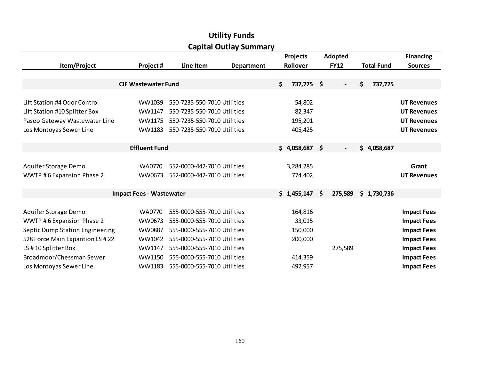| Capital Outlay Sullillialy      |                                 |                             |            |                 |                 |              |                          |     |                   |                    |  |
|---------------------------------|---------------------------------|-----------------------------|------------|-----------------|-----------------|--------------|--------------------------|-----|-------------------|--------------------|--|
|                                 |                                 |                             |            | <b>Projects</b> |                 | Adopted      |                          |     | <b>Financing</b>  |                    |  |
| Item/Project                    | Project#                        | Line Item                   | Department |                 | Rollover        |              | <b>FY12</b>              |     | <b>Total Fund</b> | <b>Sources</b>     |  |
|                                 |                                 |                             |            |                 |                 |              |                          |     |                   |                    |  |
|                                 | <b>CIF Wastewater Fund</b>      |                             |            | \$.             | 737,775 \$      |              | $\overline{\phantom{a}}$ | \$. | 737,775           |                    |  |
|                                 |                                 |                             |            |                 |                 |              |                          |     |                   |                    |  |
| Lift Station #4 Odor Control    | WW1039                          | 550-7235-550-7010 Utilities |            |                 | 54,802          |              |                          |     |                   | <b>UT Revenues</b> |  |
| Lift Station #10 Splitter Box   | WW1147                          | 550-7235-550-7010 Utilities |            |                 | 82,347          |              |                          |     |                   | <b>UT Revenues</b> |  |
| Paseo Gateway Wastewater Line   | WW1175                          | 550-7235-550-7010 Utilities |            |                 | 195,201         |              |                          |     |                   | <b>UT Revenues</b> |  |
| Los Montoyas Sewer Line         | WW1183                          | 550-7235-550-7010 Utilities |            |                 | 405,425         |              |                          |     |                   | <b>UT Revenues</b> |  |
|                                 |                                 |                             |            |                 |                 |              |                          |     |                   |                    |  |
|                                 | <b>Effluent Fund</b>            |                             |            |                 | $$4,058,687$ \$ |              | $\blacksquare$           |     | \$4,058,687       |                    |  |
|                                 |                                 |                             |            |                 |                 |              |                          |     |                   |                    |  |
| Aquifer Storage Demo            | WA0770                          | 552-0000-442-7010 Utilities |            |                 | 3,284,285       |              |                          |     |                   | Grant              |  |
| WWTP #6 Expansion Phase 2       | WW0673                          | 552-0000-442-7010 Utilities |            |                 | 774,402         |              |                          |     |                   | <b>UT Revenues</b> |  |
|                                 |                                 |                             |            |                 |                 |              |                          |     |                   |                    |  |
|                                 | <b>Impact Fees - Wastewater</b> |                             |            |                 | \$1,455,147     | $\mathsf{S}$ | 275,589                  |     | \$1,730,736       |                    |  |
|                                 |                                 |                             |            |                 |                 |              |                          |     |                   |                    |  |
| Aquifer Storage Demo            | <b>WA0770</b>                   | 555-0000-555-7010 Utilities |            |                 | 164,816         |              |                          |     |                   | <b>Impact Fees</b> |  |
| WWTP #6 Expansion Phase 2       | WW0673                          | 555-0000-555-7010 Utilities |            |                 | 33,015          |              |                          |     |                   | <b>Impact Fees</b> |  |
| Septic Dump Station Engineering | WW0887                          | 555-0000-555-7010 Utilities |            |                 | 150,000         |              |                          |     |                   | <b>Impact Fees</b> |  |
| 528 Force Main Expantion LS #22 | WW1042                          | 555-0000-555-7010 Utilities |            |                 | 200,000         |              |                          |     |                   | <b>Impact Fees</b> |  |
| LS #10 Splitter Box             | WW1147                          | 555-0000-555-7010 Utilities |            |                 |                 |              | 275,589                  |     |                   | <b>Impact Fees</b> |  |
| Broadmoor/Chessman Sewer        | WW1150                          | 555-0000-555-7010 Utilities |            |                 | 414,359         |              |                          |     |                   | <b>Impact Fees</b> |  |
| Los Montoyas Sewer Line         | WW1183                          | 555-0000-555-7010 Utilities |            |                 | 492,957         |              |                          |     |                   | <b>Impact Fees</b> |  |

# Utility FundsCapital Outlay Summary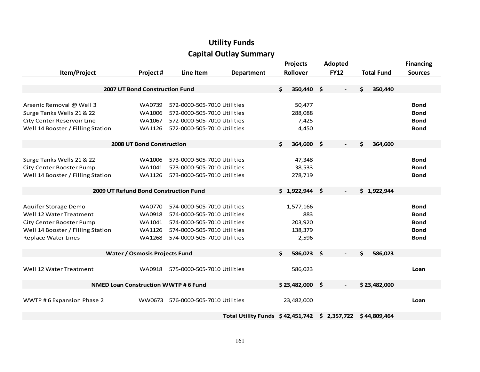| <b>Capital Outlay Summary</b>              |               |                             |                                       |                 |                  |             |             |    |                   |                  |  |  |
|--------------------------------------------|---------------|-----------------------------|---------------------------------------|-----------------|------------------|-------------|-------------|----|-------------------|------------------|--|--|
|                                            |               |                             |                                       | <b>Projects</b> |                  | Adopted     |             |    |                   | <b>Financing</b> |  |  |
| Item/Project                               | Project#      | Line Item<br>Department     |                                       | Rollover        |                  | <b>FY12</b> |             |    | <b>Total Fund</b> | <b>Sources</b>   |  |  |
|                                            |               |                             |                                       |                 |                  |             |             |    |                   |                  |  |  |
| 2007 UT Bond Construction Fund             |               |                             |                                       | \$              | 350,440 \$       |             |             | \$ | 350,440           |                  |  |  |
|                                            |               |                             |                                       |                 |                  |             |             |    |                   |                  |  |  |
| Arsenic Removal @ Well 3                   | WA0739        | 572-0000-505-7010 Utilities |                                       |                 | 50,477           |             |             |    |                   | <b>Bond</b>      |  |  |
| Surge Tanks Wells 21 & 22                  | WA1006        | 572-0000-505-7010 Utilities |                                       |                 | 288,088          |             |             |    |                   | <b>Bond</b>      |  |  |
| <b>City Center Reservoir Line</b>          | WA1067        | 572-0000-505-7010 Utilities |                                       |                 | 7,425            |             |             |    |                   | <b>Bond</b>      |  |  |
| Well 14 Booster / Filling Station          | WA1126        | 572-0000-505-7010 Utilities |                                       |                 | 4,450            |             |             |    |                   | <b>Bond</b>      |  |  |
| 2008 UT Bond Construction                  |               |                             |                                       | Ś.              | 364,600 \$       |             |             | Ś. | 364,600           |                  |  |  |
|                                            |               |                             |                                       |                 |                  |             |             |    |                   |                  |  |  |
| Surge Tanks Wells 21 & 22                  | WA1006        | 573-0000-505-7010 Utilities |                                       |                 | 47,348           |             |             |    |                   | <b>Bond</b>      |  |  |
| City Center Booster Pump                   | WA1041        | 573-0000-505-7010 Utilities |                                       |                 | 38,533           |             |             |    |                   | <b>Bond</b>      |  |  |
| Well 14 Booster / Filling Station          | WA1126        | 573-0000-505-7010 Utilities |                                       |                 | 278,719          |             |             |    |                   | Bond             |  |  |
| 2009 UT Refund Bond Construction Fund      |               |                             |                                       |                 | $$1,922,944$ \$  |             |             |    | \$1,922,944       |                  |  |  |
|                                            |               |                             |                                       |                 |                  |             |             |    |                   |                  |  |  |
| Aquifer Storage Demo                       | <b>WA0770</b> | 574-0000-505-7010 Utilities |                                       |                 | 1,577,166        |             |             |    |                   | <b>Bond</b>      |  |  |
| Well 12 Water Treatment                    | WA0918        | 574-0000-505-7010 Utilities |                                       |                 | 883              |             |             |    |                   | Bond             |  |  |
| <b>City Center Booster Pump</b>            | WA1041        | 574-0000-505-7010 Utilities |                                       |                 | 203,920          |             |             |    |                   | <b>Bond</b>      |  |  |
| Well 14 Booster / Filling Station          | WA1126        | 574-0000-505-7010 Utilities |                                       |                 | 138,379          |             |             |    |                   | <b>Bond</b>      |  |  |
| <b>Replace Water Lines</b>                 | WA1268        | 574-0000-505-7010 Utilities |                                       |                 | 2,596            |             |             |    |                   | Bond             |  |  |
| <b>Water / Osmosis Projects Fund</b>       |               |                             |                                       | \$              | 586,023 \$       |             |             | \$ | 586,023           |                  |  |  |
|                                            |               |                             |                                       |                 |                  |             |             |    |                   |                  |  |  |
| Well 12 Water Treatment                    | WA0918        | 575-0000-505-7010 Utilities |                                       |                 | 586,023          |             |             |    |                   | Loan             |  |  |
| <b>NMED Loan Construction WWTP #6 Fund</b> |               |                             |                                       |                 | $$23,482,000$ \$ |             |             |    | \$23,482,000      |                  |  |  |
|                                            |               |                             |                                       |                 |                  |             |             |    |                   |                  |  |  |
| WWTP #6 Expansion Phase 2                  | WW0673        | 576-0000-505-7010 Utilities |                                       |                 | 23,482,000       |             |             |    |                   | Loan             |  |  |
|                                            |               |                             | Total Utility Funds $\;$ \$42,451,742 |                 |                  |             | \$2,357,722 |    | \$44,809,464      |                  |  |  |

# Utility Funds